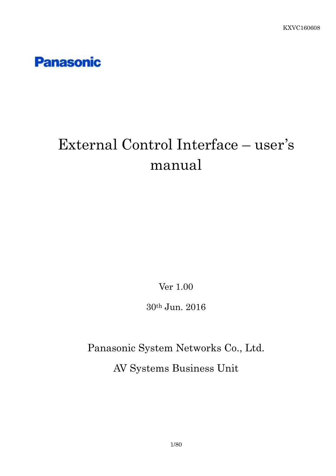

# External Control Interface – user's manual

Ver 1.00

30th Jun. 2016

Panasonic System Networks Co., Ltd. AV Systems Business Unit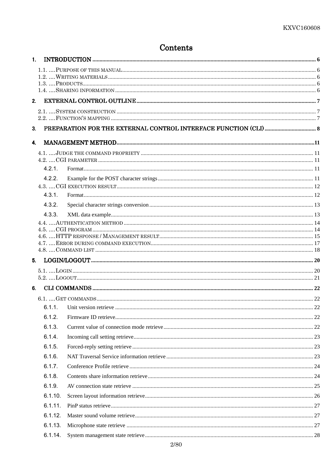### Contents

|                | 1.      |                                                                                                                                                                                                                                                                                                                                                                                                |  |
|----------------|---------|------------------------------------------------------------------------------------------------------------------------------------------------------------------------------------------------------------------------------------------------------------------------------------------------------------------------------------------------------------------------------------------------|--|
|                |         |                                                                                                                                                                                                                                                                                                                                                                                                |  |
|                |         |                                                                                                                                                                                                                                                                                                                                                                                                |  |
|                |         |                                                                                                                                                                                                                                                                                                                                                                                                |  |
| 2.             |         |                                                                                                                                                                                                                                                                                                                                                                                                |  |
|                |         |                                                                                                                                                                                                                                                                                                                                                                                                |  |
|                |         |                                                                                                                                                                                                                                                                                                                                                                                                |  |
| 3 <sub>l</sub> |         |                                                                                                                                                                                                                                                                                                                                                                                                |  |
| $\mathbf{4}$   |         |                                                                                                                                                                                                                                                                                                                                                                                                |  |
|                |         |                                                                                                                                                                                                                                                                                                                                                                                                |  |
|                |         |                                                                                                                                                                                                                                                                                                                                                                                                |  |
|                | 4.2.1   |                                                                                                                                                                                                                                                                                                                                                                                                |  |
|                | 4.2.2.  |                                                                                                                                                                                                                                                                                                                                                                                                |  |
|                |         |                                                                                                                                                                                                                                                                                                                                                                                                |  |
|                | 4.3.1.  |                                                                                                                                                                                                                                                                                                                                                                                                |  |
|                | 4.3.2.  |                                                                                                                                                                                                                                                                                                                                                                                                |  |
|                | 4.3.3.  |                                                                                                                                                                                                                                                                                                                                                                                                |  |
|                |         |                                                                                                                                                                                                                                                                                                                                                                                                |  |
|                |         |                                                                                                                                                                                                                                                                                                                                                                                                |  |
|                |         |                                                                                                                                                                                                                                                                                                                                                                                                |  |
| 5.             |         | $\textbf{LOGIN/LOGOUT} \text{} \textbf{100} \textbf{11} \textbf{02} \textbf{03} \textbf{14} \textbf{04} \textbf{05} \textbf{16} \textbf{06} \textbf{17} \textbf{07} \textbf{08} \textbf{08} \textbf{08} \textbf{08} \textbf{08} \textbf{08} \textbf{08} \textbf{08} \textbf{08} \textbf{08} \textbf{08} \textbf{08} \textbf{08} \textbf{08} \textbf{08} \textbf{08} \textbf{08} \textbf{08} \$ |  |
|                |         |                                                                                                                                                                                                                                                                                                                                                                                                |  |
|                |         |                                                                                                                                                                                                                                                                                                                                                                                                |  |
|                |         |                                                                                                                                                                                                                                                                                                                                                                                                |  |
|                |         |                                                                                                                                                                                                                                                                                                                                                                                                |  |
|                |         |                                                                                                                                                                                                                                                                                                                                                                                                |  |
|                | 6.1.2.  |                                                                                                                                                                                                                                                                                                                                                                                                |  |
|                | 6.1.3.  |                                                                                                                                                                                                                                                                                                                                                                                                |  |
|                | 6.1.4.  |                                                                                                                                                                                                                                                                                                                                                                                                |  |
|                | 6.1.5.  |                                                                                                                                                                                                                                                                                                                                                                                                |  |
|                | 6.1.6.  |                                                                                                                                                                                                                                                                                                                                                                                                |  |
|                | 6.1.7.  |                                                                                                                                                                                                                                                                                                                                                                                                |  |
|                | 6.1.8.  |                                                                                                                                                                                                                                                                                                                                                                                                |  |
|                | 6.1.9.  |                                                                                                                                                                                                                                                                                                                                                                                                |  |
|                | 6.1.10. |                                                                                                                                                                                                                                                                                                                                                                                                |  |
|                | 6.1.11. |                                                                                                                                                                                                                                                                                                                                                                                                |  |
|                | 6.1.12. |                                                                                                                                                                                                                                                                                                                                                                                                |  |
|                | 6.1.13. |                                                                                                                                                                                                                                                                                                                                                                                                |  |
|                | 6.1.14. |                                                                                                                                                                                                                                                                                                                                                                                                |  |
|                |         |                                                                                                                                                                                                                                                                                                                                                                                                |  |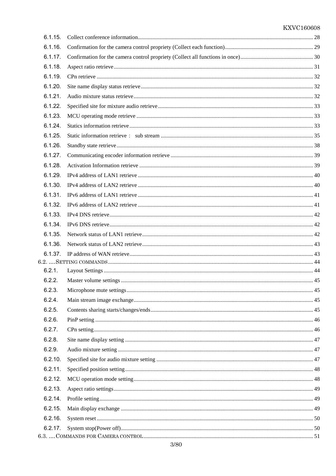| 6.1.15. |  |
|---------|--|
| 6.1.16. |  |
| 6.1.17. |  |
| 6.1.18. |  |
| 6.1.19. |  |
| 6.1.20. |  |
| 6.1.21. |  |
| 6.1.22. |  |
| 6.1.23. |  |
| 6.1.24. |  |
| 6.1.25. |  |
| 6.1.26. |  |
| 6.1.27. |  |
| 6.1.28. |  |
| 6.1.29. |  |
| 6.1.30. |  |
| 6.1.31. |  |
| 6.1.32. |  |
| 6.1.33. |  |
| 6.1.34. |  |
| 6.1.35. |  |
| 6.1.36. |  |
| 6.1.37. |  |
|         |  |
| 6.2.1.  |  |
| 6.2.2.  |  |
| 6.2.3.  |  |
| 6.2.4.  |  |
| 6.2.5.  |  |
| 6.2.6.  |  |
| 6.2.7.  |  |
| 6.2.8.  |  |
| 6.2.9.  |  |
| 6.2.10. |  |
| 6.2.11. |  |
| 6.2.12. |  |
| 6.2.13. |  |
| 6.2.14. |  |
| 6.2.15. |  |
| 6.2.16. |  |
| 6.2.17. |  |
|         |  |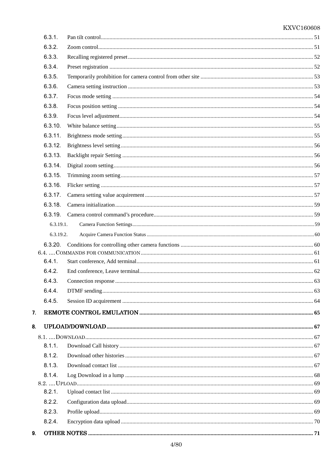|    | 6.3.1.    |  |
|----|-----------|--|
|    | 6.3.2.    |  |
|    | 6.3.3.    |  |
|    | 6.3.4.    |  |
|    | 6.3.5.    |  |
|    | 6.3.6.    |  |
|    | 6.3.7.    |  |
|    | 6.3.8.    |  |
|    | 6.3.9.    |  |
|    | 6.3.10.   |  |
|    | 6.3.11.   |  |
|    | 6.3.12.   |  |
|    | 6.3.13.   |  |
|    | 6.3.14.   |  |
|    | 6.3.15.   |  |
|    | 6.3.16.   |  |
|    | 6.3.17.   |  |
|    | 6.3.18.   |  |
|    |           |  |
|    | 6.3.19.1. |  |
|    | 6.3.19.2. |  |
|    |           |  |
|    |           |  |
|    | 6.4.1.    |  |
|    | 6.4.2.    |  |
|    | 6.4.3.    |  |
|    | 6.4.4.    |  |
|    | 6.4.5.    |  |
| 7. |           |  |
| 8. |           |  |
|    |           |  |
|    | 8.1.1.    |  |
|    | 8.1.2.    |  |
|    | 8.1.3.    |  |
|    | 8.1.4.    |  |
|    |           |  |
|    | 8.2.1.    |  |
|    | 8.2.2.    |  |
|    | 8.2.3.    |  |
|    | 8.2.4.    |  |
| 9. |           |  |
|    |           |  |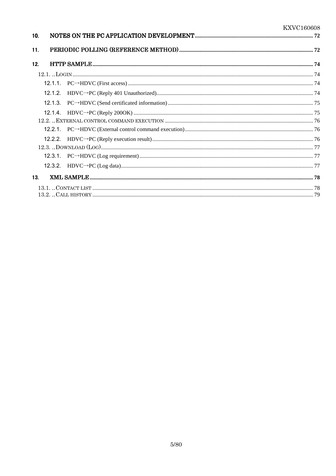| 10. |  |  |
|-----|--|--|
| 11. |  |  |
| 12. |  |  |
|     |  |  |
|     |  |  |
|     |  |  |
|     |  |  |
|     |  |  |
|     |  |  |
|     |  |  |
|     |  |  |
|     |  |  |
|     |  |  |
|     |  |  |
| 13. |  |  |
|     |  |  |
|     |  |  |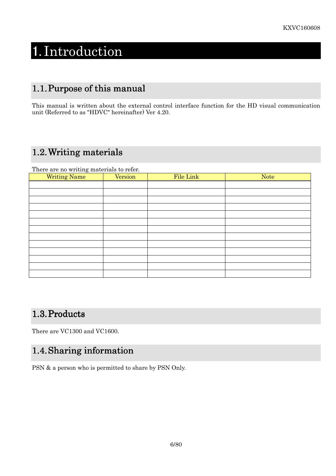# 1. Introduction

# 1.1. Purpose of this manual

This manual is written about the external control interface function for the HD visual communication unit (Referred to as "HDVC" hereinafter) Ver 4.20.

# 1.2. Writing materials

There are no writing materials to refer.

| $\tilde{\phantom{a}}$<br><b>Writing Name</b> | Version | File Link | <b>Note</b> |
|----------------------------------------------|---------|-----------|-------------|
|                                              |         |           |             |
|                                              |         |           |             |
|                                              |         |           |             |
|                                              |         |           |             |
|                                              |         |           |             |
|                                              |         |           |             |
|                                              |         |           |             |
|                                              |         |           |             |
|                                              |         |           |             |
|                                              |         |           |             |
|                                              |         |           |             |
|                                              |         |           |             |
|                                              |         |           |             |

## 1.3. Products

There are VC1300 and VC1600.

# 1.4. Sharing information

PSN & a person who is permitted to share by PSN Only.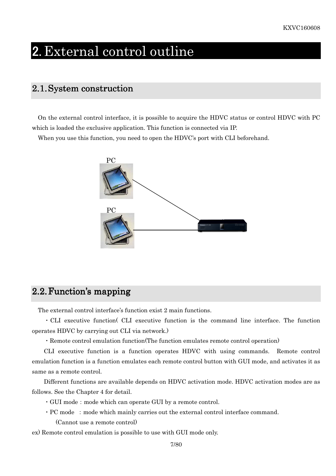# 2. External control outline

### 2.1. System construction

On the external control interface, it is possible to acquire the HDVC status or control HDVC with PC which is loaded the exclusive application. This function is connected via IP.

When you use this function, you need to open the HDVC's port with CLI beforehand.



### $2.2$ . Function's mapping

The external control interface's function exist 2 main functions.

・CLI executive function( CLI executive function is the command line interface. The function operates HDVC by carrying out CLI via network.)

・Remote control emulation function(The function emulates remote control operation)

CLI executive function is a function operates HDVC with using commands. Remote control emulation function is a function emulates each remote control button with GUI mode, and activates it as same as a remote control.

Different functions are available depends on HDVC activation mode. HDVC activation modes are as follows. See the Chapter 4 for detail.

- $\cdot$  GUI mode: mode which can operate GUI by a remote control.
- $\cdot$  PC mode : mode which mainly carries out the external control interface command.

(Cannot use a remote control)

ex) Remote control emulation is possible to use with GUI mode only.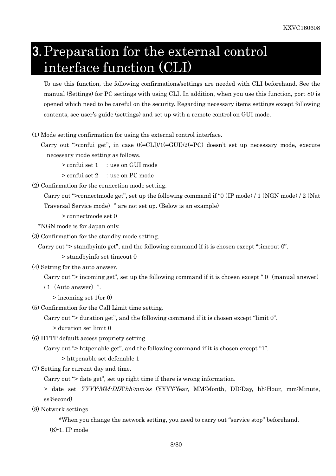# 3. Preparation for the external control interface function (CLI)

To use this function, the following confirmations/settings are needed with CLI beforehand. See the manual (Settings) for PC settings with using CLI. In addition, when you use this function, port 80 is opened which need to be careful on the security. Regarding necessary items settings except following contents, see user's guide (settings) and set up with a remote control on GUI mode.

(1) Mode setting confirmation for using the external control interface.

Carry out ">confui get", in case  $0(=CLI)/1(=GUI)/2(=PC)$  doesn't set up necessary mode, execute necessary mode setting as follows.

 $>$  confui set  $1$  : use on GUI mode

 $>$  confui set 2 : use on PC mode

(2) Confirmation for the connection mode setting.

Carry out ">connectmode get", set up the following command if "0 (IP mode) / 1 (NGN mode) / 2 (Nat Traversal Service mode)" are not set up. (Below is an example)

> connectmode set 0

\*NGN mode is for Japan only.

(3) Confirmation for the standby mode setting.

Carry out "> standbyinfo get", and the following command if it is chosen except "timeout 0".

> standbyinfo set timeout 0

(4) Setting for the auto answer.

Carry out "> incoming get", set up the following command if it is chosen except " 0 (manual answer)

/ 1(Auto answer)".

> incoming set 1(or 0)

(5) Confirmation for the Call Limit time setting.

Carry out "> duration get", and the following command if it is chosen except "limit 0".

> duration set limit 0

(6) HTTP default access propriety setting

Carry out "> httpenable get", and the following command if it is chosen except "1".

> httpenable set defenable 1

(7) Setting for current day and time.

Carry out "> date get", set up right time if there is wrong information.

> date set YYYY-MM-DDThh:mm:ss (YYYY:Year, MM:Month, DD:Day, hh:Hour, mm:Minute, ss:Second)

(8) Network settings

\*When you change the network setting, you need to carry out "service stop" beforehand.

(8)-1. IP mode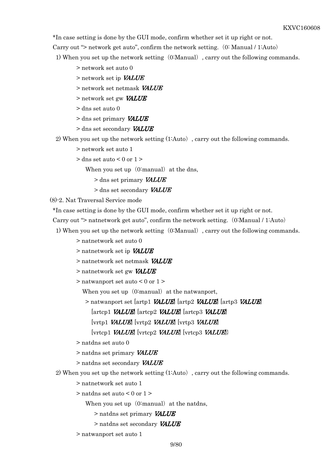\*In case setting is done by the GUI mode, confirm whether set it up right or not.

Carry out "> network get auto", confirm the network setting. (0: Manual / 1:Auto)

- 1) When you set up the network setting (0:Manual), carry out the following commands.
	- > network set auto 0
	- $>$  network set in *VALUE*
	- > network set netmask VALUE
	- > network set gw VALUE
	- $>$ dns set auto $0$
	- $>$  dns set primary VALUE
	- > dns set secondary VALUE

2) When you set up the network setting (1:Auto), carry out the following commands.

- > network set auto 1
- $>$  dns set auto  $<$  0 or 1  $>$

When you set up  $(0:manual)$  at the dns,

 $>$  dns set primary VALUE

> dns set secondary VALUE

(8)-2. Nat Traversal Service mode

\*In case setting is done by the GUI mode, confirm whether set it up right or not.

Carry out " $>$  natnetwork get auto", confirm the network setting. (0:Manual / 1:Auto)

- 1) When you set up the network setting (0:Manual), carry out the following commands.
	- > natnetwork set auto 0
	- > natnetwork set ip **VALUE**
	- > natnetwork set netmask VALUE
	- > natnetwork set gw **VALUE**
	- > natwanport set auto < 0 or 1 >

When you set up  $(0:\text{manual})$  at the natwanport,

> natwanport set [artp1 *VALUE*] [artp2 *VALUE*] [artp3 *VALUE*]

 $[\text{artcp1}$  *VALUE*]  $[\text{artcp2}$  *VALUE*]  $[\text{artcp3}$  *VALUE* 

- $[\text{vrtp1}$  *VALUE*]  $[\text{vrtp2}$  *VALUE*]  $[\text{vrtp3}$  *VALUE*
- [vrtcp1 VALUE] [vrtcp2 VALUE] [vrtcp3 VALUE]}
- > natdns set auto 0
- > natdns set primary VALUE
- > natdns set secondary VALUE

2) When you set up the network setting (1:Auto), carry out the following commands.

- > natnetwork set auto 1
- $>$  natdns set auto  $\leq 0$  or  $1>$

When you set up  $(0:\text{manual})$  at the natdns,

- > natdns set primary VALUE
- > natdns set secondary VALUE
- > natwanport set auto 1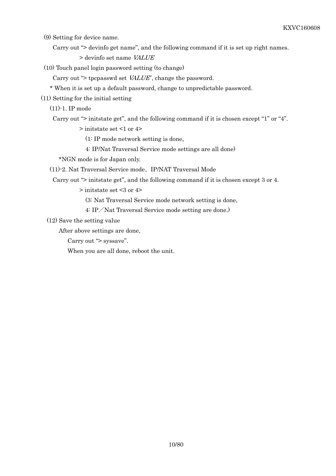(9) Setting for device name.

Carry out "> devinfo get name", and the following command if it is set up right names.

> devinfo set name VALUE

(10) Touch panel login password setting (to change)

Carry out "> tpcpasswd set VALUE", change the password.

\* When it is set up a default password, change to unpredictable password.

(11) Setting for the initial setting

(11)-1. IP mode

Carry out "> initstate get", and the following command if it is chosen except "1" or "4".

> initstate set <1 or 4>

(1: IP mode network setting is done,

4: IP/Nat Traversal Service mode settings are all done)

\*NGN mode is for Japan only.

(11)-2. Nat Traversal Service mode、IP/NAT Traversal Mode

Carry out "> initstate get", and the following command if it is chosen except 3 or 4.

> initstate set <3 or 4>

(3: Nat Traversal Service mode network setting is done,

4: IP/Nat Traversal Service mode setting are done.)

(12) Save the setting value

After above settings are done,

Carry out "> syssave".

When you are all done, reboot the unit.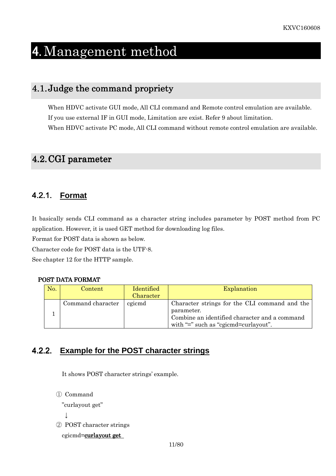# 4. Management method

### 4.1. Judge the command propriety

When HDVC activate GUI mode, All CLI command and Remote control emulation are available. If you use external IF in GUI mode, Limitation are exist. Refer 9 about limitation. When HDVC activate PC mode, All CLI command without remote control emulation are available.

# 4.2. CGI parameter

### 4.2.1. **Format**

It basically sends CLI command as a character string includes parameter by POST method from PC application. However, it is used GET method for downloading log files.

Format for POST data is shown as below.

Character code for POST data is the UTF-8.

See chapter 12 for the HTTP sample.

### POST DATA FORMAT

| No. | Content           | Identified | Explanation                                                                                                                                                    |
|-----|-------------------|------------|----------------------------------------------------------------------------------------------------------------------------------------------------------------|
|     |                   | Character  |                                                                                                                                                                |
|     | Command character | cgicmd     | Character strings for the CLI command and the<br>parameter.<br>Combine an identified character and a command<br>with " $\equiv$ " such as "egic md=curlayout". |

### 4.2.2. **Example for the POST character strings**

It shows POST character strings' example.

```
① Command
```

```
"curlayout get"
```

```
\perp
```
② POST character strings

```
cgicmd=curlayout get
```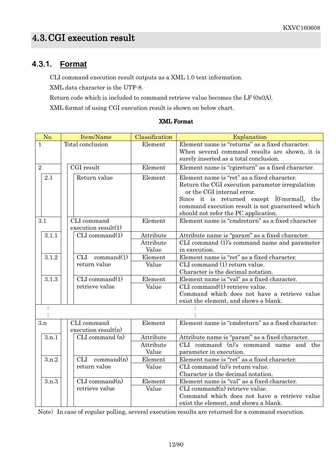### 4.3.1. **Format**

CLI command execution result outputs as a XML 1.0 text information.

XML data character is the UTF-8.

Return code which is included to command retrieve value becomes the LF (0x0A).

XML format of using CGI execution result is shown on below chart.

| No.                     | Item/Name                           | Classification                  | Explanation                                                                                                                                                                                                                                                             |
|-------------------------|-------------------------------------|---------------------------------|-------------------------------------------------------------------------------------------------------------------------------------------------------------------------------------------------------------------------------------------------------------------------|
| 1                       | Total conclusion                    | Element                         | Element name is "returns" as a fixed character.<br>When several command results are shown, it is<br>surely inserted as a total conclusion.                                                                                                                              |
| $\overline{2}$          | CGI result                          | Element                         | Element name is "cgireturn" as a fixed character.                                                                                                                                                                                                                       |
| 2.1                     | Return value                        | Element                         | Element name is "ret" as a fixed character.<br>Return the CGI execution parameter irregulation<br>or the CGI internal error.<br>Since it is returned except [0:normal], the<br>command execution result is not guaranteed which<br>should not refer the PC application. |
| 3.1                     | CLI command<br>execution result(1)  | Element                         | Element name is "cmdreturn" as a fixed character                                                                                                                                                                                                                        |
| 3.1.1                   | CLI command(1)                      | Attribute<br>Attribute<br>Value | Attribute name is "param" as a fixed character.<br>CLI command (1)'s command name and parameter<br>in execution.                                                                                                                                                        |
| 3.1.2                   | <b>CLI</b><br>command(1)            | Element                         | Element name is "ret" as a fixed character.                                                                                                                                                                                                                             |
|                         | return value                        | Value                           | CLI command (1) return value.<br>Character is the decimal notation.                                                                                                                                                                                                     |
| 3.1.3<br>CLI command(1) |                                     | Element                         | Element name is "val" as a fixed character.                                                                                                                                                                                                                             |
|                         | retrieve value                      | Value                           | CLI command(1) retrieve value.<br>Command which does not have a retrieve value<br>exist the element, and shows a blank.                                                                                                                                                 |
|                         |                                     |                                 |                                                                                                                                                                                                                                                                         |
| 3.n                     | CLI command<br>execution result(n)  | Element                         | Element name is "cmdreturn" as a fixed character.                                                                                                                                                                                                                       |
| 3.n.1                   | $CLI$ command $(n)$                 | Attribute<br>Attribute<br>Value | Attribute name is "param" as a fixed character.<br>CLI command (n)'s command name and the<br>parameter in execution.                                                                                                                                                    |
| 3.n.2                   | $CLI$ command $(n)$<br>return value | Element<br>Value                | Element name is "ret" as a fixed character.<br>CLI command (n)'s return value.<br>Character is the decimal notation.                                                                                                                                                    |
| 3.n.3                   | CLI command(n)<br>retrieve value    | Element<br>Value                | Element name is "val" as a fixed character.<br>CLI command(n) retrieve value.<br>Command which does not have a retrieve value<br>exist the element, and shows a blank.                                                                                                  |

#### XMLFormat

Note) In case of regular polling, several execution results are returned for a command execution.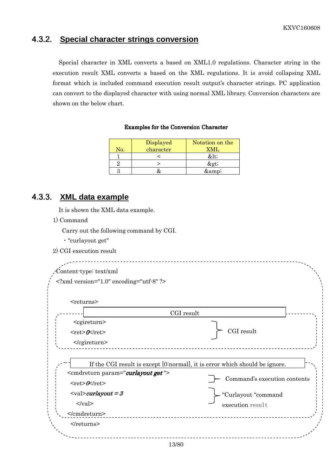### 4.3.2. **Special character strings conversion**

Special character in XML converts a based on XML1.0 regulations. Character string in the execution result XML converts a based on the XML regulations. It is avoid collapsing XML format which is included command execution result output's character strings. PC application can convert to the displayed character with using normal XML library. Conversion characters are shown on the below chart.

#### Examples for the Conversion Character

| No. | Displayed<br>character | Notation on the<br>XMT. |
|-----|------------------------|-------------------------|
|     |                        | <                       |
|     |                        | >                       |
|     |                        | &                       |

### 4.3.3. **XML data example**

It is shown the XML data example.

1) Command

Carry out the following command by CGI.

- ・"curlayout get"
- 2) CGI execution result

|                                                                                                                | $\gamma$ xml version="1.0" encoding="utf-8" ?                               |
|----------------------------------------------------------------------------------------------------------------|-----------------------------------------------------------------------------|
| <returns></returns>                                                                                            |                                                                             |
|                                                                                                                | CGI result                                                                  |
| <cgireturn><br/><math>&lt;</math>ret&gt;<math>O</math><math>k</math>/ret&gt;</cgireturn>                       | CGI result                                                                  |
|                                                                                                                |                                                                             |
|                                                                                                                | If the CGI result is except [0:normal], it is error which should be ignore. |
| <cmdreturn param="curlayout get"><br/><math>&lt;</math>ret&gt;<math>O</math><math>k</math>/ret&gt;</cmdreturn> | Command's execution contents                                                |
|                                                                                                                | "Curlayout "command                                                         |
| $\langle \text{val}\rangle$ <i>curlayout</i> = 3<br>$\langle \text{val} \rangle$                               | execution result                                                            |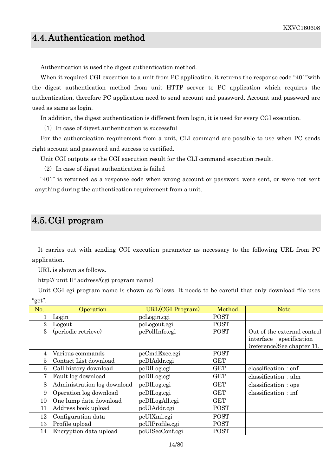## 4.4. Authentication method

Authentication is used the digest authentication method.

When it required CGI execution to a unit from PC application, it returns the response code "401" with the digest authentication method from unit HTTP server to PC application which requires the authentication, therefore PC application need to send account and password. Account and password are used as same as login.

In addition, the digest authentication is different from login, it is used for every CGI execution.

 $(1)$  In case of digest authentication is successful

For the authentication requirement from a unit, CLI command are possible to use when PC sends right account and password and success to certified.

Unit CGI outputs as the CGI execution result for the CLI command execution result.

 $(2)$  In case of digest authentication is failed

"401" is returned as a response code when wrong account or password were sent, or were not sent anything during the authentication requirement from a unit.

### 4.5. CGI program

It carries out with sending CGI execution parameter as necessary to the following URL from PC application.

URL is shown as follows.

http:// unit IP address/(cgi program name)

Unit CGI cgi program name is shown as follows. It needs to be careful that only download file uses "get".

| No. | Operation                   | <b>URL(CGI Program)</b> | Method      | <b>Note</b>                 |
|-----|-----------------------------|-------------------------|-------------|-----------------------------|
|     | Login                       | pcLogin.cgi             | <b>POST</b> |                             |
| 2   | Logout                      | pcLogout.cgi            | <b>POST</b> |                             |
| 3   | (periodic retrieve)         | pcPollInfo.cgi          | <b>POST</b> | Out of the external control |
|     |                             |                         |             | interface specification     |
|     |                             |                         |             | (reference)See chapter 11.  |
| 4   | Various commands            | pcCmdExec.cgi           | <b>POST</b> |                             |
| 5   | Contact List download       | pcDlAddr.cgi            | <b>GET</b>  |                             |
| 6   | Call history download       | pcDlLog.cgi             | <b>GET</b>  | classification : cnf        |
| 7   | Fault log download          | pcDlLog.cgi             | <b>GET</b>  | classification : alm        |
| 8   | Administration log download | pcDlLog.cgi             | <b>GET</b>  | classification: ope         |
| 9   | Operation log download      | pcDlLog.cgi             | <b>GET</b>  | classification : inf        |
| 10  | One lump data download      | pcDlLogAll.cgi          | <b>GET</b>  |                             |
| 11  | Address book upload         | pcUlAddr.cgi            | <b>POST</b> |                             |
| 12  | Configuration data          | pcUlXml.cgi             | <b>POST</b> |                             |
| 13  | Profile upload              | pcUlProfile.cgi         | <b>POST</b> |                             |
| 14  | Encryption data upload      | pcUlSecConf.cgi         | <b>POST</b> |                             |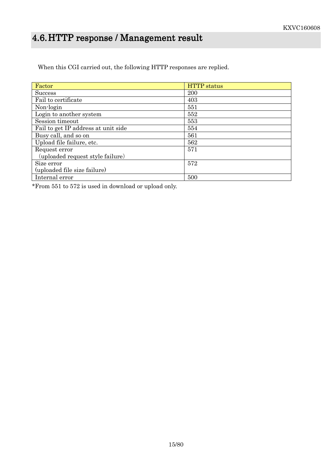# 4.6. HTTP response / Management result

When this CGI carried out, the following HTTP responses are replied.

| Factor                              | <b>HTTP</b> status |
|-------------------------------------|--------------------|
| <b>Success</b>                      | 200                |
| Fail to certificate                 | 403                |
| Non-login                           | 551                |
| Login to another system             | 552                |
| Session timeout                     | 553                |
| Fail to get IP address at unit side | 554                |
| Busy call, and so on                | 561                |
| Upload file failure, etc.           | 562                |
| Request error                       | 571                |
| (uploaded request style failure)    |                    |
| Size error                          | 572                |
| (uploaded file size failure)        |                    |
| Internal error                      | 500                |

\*From 551 to 572 is used in download or upload only.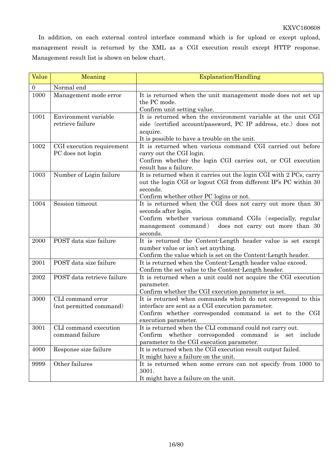In addition, on each external control interface command which is for upload or except upload, management result is returned by the XML as a CGI execution result except HTTP response. Management result list is shown on below chart.

| Value          | Meaning                                        | Explanation/Handling                                                                                                                                                                                                   |
|----------------|------------------------------------------------|------------------------------------------------------------------------------------------------------------------------------------------------------------------------------------------------------------------------|
| $\overline{0}$ | Normal end                                     |                                                                                                                                                                                                                        |
| 1000           | Management mode error                          | It is returned when the unit management mode does not set up<br>the PC mode.<br>Confirm unit setting value.                                                                                                            |
| 1001           | Environment variable<br>retrieve failure       | It is returned when the environment variable at the unit CGI<br>side (certified account/password, PC IP address, etc.) does not<br>acquire.<br>It is possible to have a trouble on the unit.                           |
| 1002           | CGI execution requirement<br>PC does not login | It is returned when various command CGI carried out before<br>carry out the CGI login.<br>Confirm whether the login CGI carries out, or CGI execution<br>result has a failure.                                         |
| 1003           | Number of Login failure                        | It is returned when it carries out the login CGI with 2 PCs, carry<br>out the login CGI or logout CGI from different IP's PC within 30<br>seconds.<br>Confirm whether other PC logins or not.                          |
| 1004           | Session timeout                                | It is returned when the CGI does not carry out more than 30<br>seconds after login.<br>Confirm whether various command CGIs (especially, regular<br>management command)<br>does not carry out more than 30<br>seconds. |
| 2000           | POST data size failure                         | It is returned the Content-Length header value is set except<br>number value or isn't set anything.<br>Confirm the value which is set on the Content-Length header.                                                    |
| 2001           | POST data size failure                         | It is returned when the Content-Length header value exceed.<br>Confirm the set value to the Content-Length header.                                                                                                     |
| 2002           | POST data retrieve failure                     | It is returned when a unit could not acquire the CGI execution<br>parameter.<br>Confirm whether the CGI execution parameter is set.                                                                                    |
| 3000           | CLI command error<br>(not permitted command)   | It is returned when commands which do not correspond to this<br>interface are sent as a CGI execution parameter.<br>Confirm whether corresponded command is set to the CGI<br>execution parameter.                     |
| 3001           | CLI command execution<br>command failure       | It is returned when the CLI command could not carry out.<br>whether<br>corresponded<br>command is set include<br>Confirm<br>parameter to the CGI execution parameter.                                                  |
| 4000           | Response size failure                          | It is returned when the CGI execution result output failed.<br>It might have a failure on the unit.                                                                                                                    |
| 9999           | Other failures                                 | It is returned when some errors can not specify from 1000 to<br>3001.<br>It might have a failure on the unit.                                                                                                          |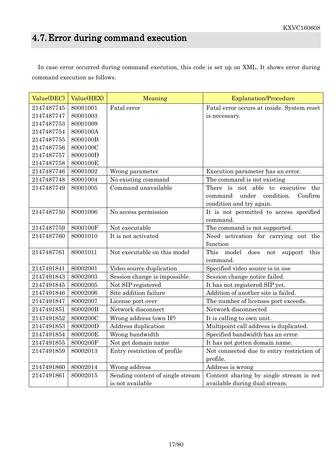# 4.7. Error during command execution

In case error occurred during command execution, this code is set up on XML. It shows error during command execution as follows.

| Value(DEC) | Value(HEX) | Meaning                          | <b>Explanation/Procedure</b>                                     |
|------------|------------|----------------------------------|------------------------------------------------------------------|
| 2147487745 | 80001001   | Fatal error                      | Fatal error occurs at inside. System reset                       |
| 2147487747 | 80001003   |                                  | is necessary.                                                    |
| 2147487753 | 80001009   |                                  |                                                                  |
| 2147487754 | 8000100A   |                                  |                                                                  |
| 2147487755 | 8000100B   |                                  |                                                                  |
| 2147487756 | 8000100C   |                                  |                                                                  |
| 2147487757 | 8000100D   |                                  |                                                                  |
| 2147487758 | 8000100E   |                                  |                                                                  |
| 2147487746 | 80001002   | Wrong parameter                  | Execution parameter has an error.                                |
| 2147487748 | 80001004   | No existing command              | The command is not existing                                      |
| 2147487749 | 80001005   | Command unavailable              | There is not able to executive the                               |
|            |            |                                  | under<br>condition.<br>Confirm<br>command                        |
|            |            |                                  | condition and try again.                                         |
| 2147487750 | 80001006   | No access permission             | It is not permitted to access specified                          |
|            |            |                                  | command.                                                         |
| 2147487759 | 8000100F   | Not executable                   | The command is not supported.                                    |
| 2147487760 | 80001010   | It is not activated              | Need activation for carrying out the                             |
|            |            |                                  | function                                                         |
| 2147487761 | 80001011   | Not executable on this model     | This<br>model<br>does<br>$\operatorname{not}$<br>support<br>this |
|            |            |                                  | command.                                                         |
| 2147491841 | 80002001   | Video source duplication         | Specified video source is in use                                 |
| 2147491843 | 80002003   | Session change is impossible.    | Session change notice failed.                                    |
| 2147491845 | 80002005   | Not SIP registered               | It has not registered SIP yet.                                   |
| 2147491846 | 80002006   | Site addition failure            | Addition of another site is failed.                              |
| 2147491847 | 80002007   | License port over                | The number of licenses port exceeds.                             |
| 2147491851 | 8000200B   | Network disconnect               | Network disconnected                                             |
| 2147491852 | 8000200C   | Wrong address (own IP)           | It is calling to own unit.                                       |
| 2147491853 | 8000200D   | Address duplication              | Multipoint call address is duplicated.                           |
| 2147491854 | 8000200E   | Wrong bandwidth                  | Specified bandwidth has an error.                                |
| 2147491855 | 8000200F   | Not get domain name              | It has not gotten domain name.                                   |
| 2147491859 | 80002013   | Entry restriction of profile     | Not connected due to entry restriction of                        |
|            |            |                                  | profile.                                                         |
| 2147491860 | 80002014   | Wrong address                    | Address is wrong                                                 |
| 2147491861 | 80002015   | Sending content of single stream | Content sharing by single stream is not                          |
|            |            | is not available                 | available during dual stream.                                    |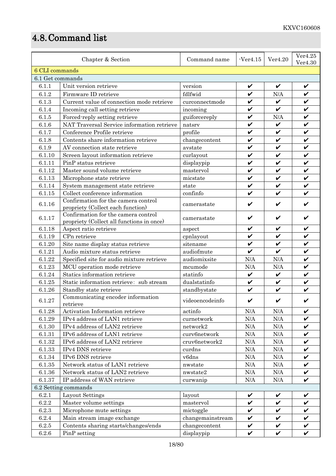# 4.8. Command list

| Chapter & Section                                                                          |                                            | Command name     | $-Ver4.15$         | Ver4.20      | Ver4.25<br>Ver4.30 |
|--------------------------------------------------------------------------------------------|--------------------------------------------|------------------|--------------------|--------------|--------------------|
| 6 CLI commands                                                                             |                                            |                  |                    |              |                    |
| 6.1 Get commands                                                                           |                                            |                  |                    |              |                    |
| 6.1.1                                                                                      | Unit version retrieve                      | version          | V                  | V            | V                  |
| 6.1.2                                                                                      | Firmware ID retrieve                       | fdlfwid          | V                  | N/A          | $\checkmark$       |
| 6.1.3                                                                                      | Current value of connection mode retrieve  | curconnectmode   | $\boldsymbol{\nu}$ | $\checkmark$ | V                  |
| 6.1.4                                                                                      | Incoming call setting retrieve             | incoming         | V                  | V            | V                  |
| 6.1.5                                                                                      | Forced-reply setting retrieve              | guiforcereply    | V                  | N/A          | V                  |
| 6.1.6                                                                                      | NAT Traversal Service information retrieve | natsrv           | V                  | $\checkmark$ | $\checkmark$       |
| 6.1.7                                                                                      | Conference Profile retrieve                | profile          | $\checkmark$       | $\checkmark$ | $\checkmark$       |
| 6.1.8                                                                                      | Contents share information retrieve        | changecontent    | V                  | V            | V                  |
| 6.1.9                                                                                      | AV connection state retrieve               | avstate          | V                  | V            | V                  |
| 6.1.10                                                                                     | Screen layout information retrieve         | curlayout        | V                  | V            | $\checkmark$       |
| 6.1.11                                                                                     | PinP status retrieve                       | displaypip       | V                  | V            | V                  |
| 6.1.12                                                                                     | Master sound volume retrieve               | mastervol        | V                  | V            | V                  |
| 6.1.13                                                                                     | Microphone state retrieve                  | micstate         | V                  | V            | V                  |
| 6.1.14                                                                                     | System management state retrieve           | state            | V                  | V            | $\checkmark$       |
| 6.1.15                                                                                     | Collect conference information             | confinfo         | $\boldsymbol{\nu}$ | V            |                    |
|                                                                                            | Confirmation for the camera control        |                  |                    |              |                    |
| 6.1.16                                                                                     | propriety (Collect each function)          | camerastate      | V                  | V            |                    |
|                                                                                            | Confirmation for the camera control        |                  |                    |              |                    |
| 6.1.17                                                                                     | propriety (Collect all functions in once)  | camerastate      | V                  | V            |                    |
| 6.1.18                                                                                     | Aspect ratio retrieve                      | aspect           | V                  | V            | V                  |
| 6.1.19                                                                                     | CPn retrieve                               | cpnlayout        | V                  | V            | V                  |
| 6.1.20                                                                                     | Site name display status retrieve          | sitename         | $\boldsymbol{\nu}$ | V            | $\checkmark$       |
| 6.1.21                                                                                     | Audio mixture status retrieve              | audiofmute       | V                  | V            | V                  |
| 6.1.22                                                                                     | Specified site for audio mixture retrieve  | audiomixsite     | N/A                | N/A          | V                  |
| 6.1.23                                                                                     | MCU operation mode retrieve                | mcumode          | N/A                | N/A          | V                  |
| 6.1.24                                                                                     | Statics information retrieve               | statinfo         | $\checkmark$       | $\checkmark$ | $\checkmark$       |
| 6.1.25                                                                                     | Static information retrieve: sub stream    | dualstatinfo     | V                  | V            | V                  |
| 6.1.26                                                                                     | Standby state retrieve                     | standbystate     | $\checkmark$       | V            | V                  |
| 6.1.27                                                                                     | Communicating encoder information          | videoencodeinfo  | V                  | V            |                    |
|                                                                                            | retrieve                                   |                  |                    |              | V                  |
| 6.1.28                                                                                     | Activation Information retrieve            | actinfo          | N/A                | N/A          | $\checkmark$       |
| 6.1.29                                                                                     | IPv4 address of LAN1 retrieve              | curnetwork       | $\rm N/A$          | N/A          |                    |
| 6.1.30                                                                                     | IPv4 address of LAN2 retrieve              | network2         | N/A                | N/A          | V<br>$\checkmark$  |
| 6.1.31                                                                                     | IPv6 address of LAN1 retrieve              | curv6network     | $\rm N/A$          | $\rm N/A$    | $\checkmark$       |
| 6.1.32                                                                                     | IPv6 address of LAN2 retrieve              | cruv6network2    | $\rm N/A$          | N/A<br>N/A   | $\checkmark$       |
| 6.1.33                                                                                     | IPv4 DNS retrieve                          | curdns           | $\rm N/A$          |              |                    |
| 6.1.34                                                                                     | IPv6 DNS retrieve                          | v6dns            | N/A                | N/A          | V                  |
| 6.1.35                                                                                     | Network status of LAN1 retrieve            | nwstate          | $\rm N/A$          | $\rm N/A$    | V                  |
| 6.1.36                                                                                     | Network status of LAN2 retrieve            | nwstate2         | N/A                | N/A          | $\checkmark$       |
| $\checkmark$<br>IP address of WAN retrieve<br>$\rm N/A$<br>$\rm N/A$<br>6.1.37<br>curwanip |                                            |                  |                    |              |                    |
| 6.2 Setting commands                                                                       |                                            |                  |                    |              |                    |
| 6.2.1                                                                                      | Layout Settings                            | layout           | V<br>$\checkmark$  | V<br>V       | V<br>$\checkmark$  |
| 6.2.2                                                                                      | Master volume settings                     | mastervol        | $\checkmark$       | V            | $\checkmark$       |
| 6.2.3                                                                                      | Microphone mute settings                   | mictoggle        |                    |              |                    |
| 6.2.4                                                                                      | Main stream image exchange                 | changemainstream | V                  | V            | V                  |
| $6.2.5\,$                                                                                  | Contents sharing starts/changes/ends       | changecontent    | V                  | V            | V<br>$\checkmark$  |
| $6.2.6\,$                                                                                  | PinP setting                               | displaypip       | $\checkmark$       | $\checkmark$ |                    |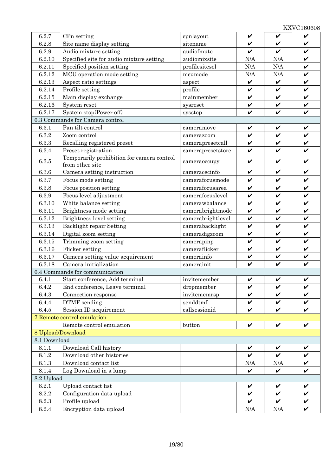| 6.2.7                                                                | CPn setting                                | cpnlayout         | V                  | $\checkmark$       | V            |
|----------------------------------------------------------------------|--------------------------------------------|-------------------|--------------------|--------------------|--------------|
| 6.2.8                                                                | Site name display setting                  | sitename          | V                  | $\boldsymbol{\nu}$ | V            |
| 6.2.9                                                                | Audio mixture setting                      | audiofmute        | $\checkmark$       | $\checkmark$       | $\checkmark$ |
| 6.2.10                                                               | Specified site for audio mixture setting   | audiomixsite      | N/A                | N/A                | $\checkmark$ |
| 6.2.11                                                               | Specified position setting                 | profilesitesel    | N/A                | N/A                | $\checkmark$ |
| 6.2.12                                                               | MCU operation mode setting                 | mcumode           | N/A                | N/A                | $\checkmark$ |
| 6.2.13                                                               | Aspect ratio settings                      | aspect            | $\checkmark$       | $\checkmark$       | $\checkmark$ |
| 6.2.14                                                               | Profile setting                            | profile           | V                  | $\checkmark$       | V            |
| 6.2.15                                                               | Main display exchange                      | mainmember        | $\checkmark$       | $\checkmark$       | $\checkmark$ |
| 6.2.16                                                               | System reset                               | sysreset          | $\checkmark$       | $\checkmark$       | $\checkmark$ |
| 6.2.17                                                               | System stop(Power off)                     | sysstop           | $\checkmark$       | $\checkmark$       | $\checkmark$ |
|                                                                      | 6.3 Commands for Camera control            |                   |                    |                    |              |
| 6.3.1                                                                | Pan tilt control                           | cameramove        | $\checkmark$       | V                  | $\checkmark$ |
| 6.3.2                                                                | Zoom control                               | camerazoom        | V                  | V                  | $\checkmark$ |
| 6.3.3                                                                | Recalling registered preset                | camerapresetcall  | V                  | V                  | V            |
| 6.3.4                                                                | Preset registration                        | camerapresetstore | V                  | V                  | V            |
| 6.3.5                                                                | Temporarily prohibition for camera control |                   | V                  | V                  | V            |
|                                                                      | from other site                            | cameraoccupy      |                    |                    |              |
| 6.3.6                                                                | Camera setting instruction                 | cameracecinfo     | V                  | V                  | V            |
| 6.3.7                                                                | Focus mode setting                         | camerafocusmode   | $\checkmark$       | $\checkmark$       | $\checkmark$ |
| 6.3.8                                                                | Focus position setting                     | camerafocusarea   | V                  | $\checkmark$       | $\checkmark$ |
| 6.3.9                                                                | Focus level adjustment                     | camerafocuslevel  | $\checkmark$       | $\checkmark$       | $\checkmark$ |
| 6.3.10                                                               | White balance setting                      | camerawbalance    | $\checkmark$       | $\checkmark$       | $\checkmark$ |
| 6.3.11                                                               | Brightness mode setting                    | camerabrightmode  | V                  | $\checkmark$       | $\checkmark$ |
| 6.3.12                                                               | Brightness level setting                   | camerabrightlevel | V                  | $\checkmark$       | $\checkmark$ |
| $6.3.13\,$                                                           | Backlight repair Setting                   | camerabacklight   | $\checkmark$       | $\checkmark$       | $\checkmark$ |
| 6.3.14                                                               | Digital zoom setting                       | cameradigzoom     | $\checkmark$       | $\checkmark$       | $\checkmark$ |
| 6.3.15                                                               | Trimming zoom setting                      | camerapinp        | $\checkmark$       | $\checkmark$       | $\checkmark$ |
| 6.3.16                                                               | Flicker setting                            | cameraflicker     | $\checkmark$       | $\checkmark$       | $\checkmark$ |
| 6.3.17                                                               | Camera setting value acquirement           | camerainfo        | $\checkmark$       | $\checkmark$       | $\checkmark$ |
| Camera initialization<br>6.3.18                                      |                                            | camerainit        | V                  | $\boldsymbol{\nu}$ | V            |
| 6.4 Commands for communication                                       |                                            |                   |                    |                    |              |
| 6.4.1                                                                | Start conference, Add terminal             | invitemember      | V                  | V                  | V            |
| 6.4.2                                                                | End conference, Leave terminal             | dropmember        | $\checkmark$       | $\checkmark$       | V            |
| 6.4.3                                                                | Connection response                        | invitememrsp      | $\checkmark$       | $\boldsymbol{\nu}$ | $\checkmark$ |
| 6.4.4                                                                | DTMF sending                               | senddtmf          | V                  | V                  | $\checkmark$ |
| 6.4.5                                                                | Session ID acquirement                     | callsessionid     | V                  | V                  | V            |
| 7 Remote control emulation                                           |                                            |                   |                    |                    |              |
|                                                                      | Remote control emulation                   | button            | V                  | V                  | V            |
| 8 Upload/Download                                                    |                                            |                   |                    |                    |              |
| 8.1 Download                                                         |                                            |                   |                    |                    |              |
| 8.1.1                                                                | Download Call history                      |                   | V                  | V                  | V            |
| 8.1.2                                                                | Download other histories                   |                   | $\boldsymbol{\nu}$ | $\boldsymbol{\nu}$ | $\checkmark$ |
| 8.1.3                                                                | Download contact list                      |                   | N/A                | N/A                | $\checkmark$ |
| Log Download in a lump<br>8.1.4<br>$\checkmark$<br>$\checkmark$<br>V |                                            |                   |                    |                    |              |
| 8.2 Upload                                                           |                                            |                   |                    |                    |              |
| 8.2.1                                                                | Upload contact list                        |                   | V                  | V                  | V            |
| 8.2.2                                                                | Configuration data upload                  |                   | V                  | $\checkmark$       | V            |
| 8.2.3                                                                | Profile upload                             |                   | V                  | V                  | V            |
| 8.2.4                                                                | Encryption data upload                     |                   | $\rm N/A$          | $\rm N/A$          | V            |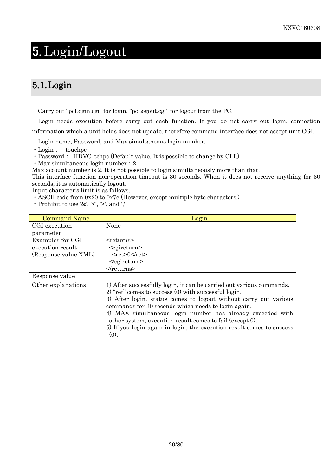# 5. Login/Logout

# 5.1.Login

Carry out "pcLogin.cgi" for login, "pcLogout.cgi" for logout from the PC.

Login needs execution before carry out each function. If you do not carry out login, connection information which a unit holds does not update, therefore command interface does not accept unit CGI.

Login name, Password, and Max simultaneous login number.

・Login: touchpc

・Password: HDVC\_tchpc (Default value. It is possible to change by CLI.)

・Max simultaneous login number:2

Max account number is 2. It is not possible to login simultaneously more than that.

This interface function non-operation timeout is 30 seconds. When it does not receive anything for 30 seconds, it is automatically logout.

Input character's limit is as follows.

・ASCII code from 0x20 to 0x7e.(However, except multiple byte characters.)

 $\cdot$  Prohibit to use '&', '<', '>', and ','.

| <b>Command Name</b>  | Login                                                                                                                          |
|----------------------|--------------------------------------------------------------------------------------------------------------------------------|
| CGI execution        | None                                                                                                                           |
| parameter            |                                                                                                                                |
| Examples for CGI     | $<$ returns $>$                                                                                                                |
| execution result     | <cgireturn></cgireturn>                                                                                                        |
| (Response value XML) | $<$ ret>0 $<$ /ret>                                                                                                            |
|                      | $<$ /cgireturn>                                                                                                                |
|                      |                                                                                                                                |
| Response value       |                                                                                                                                |
| Other explanations   | 1) After successfully login, it can be carried out various commands.<br>2) "ret" comes to success $(0)$ with successful login. |
|                      | 3) After login, status comes to logout without carry out various                                                               |
|                      | commands for 30 seconds which needs to login again.                                                                            |
|                      | 4) MAX simultaneous login number has already exceeded with                                                                     |
|                      | other system, execution result comes to fail (except 0).                                                                       |
|                      | 5) If you login again in login, the execution result comes to success                                                          |
|                      | (0).                                                                                                                           |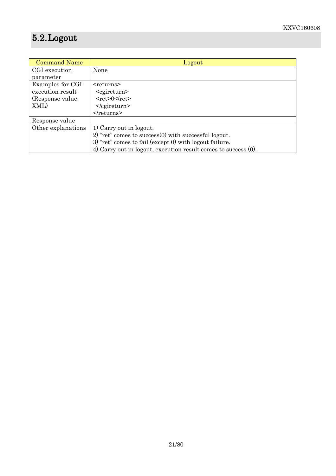# 5.2.Logout

| <b>Command Name</b> | Logout                                                         |
|---------------------|----------------------------------------------------------------|
| CGI execution       | None                                                           |
| parameter           |                                                                |
| Examples for CGI    | $<$ returns $>$                                                |
| execution result    | <cgireturn></cgireturn>                                        |
| (Response value)    | $<$ ret>0                                                      |
| XML)                | $<$ /cgireturn>                                                |
|                     | $\le$ /returns>                                                |
| Response value      |                                                                |
| Other explanations  | 1) Carry out in logout.                                        |
|                     | $2)$ "ret" comes to success $(0)$ with successful logout.      |
|                     | 3) "ret" comes to fail (except 0) with logout failure.         |
|                     | 4) Carry out in logout, execution result comes to success (0). |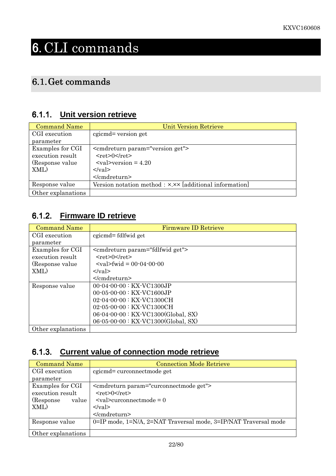# 6. CLI commands

# 6.1. Get commands

### 6.1.1. **Unit version retrieve**

| <b>Command Name</b>                  | <b>Unit Version Retrieve</b>                                                                                                 |
|--------------------------------------|------------------------------------------------------------------------------------------------------------------------------|
| CGI execution                        | cgicmd= version get                                                                                                          |
| parameter                            |                                                                                                                              |
| Examples for CGI<br>execution result | <cmdreturn param="version get"><br/><math>&lt;</math>ret<math>&gt;0</math><math>&lt;</math>/ret<math>&gt;</math></cmdreturn> |
| (Response value)                     | $\langle \mathrm{val}\rangle$ >version = 4.20                                                                                |
| XML)                                 | $\langle \text{val} \rangle$                                                                                                 |
|                                      | $<$ /cmdreturn>                                                                                                              |
| Response value                       | Version notation method : x.xx [additional information]                                                                      |
| Other explanations                   |                                                                                                                              |

## 6.1.2. **Firmware ID retrieve**

| <b>Command Name</b> | <b>Firmware ID Retrieve</b>                    |
|---------------------|------------------------------------------------|
| CGI execution       | cgicmd=fdlfwidget                              |
| parameter           |                                                |
| Examples for CGI    | <cmdreturn param="fdlfwid get"></cmdreturn>    |
| execution result    | $<$ ret>0 $<$ /ret>                            |
| (Response value)    | $\langle \text{val}\rangle$ fwid = 00.04.00.00 |
| XML)                | $\langle \nabla \times a \rangle$              |
|                     |                                                |
| Response value      | 00-04-00-00 : KX-VC1300JP                      |
|                     | $00-05-00-00$ : KX-VC1600JP                    |
|                     | $02 - 04 - 00 - 00$ : KX-VC1300CH              |
|                     | $02 - 05 - 00 - 00$ : KX-VC1300CH              |
|                     | 06-04-00-00 : KX-VC1300(Global, SX)            |
|                     | 06-05-00-00 : KX-VC1300(Global, SX)            |
| Other explanations  |                                                |

## 6.1.3. **Current value of connection mode retrieve**

| <b>Command Name</b>                  | <b>Connection Mode Retrieve</b>                                                  |
|--------------------------------------|----------------------------------------------------------------------------------|
| CGI execution                        | cgicmd= curconnectmode get                                                       |
| parameter                            |                                                                                  |
| Examples for CGI<br>execution result | <cmdreturn param="curconnectmode get"><br/><math>&lt;</math>ret&gt;0</cmdreturn> |
| (Response)<br>value                  | $\leq$ val $\geq$ curconnectmode = 0                                             |
| XML)                                 | $\langle \text{val} \rangle$<br>                                                 |
| Response value                       | 0=IP mode, 1=N/A, 2=NAT Traversal mode, 3=IP/NAT Traversal mode                  |
| Other explanations                   |                                                                                  |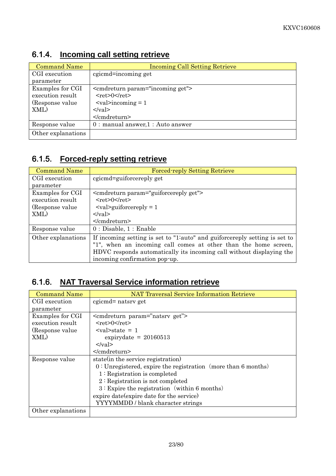| <b>Command Name</b> | <b>Incoming Call Setting Retrieve</b>        |
|---------------------|----------------------------------------------|
| CGI execution       | cgicmd=incoming get                          |
| parameter           |                                              |
| Examples for CGI    | <cmdreturn param="incoming get"></cmdreturn> |
| execution result    | $<$ ret $>0$ $<$ /ret $>$                    |
| (Response value)    | $\langle \text{val}\rangle$ incoming = 1     |
| XML)                | $\langle \text{val} \rangle$                 |
|                     |                                              |
| Response value      | $0:$ manual answer, $1:$ Auto answer         |
| Other explanations  |                                              |

# 6.1.4. **Incoming call setting retrieve**

### 6.1.5. **Forced-reply setting retrieve**

| <b>Command Name</b> | <b>Forced-reply Setting Retrieve</b>                                       |
|---------------------|----------------------------------------------------------------------------|
| CGI execution       | cgicmd=guiforcereply get                                                   |
| parameter           |                                                                            |
| Examples for CGI    | <cmdreturn param="guiforcereply get"></cmdreturn>                          |
| execution result    | $<$ ret $>0$ $<$ /ret $>$                                                  |
| (Response value)    | $\langle \text{val}\rangle$ squiforcereply = 1                             |
| XML)                | $\langle \text{val} \rangle$                                               |
|                     | $<$ /cmdreturn>                                                            |
| Response value      | 0: Disable, 1: Enable                                                      |
| Other explanations  | If incoming setting is set to "1:auto" and guiforcereply setting is set to |
|                     | "1", when an incoming call comes at other than the home screen,            |
|                     | HDVC responds automatically its incoming call without displaying the       |
|                     | incoming confirmation pop-up.                                              |

# 6.1.6. **NAT Traversal Service information retrieve**

| <b>Command Name</b> | <b>NAT Traversal Service Information Retrieve</b>               |
|---------------------|-----------------------------------------------------------------|
| CGI execution       | cgicmd= natsrv get                                              |
| parameter           |                                                                 |
| Examples for CGI    | <cmdreturn param="natsrv get"></cmdreturn>                      |
| execution result    | $<$ ret $>0$ $<$ /ret $>$                                       |
| (Response value)    | $\langle \mathrm{val}\rangle$ state = 1                         |
| XML)                | expirydate = $20160513$                                         |
|                     | $\langle \text{val} \rangle$                                    |
|                     | $<$ /cmdreturn>                                                 |
| Response value      | state (in the service registration)                             |
|                     | $0:$ Unregistered, expire the registration (more than 6 months) |
|                     | $1:$ Registration is completed                                  |
|                     | $2:$ Registration is not completed                              |
|                     | $3:$ Expire the registration (within 6 months)                  |
|                     | expire date (expire date for the service)                       |
|                     | YYYYMMDD / blank character strings                              |
| Other explanations  |                                                                 |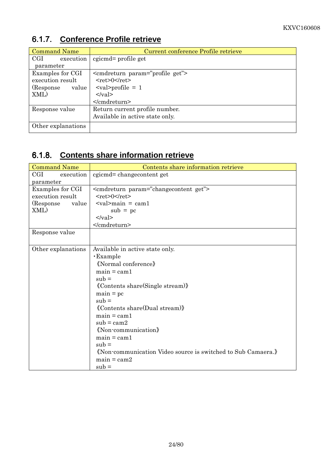#### Command Name Current conference Profile retrieve CGI execution parameter cgicmd= profile get Examples for CGI execution result (Response value XML) <cmdreturn param="profile get">  $<$ ret $>0$  $<$ /ret $>$  $\langle$ val>profile = 1  $\langle \text{val} \rangle$ </cmdreturn> Response value Return current profile number. Available in active state only. Other explanations

### 6.1.7. **Conference Profile retrieve**

### 6.1.8. **Contents share information retrieve**

| <b>Command Name</b> | Contents share information retrieve                                                                                                                                                                                                                                                                                                                                                    |
|---------------------|----------------------------------------------------------------------------------------------------------------------------------------------------------------------------------------------------------------------------------------------------------------------------------------------------------------------------------------------------------------------------------------|
| CGI<br>execution    | cgicmd=changecontent get                                                                                                                                                                                                                                                                                                                                                               |
| parameter           |                                                                                                                                                                                                                                                                                                                                                                                        |
| Examples for CGI    | <cmdreturn param="changecontent get"></cmdreturn>                                                                                                                                                                                                                                                                                                                                      |
| execution result    | $<$ ret>0 $<$ /ret>                                                                                                                                                                                                                                                                                                                                                                    |
| (Response)<br>value | $\alpha$ $\alpha$ $\beta$ $\alpha$ $\beta$ $\alpha$ $\beta$ $\alpha$ $\beta$ $\alpha$ $\beta$ $\alpha$ $\beta$ $\alpha$ $\beta$ $\alpha$ $\beta$ $\alpha$ $\beta$ $\alpha$ $\beta$ $\alpha$ $\beta$ $\alpha$ $\beta$ $\alpha$ $\beta$ $\alpha$ $\beta$ $\alpha$ $\beta$ $\alpha$ $\beta$ $\alpha$ $\beta$ $\alpha$ $\beta$ $\alpha$ $\beta$ $\alpha$ $\beta$ $\alpha$ $\beta$ $\alpha$ |
| XML)                | $sub = pc$                                                                                                                                                                                                                                                                                                                                                                             |
|                     | $\langle \text{val} \rangle$                                                                                                                                                                                                                                                                                                                                                           |
|                     |                                                                                                                                                                                                                                                                                                                                                                                        |
| Response value      |                                                                                                                                                                                                                                                                                                                                                                                        |
|                     |                                                                                                                                                                                                                                                                                                                                                                                        |
| Other explanations  | Available in active state only.                                                                                                                                                                                                                                                                                                                                                        |
|                     | <b>Example</b>                                                                                                                                                                                                                                                                                                                                                                         |
|                     | «Normal conference»                                                                                                                                                                                                                                                                                                                                                                    |
|                     | $main = cam1$                                                                                                                                                                                                                                                                                                                                                                          |
|                     | $sub =$                                                                                                                                                                                                                                                                                                                                                                                |
|                     | <i><u><b>K</b></u></i> Contents share (Single stream)                                                                                                                                                                                                                                                                                                                                  |
|                     | $main = pc$                                                                                                                                                                                                                                                                                                                                                                            |
|                     | $sub =$                                                                                                                                                                                                                                                                                                                                                                                |
|                     | «Contents share(Dual stream)                                                                                                                                                                                                                                                                                                                                                           |
|                     | $main = can1$                                                                                                                                                                                                                                                                                                                                                                          |
|                     | $sub = cam2$                                                                                                                                                                                                                                                                                                                                                                           |
|                     | «Non-communication»                                                                                                                                                                                                                                                                                                                                                                    |
|                     | $main = can1$                                                                                                                                                                                                                                                                                                                                                                          |
|                     | $sub =$                                                                                                                                                                                                                                                                                                                                                                                |
|                     | «Non-communication Video source is switched to Sub Camaera.»                                                                                                                                                                                                                                                                                                                           |
|                     | $main = cam2$                                                                                                                                                                                                                                                                                                                                                                          |
|                     | $sub =$                                                                                                                                                                                                                                                                                                                                                                                |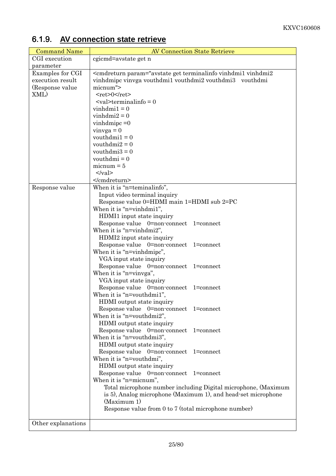| <b>Command Name</b> | <b>AV Connection State Retrieve</b>                                                                                                                                                                                                                                                                   |
|---------------------|-------------------------------------------------------------------------------------------------------------------------------------------------------------------------------------------------------------------------------------------------------------------------------------------------------|
| CGI execution       | cgicmd=avstate get n                                                                                                                                                                                                                                                                                  |
| parameter           |                                                                                                                                                                                                                                                                                                       |
| Examples for CGI    | <cmdreturn param="avstate get terminalinfo vinhdmi1 vinhdmi2&lt;/td&gt;&lt;/tr&gt;&lt;tr&gt;&lt;td&gt;execution result&lt;/td&gt;&lt;td&gt;vinhdmipc vinvga vouthdmi1 vouthdmi2 vouthdmi3 vouthdmi&lt;/td&gt;&lt;/tr&gt;&lt;tr&gt;&lt;td&gt;(Response value)&lt;/td&gt;&lt;td&gt;micnum"></cmdreturn> |
| XML)                | $<$ ret>0                                                                                                                                                                                                                                                                                             |
|                     | $\alpha$ <val>terminalinfo = 0</val>                                                                                                                                                                                                                                                                  |
|                     | $vinhdmi1 = 0$                                                                                                                                                                                                                                                                                        |
|                     | $vinhdmi2 = 0$                                                                                                                                                                                                                                                                                        |
|                     | vinhdmipc $=0$                                                                                                                                                                                                                                                                                        |
|                     | $vinya = 0$                                                                                                                                                                                                                                                                                           |
|                     | vouthdmi $1 = 0$                                                                                                                                                                                                                                                                                      |
|                     | vouthdmi $2 = 0$                                                                                                                                                                                                                                                                                      |
|                     | vouthdmi $3 = 0$                                                                                                                                                                                                                                                                                      |
|                     | vouthdmi = $0$                                                                                                                                                                                                                                                                                        |
|                     | $micnum = 5$                                                                                                                                                                                                                                                                                          |
|                     | $\langle \text{val} \rangle$                                                                                                                                                                                                                                                                          |
|                     |                                                                                                                                                                                                                                                                                                       |
| Response value      | When it is "n=teminalinfo",                                                                                                                                                                                                                                                                           |
|                     | Input video terminal inquiry                                                                                                                                                                                                                                                                          |
|                     | Response value 0=HDMI main 1=HDMI sub 2=PC                                                                                                                                                                                                                                                            |
|                     | When it is "n=vinhdmi1",                                                                                                                                                                                                                                                                              |
|                     | HDMI1 input state inquiry                                                                                                                                                                                                                                                                             |
|                     | Response value 0=non-connect 1=connect                                                                                                                                                                                                                                                                |
|                     | When it is "n=vinhdmi2",                                                                                                                                                                                                                                                                              |
|                     | HDMI2 input state inquiry                                                                                                                                                                                                                                                                             |
|                     | Response value 0=non-connect 1=connect                                                                                                                                                                                                                                                                |
|                     | When it is "n=vinhdmipc",                                                                                                                                                                                                                                                                             |
|                     | VGA input state inquiry<br>Response value 0=non-connect<br>$1 =$ connect                                                                                                                                                                                                                              |
|                     | When it is "n=vinvga",                                                                                                                                                                                                                                                                                |
|                     | VGA input state inquiry                                                                                                                                                                                                                                                                               |
|                     | Response value 0=non-connect 1=connect                                                                                                                                                                                                                                                                |
|                     | When it is "n=vouthdmi1",                                                                                                                                                                                                                                                                             |
|                     | HDMI output state inquiry                                                                                                                                                                                                                                                                             |
|                     | Response value 0=non-connect 1=connect                                                                                                                                                                                                                                                                |
|                     | When it is "n=vouthdmi2",                                                                                                                                                                                                                                                                             |
|                     | HDMI output state inquiry                                                                                                                                                                                                                                                                             |
|                     | Response value 0=non-connect<br>$1 =$ connect                                                                                                                                                                                                                                                         |
|                     | When it is "n=vouthdmi3",                                                                                                                                                                                                                                                                             |
|                     | HDMI output state inquiry                                                                                                                                                                                                                                                                             |
|                     | Response value 0=non-connect 1=connect                                                                                                                                                                                                                                                                |
|                     | When it is "n=vouthdmi",                                                                                                                                                                                                                                                                              |
|                     | HDMI output state inquiry                                                                                                                                                                                                                                                                             |
|                     | Response value 0=non-connect 1=connect                                                                                                                                                                                                                                                                |
|                     | When it is "n=micnum",                                                                                                                                                                                                                                                                                |
|                     | Total microphone number including Digital microphone, (Maximum                                                                                                                                                                                                                                        |
|                     | is 5), Analog microphone (Maximum 1), and head-set microphone                                                                                                                                                                                                                                         |
|                     | (Maximum 1)                                                                                                                                                                                                                                                                                           |
|                     | Response value from 0 to 7 (total microphone number)                                                                                                                                                                                                                                                  |
|                     |                                                                                                                                                                                                                                                                                                       |
| Other explanations  |                                                                                                                                                                                                                                                                                                       |

# 6.1.9. **AV connection state retrieve**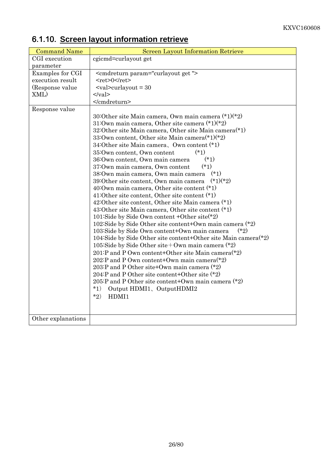| <b>Command Name</b> | <b>Screen Layout Information Retrieve</b>                                                               |
|---------------------|---------------------------------------------------------------------------------------------------------|
| CGI execution       | cgicmd=curlayout get                                                                                    |
| parameter           |                                                                                                         |
| Examples for CGI    | <cmdreturn param="curlayout get"></cmdreturn>                                                           |
| execution result    | $<$ ret>0                                                                                               |
| (Response value     | $\alpha$ <val>curlayout = 30</val>                                                                      |
| XML)                | $\langle \text{val} \rangle$                                                                            |
|                     |                                                                                                         |
| Response value      |                                                                                                         |
|                     | 30:Other site Main camera, Own main camera $(*1)(*2)$                                                   |
|                     | 31:0wn main camera, Other site camera $(*1)(*2)$                                                        |
|                     | 32:Other site Main camera, Other site Main camera $(*)$                                                 |
|                     | 33:Own content, Other site Main camera $(*1)(*2)$                                                       |
|                     | 34:Other site Main camera, Own content (*1)                                                             |
|                     | $(*1)$<br>35:0wn content, 0wn content                                                                   |
|                     | $(*1)$<br>36: Own content, Own main camera                                                              |
|                     | $(*1)$<br>37:0wn main camera, 0wn content                                                               |
|                     | 38:0wn main camera, 0wn main camera (*1)                                                                |
|                     | $(*1)(*2)$<br>39:Other site content, Own main camera                                                    |
|                     | 40:0wn main camera, Other site content $(*)$                                                            |
|                     | 41:Other site content, Other site content $(*)$                                                         |
|                     | 42:Other site content, Other site Main camera (*1)                                                      |
|                     | 43: Other site Main camera, Other site content $(*)$                                                    |
|                     | 101:Side by Side Own content + Other site $*2$                                                          |
|                     | 102:Side by Side Other site content+Own main camera $(*2)$                                              |
|                     | $(*2)$<br>103: Side by Side Own content+Own main camera                                                 |
|                     | 104:Side by Side Other site content+Other site Main camera $(*)$                                        |
|                     | 105:Side by Side Other site + Own main camera $(*2)$                                                    |
|                     | 201:P and P Own content+Other site Main camera $(*2)$<br>202:P and P Own content+Own main camera $(*2)$ |
|                     | 203:P and P Other site+Own main camera $(*2)$                                                           |
|                     | 204:P and P Other site content+Other site (*2)                                                          |
|                     | 205:P and P Other site content+Own main camera $(*2)$                                                   |
|                     | $*1)$<br>Output HDMI1, OutputHDMI2                                                                      |
|                     | $*_{2}$<br>HDMI1                                                                                        |
|                     |                                                                                                         |
|                     |                                                                                                         |
| Other explanations  |                                                                                                         |

# 6.1.10. **Screen layout information retrieve**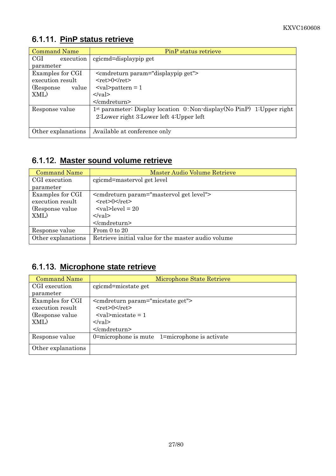# 6.1.11. **PinP status retrieve**

| <b>Command Name</b>               | PinP status retrieve                                                   |
|-----------------------------------|------------------------------------------------------------------------|
| $\operatorname{CGI}$<br>execution | cgicmd=displaypip get                                                  |
| parameter                         |                                                                        |
| Examples for CGI                  | <cmdreturn param="displaypip get"></cmdreturn>                         |
| execution result                  | $<$ ret $>0$ $<$ /ret $>$                                              |
| (Response)<br>value               | $\langle \text{val}\rangle$ pattern = 1                                |
| XML)                              | $\langle \nabla \times$                                                |
|                                   |                                                                        |
| Response value                    | 1st parameter: Display location 0: Non-display(No PinP) 1: Upper right |
|                                   | 2:Lower right 3:Lower left 4:Upper left                                |
|                                   |                                                                        |
| Other explanations                | Available at conference only                                           |

# 6.1.12. **Master sound volume retrieve**

| <b>Command Name</b> | <b>Master Audio Volume Retrieve</b>                 |
|---------------------|-----------------------------------------------------|
| CGI execution       | cgicmd=mastervol get level                          |
| parameter           |                                                     |
| Examples for CGI    | <cmdreturn param="mastervol get level"></cmdreturn> |
| execution result    | $<$ ret $>0$ $<$ /ret $>$                           |
| (Response value)    | $\langle \text{val}\rangle$ -level = 20             |
| XML)                | $\langle \text{val} \rangle$                        |
|                     |                                                     |
| Response value      | From $0$ to $20$                                    |
| Other explanations  | Retrieve initial value for the master audio volume  |

# 6.1.13. **Microphone state retrieve**

| <b>Command Name</b> | Microphone State Retrieve                        |
|---------------------|--------------------------------------------------|
| CGI execution       | cgicmd=micstate get                              |
| parameter           |                                                  |
| Examples for CGI    | <cmdreturn param="micstate get"></cmdreturn>     |
| execution result    | $<$ ret $>0$ $<$ /ret $>$                        |
| (Response value)    | $\langle \text{val}\rangle$ micstate = 1         |
| XML)                | $\langle \nabla \times a \rangle$                |
|                     | $<$ /cmdreturn>                                  |
| Response value      | 0=microphone is mute $1=$ microphone is activate |
| Other explanations  |                                                  |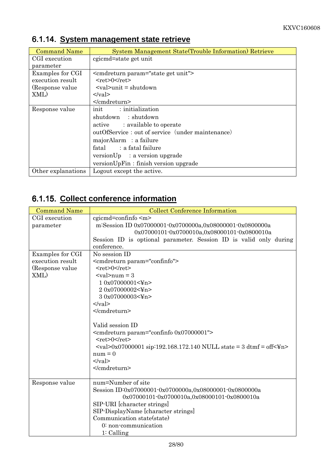| <b>Command Name</b> | System Management State (Trouble Information) Retrieve          |
|---------------------|-----------------------------------------------------------------|
| CGI execution       | cgicmd=state get unit                                           |
| parameter           |                                                                 |
| Examples for CGI    | <cmdreturn param="state get unit"></cmdreturn>                  |
| execution result    | $<$ ret>0 $\le$ /ret>                                           |
| (Response value)    | $\langle \text{val}\rangle$ and $\text{eval}\rangle$ = shutdown |
| XML)                | $\langle \text{val} \rangle$                                    |
|                     | $\le$ /cmdreturn>                                               |
| Response value      | init : initialization                                           |
|                     | shutdown : shutdown                                             |
|                     | active : available to operate                                   |
|                     | outOfService: out of service (under maintenance)                |
|                     | majorAlarm : a failure                                          |
|                     | fatal : a fatal failure                                         |
|                     | versionUp : a version upgrade                                   |
|                     | versionUpFin: finish version upgrade                            |
| Other explanations  | Logout except the active.                                       |

# 6.1.14. **System management state retrieve**

# 6.1.15. **Collect conference information**

| <b>Command Name</b> | <b>Collect Conference Information</b>                                                                                      |
|---------------------|----------------------------------------------------------------------------------------------------------------------------|
| CGI execution       | cgicmd=confinfo <m></m>                                                                                                    |
| parameter           | m:Session ID 0x07000001-0x0700000a,0x08000001-0x0800000a                                                                   |
|                     | 0x07000101-0x0700010a,0x08000101-0x0800010a                                                                                |
|                     | Session ID is optional parameter. Session ID is valid only during                                                          |
|                     | conference.                                                                                                                |
| Examples for CGI    | No session ID                                                                                                              |
| execution result    | <cmdreturn param="confinfo"></cmdreturn>                                                                                   |
| (Response value)    | $<$ ret>0                                                                                                                  |
| XML)                | $\langle \mathrm{val} \rangle$ num = 3                                                                                     |
|                     | 10x07000001<¥n>                                                                                                            |
|                     | 20x07000002<¥n>                                                                                                            |
|                     | 30x07000003<¥n>                                                                                                            |
|                     | $\langle \text{val} \rangle$                                                                                               |
|                     |                                                                                                                            |
|                     |                                                                                                                            |
|                     | Valid session ID                                                                                                           |
|                     | <cmdreturn param="confinfo 0x07000001"></cmdreturn>                                                                        |
|                     | $<$ ret>0                                                                                                                  |
|                     | $\langle \text{val} \rangle 0x07000001 \text{ sip}$ :192.168.172.140 NULL state = 3 dtmf = off $\langle \text{Yn} \rangle$ |
|                     | $num = 0$                                                                                                                  |
|                     | $\langle \text{val} \rangle$                                                                                               |
|                     |                                                                                                                            |
|                     |                                                                                                                            |
| Response value      | num=Number of site                                                                                                         |
|                     | Session ID:0x07000001-0x0700000a,0x08000001-0x0800000a                                                                     |
|                     | 0x07000101-0x0700010a,0x08000101-0x0800010a                                                                                |
|                     | SIP-URI [character strings]                                                                                                |
|                     | SIP-DisplayName [character strings]                                                                                        |
|                     | Communication state(state)                                                                                                 |
|                     | 0: non-communication                                                                                                       |
|                     | $1:$ Calling                                                                                                               |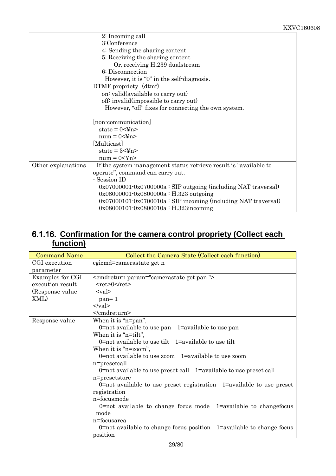|                    | 2: Incoming call                                                   |
|--------------------|--------------------------------------------------------------------|
|                    | 3:Conference                                                       |
|                    | 4: Sending the sharing content                                     |
|                    | 5: Receiving the sharing content                                   |
|                    | Or, receiving H.239 dualstream                                     |
|                    | 6: Disconnection                                                   |
|                    | However, it is "0" in the self-diagnosis.                          |
|                    | DTMF propriety (dtmf)                                              |
|                    | on: valid(available to carry out)                                  |
|                    | off: invalid(impossible to carry out)                              |
|                    | However, "off" fixes for connecting the own system.                |
|                    |                                                                    |
|                    | [non-communication]                                                |
|                    | state = $0<\frac{y}{x}n$                                           |
|                    | $num = 0 < \text{Fn}$                                              |
|                    | [Multicast]                                                        |
|                    | state = $3<\nvert$ and $n$                                         |
|                    | $num = 0 < Yn>$                                                    |
| Other explanations | - If the system management status retrieve result is "available to |
|                    | operate", command can carry out.                                   |
|                    | - Session ID                                                       |
|                    | $0x07000001 - 0x0700000a$ : SIP outgoing (including NAT traversal) |
|                    | $0x08000001 - 0x0800000a : H.323$ outgoing                         |
|                    | $0x07000101 - 0x0700010a$ : SIP incoming (including NAT traversal) |
|                    | $0x08000101 - 0x0800010a : H.323$ incoming                         |

### 6.1.16. **Confirmation for the camera control propriety (Collect each function)**

| <b>Command Name</b> | Collect the Camera State (Collect each function)                        |
|---------------------|-------------------------------------------------------------------------|
| CGI execution       | cgicmd=camerastate get n                                                |
| parameter           |                                                                         |
| Examples for CGI    | <cmdreturn param="camerastate get pan"></cmdreturn>                     |
| execution result    | $<$ ret>0 $<$ /ret>                                                     |
| (Response value)    | $<$ val $>$                                                             |
| XML)                | $pan=1$                                                                 |
|                     | $\langle \text{val} \rangle$                                            |
|                     |                                                                         |
| Response value      | When it is "n=pan",                                                     |
|                     | 0=not available to use $pan$ 1=available to use $pan$                   |
|                     | When it is "n=tilt",                                                    |
|                     | $0$ =not available to use tilt $1$ =available to use tilt               |
|                     | When it is "n=zoom",                                                    |
|                     | 0=not available to use zoom $1$ =available to use zoom                  |
|                     | n=presetcall                                                            |
|                     | $0$ =not available to use preset call $1$ =available to use preset call |
|                     | n=presetstore                                                           |
|                     | $0$ =not available to use preset registration 1=available to use preset |
|                     | registration                                                            |
|                     | n=focusmode                                                             |
|                     | $0$ =not available to change focus mode $1$ =available to changefocus   |
|                     | mode                                                                    |
|                     | n=focusarea                                                             |
|                     | $0$ =not available to change focus position 1=available to change focus |
|                     | position                                                                |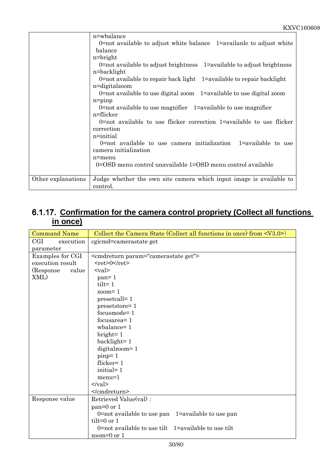|                    | n=wbalance                                                                  |
|--------------------|-----------------------------------------------------------------------------|
|                    | 0=not available to adjust white balance $1$ =availanle to adjust white      |
|                    | balance                                                                     |
|                    | $n = bright$                                                                |
|                    | $0$ =not available to adjust brightness $1$ =available to adjust brightness |
|                    | n=backlight                                                                 |
|                    | $0$ =not available to repair back light 1=available to repair backlight     |
|                    | n=digitalzoom                                                               |
|                    | $0$ =not available to use digital zoom $1$ =available to use digital zoom   |
|                    | $n = p$ inp                                                                 |
|                    | $0$ =not available to use magnifier $1$ =available to use magnifier         |
|                    | n=flicker                                                                   |
|                    | $0$ =not available to use flicker correction $1$ =available to use flicker  |
|                    | correction                                                                  |
|                    | n=initial                                                                   |
|                    | 0=not available to use camera initialization $1$ =available to use          |
|                    | camera initialization                                                       |
|                    | n=menu                                                                      |
|                    | 0=OSD menu control unavailable 1=OSD menu control available                 |
|                    |                                                                             |
| Other explanations | Judge whether the own site camera which input image is available to         |
|                    | control.                                                                    |

## 6.1.17. **Confirmation for the camera control propriety (Collect all functions in once)**

| <b>Command Name</b> | Collect the Camera State (Collect all functions in once) from $\langle V3.0 \rangle$ |
|---------------------|--------------------------------------------------------------------------------------|
| CGI<br>execution    | cgicmd=camerastate get                                                               |
| parameter           |                                                                                      |
| Examples for CGI    | <cmdreturn param="camerastate get"></cmdreturn>                                      |
| execution result    | $<$ ret>0                                                                            |
| (Response)<br>value | $<$ val $>$                                                                          |
| XML)                | $pan=1$                                                                              |
|                     | $tilt = 1$                                                                           |
|                     | $zoom=1$                                                                             |
|                     | presetcall=1                                                                         |
|                     | presetstore=1                                                                        |
|                     | $focusing mode = 1$                                                                  |
|                     | focusarea=1                                                                          |
|                     | $wbalance = 1$                                                                       |
|                     | $bright=1$                                                                           |
|                     | $backlight=1$                                                                        |
|                     | digitalzoom=1                                                                        |
|                     | pinp=1                                                                               |
|                     | flicker= $1$                                                                         |
|                     | initial=1                                                                            |
|                     | $menu=1$                                                                             |
|                     | $\langle \text{val} \rangle$                                                         |
|                     |                                                                                      |
| Response value      | Retrieved Value(val):                                                                |
|                     | $pan=0$ or 1                                                                         |
|                     | 0=not available to use $pan$ 1=available to use $pan$                                |
|                     | tilt= $0$ or $1$                                                                     |
|                     | 0=not available to use tilt $1=$ available to use tilt                               |
|                     | zoom= $0$ or $1$                                                                     |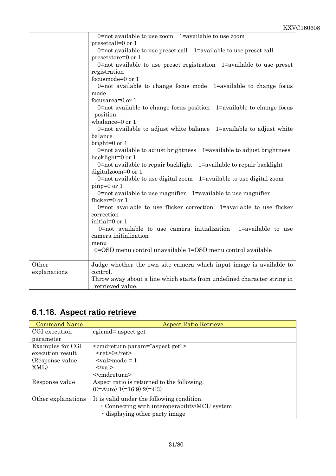|              | 0=not available to use zoom $1=$ available to use zoom                  |
|--------------|-------------------------------------------------------------------------|
|              | presetcall=0 or 1                                                       |
|              | 0=not available to use preset call 1=available to use preset call       |
|              | presetstore=0 or 1                                                      |
|              | $0$ =not available to use preset registration 1=available to use preset |
|              | registration                                                            |
|              | focusmode=0 or 1                                                        |
|              | $0$ =not available to change focus mode 1=available to change focus     |
|              | mode                                                                    |
|              | focusarea=0 or 1                                                        |
|              | $0$ =not available to change focus position 1=available to change focus |
|              | position                                                                |
|              | wbalance=0 or 1                                                         |
|              | 0=not available to adjust white balance 1=available to adjust white     |
|              | balance                                                                 |
|              | bright= $0$ or $1$                                                      |
|              | 0=not available to adjust brightness 1=available to adjust brightness   |
|              | backlight=0 or 1                                                        |
|              | 0=not available to repair backlight 1=available to repair backlight     |
|              | digitalzoom=0 or 1                                                      |
|              | 0=not available to use digital zoom $1=$ available to use digital zoom  |
|              | $pinp=0$ or 1                                                           |
|              | 0=not available to use magnifier $1=$ available to use magnifier        |
|              | flicker=0 or 1                                                          |
|              | 0=not available to use flicker correction 1=available to use flicker    |
|              | correction                                                              |
|              | initial=0 or 1                                                          |
|              | 0=not available to use camera initialization $1$ =available to use      |
|              | camera initialization                                                   |
|              |                                                                         |
|              | menu<br>0=OSD menu control unavailable 1=OSD menu control available     |
|              |                                                                         |
| Other        |                                                                         |
|              | Judge whether the own site camera which input image is available to     |
| explanations | control.                                                                |
|              | Throw away about a line which starts from undefined character string in |
|              | retrieved value.                                                        |

# 6.1.18. **Aspect ratio retrieve**

| <b>Command Name</b> | <b>Aspect Ratio Retrieve</b>                  |
|---------------------|-----------------------------------------------|
| CGI execution       | cgicmd= aspect get                            |
| parameter           |                                               |
| Examples for CGI    | <cmdreturn param="aspect get"></cmdreturn>    |
| execution result    | $<$ ret $>0$ $<$ /ret $>$                     |
| (Response value)    | $\langle \text{val}\rangle$ mode = 1          |
| XML)                | $\langle \nabla \times$                       |
|                     | $\le$ /cmdreturn>                             |
| Response value      | Aspect ratio is returned to the following.    |
|                     | $0 (= Auto), 1 (= 16:9), 2 (=4:3)$            |
| Other explanations  | It is valid under the following condition.    |
|                     | • Connecting with interoperability/MCU system |
|                     | displaying other party image                  |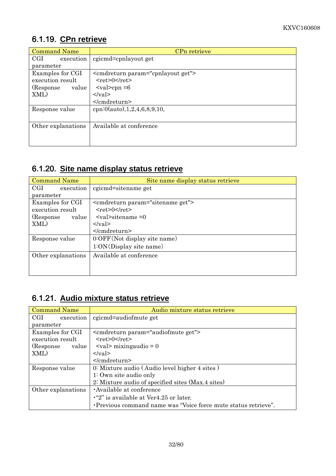# 6.1.19. **CPn retrieve**

| <b>Command Name</b> | CPn retrieve                                  |
|---------------------|-----------------------------------------------|
| CGI<br>execution    | cgicmd=cpnlayout get                          |
| parameter           |                                               |
| Examples for CGI    | <cmdreturn param="cpnlayout get"></cmdreturn> |
| execution result    | $<$ ret $>0$ $<$ /ret $>$                     |
| (Response)<br>value | $\langle \text{val}\rangle$ = 6               |
| XML)                | $\langle \mathrm{val} \rangle$                |
|                     | $\le$ /cmdreturn>                             |
| Response value      | cpn:0(auto), $1, 2, 4, 6, 8, 9, 10$ ,         |
|                     |                                               |
| Other explanations  | Available at conference                       |
|                     |                                               |
|                     |                                               |

# 6.1.20. **Site name display status retrieve**

| <b>Command Name</b> | Site name display status retrieve            |
|---------------------|----------------------------------------------|
| CGI<br>execution    | cgicmd=sitename get                          |
| parameter           |                                              |
| Examples for CGI    | <cmdreturn param="sitename get"></cmdreturn> |
| execution result    | $<$ ret $>0$ $<$ /ret $>$                    |
| (Response)<br>value | $\langle \mathrm{val}\rangle$ sitename = 0   |
| XML)                | $\langle \mathrm{val} \rangle$               |
|                     | $<$ /cmdreturn>                              |
| Response value      | 0:OFF(Not display site name)                 |
|                     | 1:ON(Display site name)                      |
| Other explanations  | Available at conference                      |
|                     |                                              |
|                     |                                              |

# 6.1.21. **Audio mixture status retrieve**

| <b>Command Name</b> | Audio mixture status retrieve                                   |
|---------------------|-----------------------------------------------------------------|
| CGI<br>execution    | cgicmd=audiofmute get                                           |
| parameter           |                                                                 |
| Examples for CGI    | <cmdreturn param="audiofmute get"></cmdreturn>                  |
| execution result    | $<$ ret>0 $<$ /ret>                                             |
| (Response)<br>value | $\langle \text{val}\rangle$ mixing audio = 0                    |
| XML)                | $\langle \mathrm{val} \rangle$                                  |
|                     | $<$ /cmdreturn>                                                 |
| Response value      | 0: Mixture audio (Audio level higher 4 sites)                   |
|                     | $1:$ Own site audio only                                        |
|                     | 2: Mixture audio of specified sites (Max.4 sites)               |
| Other explanations  | Available at conference                                         |
|                     | $\cdot$ "2" is available at Ver4.25 or later.                   |
|                     | . Previous command name was "Voice force mute status retrieve". |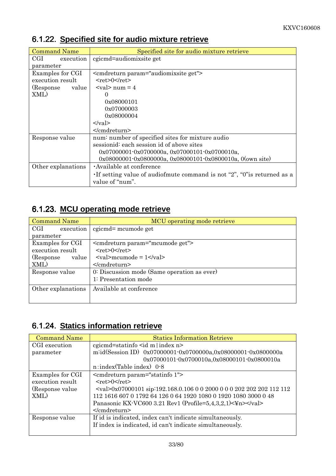| <b>Command Name</b> | Specified site for audio mixture retrieve                                    |
|---------------------|------------------------------------------------------------------------------|
| CGI<br>execution    | cgicmd=audiomixsite get                                                      |
| parameter           |                                                                              |
| Examples for CGI    | <cmdreturn param="audiomixsite get"></cmdreturn>                             |
| execution result    | $<$ ret $>0$ $<$ /ret $>$                                                    |
| (Response)<br>value | $\langle \text{val} \rangle$ num = 4                                         |
| XML)                | 0                                                                            |
|                     | 0x08000101                                                                   |
|                     | 0x07000003                                                                   |
|                     | 0x08000004                                                                   |
|                     | $\langle \text{val} \rangle$                                                 |
|                     | $\le$ /cmdreturn>                                                            |
| Response value      | num: number of specified sites for mixture audio                             |
|                     | sessionid: each session id of above sites                                    |
|                     | $0x07000001 - 0x0700000a, 0x07000101 - 0x0700010a,$                          |
|                     | $0x08000001 - 0x0800000a$ , $0x08000101 - 0x0800010a$ , $0(\text{own site})$ |
| Other explanations  | Available at conference                                                      |
|                     | If setting value of audiofmute command is not "2", "0" is returned as a      |
|                     | value of "num".                                                              |

# 6.1.22. **Specified site for audio mixture retrieve**

# 6.1.23. **MCU operating mode retrieve**

| <b>Command Name</b>               | MCU operating mode retrieve                                        |
|-----------------------------------|--------------------------------------------------------------------|
| $\operatorname{CGI}$<br>execution | cgicmd= mcumode get                                                |
| parameter                         |                                                                    |
| Examples for CGI                  | <cmdreturn param="mcumode get"></cmdreturn>                        |
| execution result                  | $<$ ret>0 $<$ /ret>                                                |
| (Response)<br>value               | $\langle \text{val}\rangle$ mcumode = $1\langle \text{val}\rangle$ |
| XML)                              | $\le$ /cmdreturn>                                                  |
| Response value                    | 0: Discussion mode (Same operation as ever)                        |
|                                   | 1: Presentation mode                                               |
| Other explanations                | Available at conference                                            |
|                                   |                                                                    |

## 6.1.24. **Statics information retrieve**

| <b>Command Name</b> | <b>Statics Information Retrieve</b>                                                             |
|---------------------|-------------------------------------------------------------------------------------------------|
| CGI execution       | cgicmd=statinfo $\leq$ id m index n>                                                            |
| parameter           | m:id(Session ID) 0x07000001-0x0700000a,0x08000001-0x0800000a                                    |
|                     | $0x07000101 - 0x0700010a, 0x08000101 - 0x0800010a$                                              |
|                     | $n:index(Table index)$ 0.8                                                                      |
| Examples for CGI    | <cmdreturn param="statinfo 1"></cmdreturn>                                                      |
| execution result    | $<$ ret>0 $<$ /ret>                                                                             |
| (Response value)    | <val>0x07000101 sip:192.168.0.106 0 0 2000 0 0 0 202 202 202 112 112</val>                      |
| XML)                | 112 1616 607 0 1792 64 126 0 64 1920 1080 0 1920 1080 3000 0 48                                 |
|                     | Panasonic KX-VC600 3.21 Rev1 (Profile= $5,4,3,2,1$ )< $\frac{\text{Yn} < \text{Yn}}{\text{Yn}}$ |
|                     | $<$ /cmdreturn>                                                                                 |
| Response value      | If id is indicated, index can't indicate simultaneously.                                        |
|                     | If index is indicated, id can't indicate simultaneously.                                        |
|                     |                                                                                                 |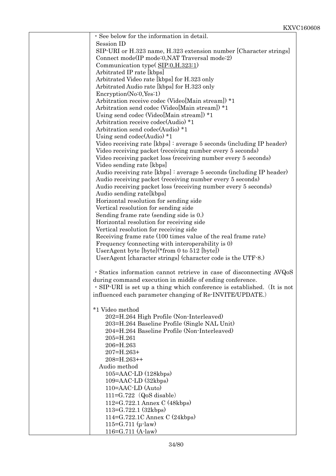| · See below for the information in detail.                              |  |
|-------------------------------------------------------------------------|--|
| Session ID                                                              |  |
| SIP-URI or H.323 name, H.323 extension number [Character strings]       |  |
| Connect mode(IP mode:0, NAT Traversal mode:2)                           |  |
| Communication type $(SIP:0,H.323:1)$                                    |  |
| Arbitrated IP rate [kbps]                                               |  |
| Arbitrated Video rate [kbps] for H.323 only                             |  |
| Arbitrated Audio rate [kbps] for H.323 only                             |  |
| EncryptionNo:0,Yes:1)                                                   |  |
| Arbitration receive codec (Video[Main stream]) *1                       |  |
| Arbitration send codec (Video[Main stream]) *1                          |  |
| Using send codec (Video[Main stream]) *1                                |  |
| Arbitration receive codec(Audio) *1                                     |  |
| Arbitration send codec(Audio) *1                                        |  |
| Using send codec(Audio) $*1$                                            |  |
| Video receiving rate $[kbps]$ : average 5 seconds (including IP header) |  |
| Video receiving packet (receiving number every 5 seconds)               |  |
| Video receiving packet loss (receiving number every 5 seconds)          |  |
| Video sending rate [kbps]                                               |  |
| Audio receiving rate [kbps]: average 5 seconds (including IP header)    |  |
| Audio receiving packet (receiving number every 5 seconds)               |  |
| Audio receiving packet loss (receiving number every 5 seconds)          |  |
| Audio sending rate [kbps]                                               |  |
| Horizontal resolution for sending side                                  |  |
| Vertical resolution for sending side                                    |  |
| Sending frame rate (sending side is 0.)                                 |  |
| Horizontal resolution for receiving side                                |  |
| Vertical resolution for receiving side                                  |  |
| Receiving frame rate (100 times value of the real frame rate)           |  |
| Frequency (connecting with interoperability is 0)                       |  |
| UserAgent byte $[byte]$ <sup>*</sup> from 0 to 512 $[byte]$             |  |
| UserAgent [character strings] (character code is the UTF-8.)            |  |
|                                                                         |  |
| · Statics information cannot retrieve in case of disconnecting AVQoS    |  |
| during command execution in middle of ending conference.                |  |
| · SIP-URI is set up a thing which conference is established. (It is not |  |
| influenced each parameter changing of Re-INVITE/UPDATE.)                |  |
|                                                                         |  |
| *1 Video method                                                         |  |
| 202=H.264 High Profile (Non-Interleaved)                                |  |
| 203=H.264 Baseline Profile (Single NAL Unit)                            |  |
| 204=H.264 Baseline Profile (Non-Interleaved)                            |  |
| 205=H.261                                                               |  |
| 206=H.263                                                               |  |
| $207 = H.263 +$                                                         |  |
| $208 = H.263++$                                                         |  |
| Audio method                                                            |  |
| $105 = AAC$ -LD $(128kbps)$                                             |  |
| $109 = AAC$ -LD $(32kbps)$                                              |  |
| 110=AAC-LD (Auto)                                                       |  |
| $111 = G.722$ (QoS disable)                                             |  |
| 112=G.722.1 Annex C (48kbps)                                            |  |
| $113 = G.722.1 (32kbps)$                                                |  |
| 114=G.722.1C Annex C (24kbps)                                           |  |
| $115 = G.711$ ( $\mu$ -law)                                             |  |
| $116 = G.711 (A-law)$                                                   |  |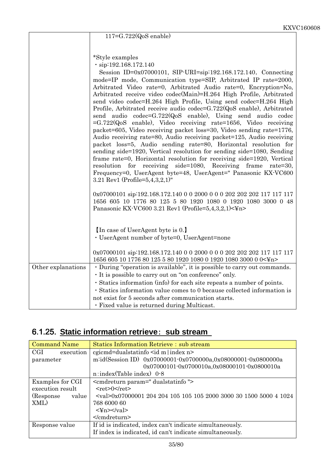|                    | <b>KAV</b>                                                                                                                                                                                                                                                                                                                                                                                                                                                                                                                                                                                                                                                                                                                                                                                                                                                                                                                                                                                                                                                                                                                                                 |
|--------------------|------------------------------------------------------------------------------------------------------------------------------------------------------------------------------------------------------------------------------------------------------------------------------------------------------------------------------------------------------------------------------------------------------------------------------------------------------------------------------------------------------------------------------------------------------------------------------------------------------------------------------------------------------------------------------------------------------------------------------------------------------------------------------------------------------------------------------------------------------------------------------------------------------------------------------------------------------------------------------------------------------------------------------------------------------------------------------------------------------------------------------------------------------------|
|                    | $117 = G.722$ (QoS enable)                                                                                                                                                                                                                                                                                                                                                                                                                                                                                                                                                                                                                                                                                                                                                                                                                                                                                                                                                                                                                                                                                                                                 |
|                    |                                                                                                                                                                                                                                                                                                                                                                                                                                                                                                                                                                                                                                                                                                                                                                                                                                                                                                                                                                                                                                                                                                                                                            |
|                    | *Style examples<br>$\cdot$ sip:192.168.172.140<br>Session ID=0x07000101, SIP-URI=sip:192.168.172.140, Connecting<br>mode=IP mode, Communication type=SIP, Arbitrated IP rate=2000,<br>Arbitrated Video rate=0, Arbitrated Audio rate=0, Encryption=No,<br>Arbitrated receive video codec(Main)=H.264 High Profile, Arbitrated<br>send video codec=H.264 High Profile, Using send codec=H.264 High<br>Profile, Arbitrated receive audio codec=G.722(QoS enable), Arbitrated<br>send audio codec=G.722(QoS enable), Using send audio codec<br>$=G.722(QoS)$ enable), Video receiving rate=1656, Video receiving<br>packet=605, Video receiving packet loss=30, Video sending rate=1776,<br>Audio receiving rate=80, Audio receiving packet=125, Audio receiving<br>packet loss=5, Audio sending rate=80, Horizontal resolution for<br>sending side=1920, Vertical resolution for sending side=1080, Sending<br>frame rate=0, Horizontal resolution for receiving side=1920, Vertical<br>resolution for receiving side=1080, Receiving frame rate=30,<br>Frequency=0, UserAgent byte=48, UserAgent=" Panasonic KX-VC600<br>3.21 Rev1 (Profile= $5,4,3,2,1$ )" |
|                    | 0x07000101 sip:192.168.172.140 0 0 2000 0 0 0 202 202 202 117 117 117<br>1656 605 10 1776 80 125 5 80 1920 1080 0 1920 1080 3000 0 48<br>Panasonic KX-VC600 3.21 Rev1 (Profile=5,4,3,2,1)<¥n><br>In case of UserAgent byte is 0.                                                                                                                                                                                                                                                                                                                                                                                                                                                                                                                                                                                                                                                                                                                                                                                                                                                                                                                           |
|                    | · UserAgent number of byte=0, UserAgent=none                                                                                                                                                                                                                                                                                                                                                                                                                                                                                                                                                                                                                                                                                                                                                                                                                                                                                                                                                                                                                                                                                                               |
|                    | 0x07000101 sip:192.168.172.140 0 0 2000 0 0 0 202 202 202 117 117 117<br>1656 605 10 1776 80 125 5 80 1920 1080 0 1920 1080 3000 0 0<¥n>                                                                                                                                                                                                                                                                                                                                                                                                                                                                                                                                                                                                                                                                                                                                                                                                                                                                                                                                                                                                                   |
| Other explanations | · During "operation is available", it is possible to carry out commands.                                                                                                                                                                                                                                                                                                                                                                                                                                                                                                                                                                                                                                                                                                                                                                                                                                                                                                                                                                                                                                                                                   |
|                    | • It is possible to carry out on "on conference" only.                                                                                                                                                                                                                                                                                                                                                                                                                                                                                                                                                                                                                                                                                                                                                                                                                                                                                                                                                                                                                                                                                                     |
|                    | · Statics information (info) for each site repeats a number of points.                                                                                                                                                                                                                                                                                                                                                                                                                                                                                                                                                                                                                                                                                                                                                                                                                                                                                                                                                                                                                                                                                     |
|                    | · Statics information value comes to 0 because collected information is                                                                                                                                                                                                                                                                                                                                                                                                                                                                                                                                                                                                                                                                                                                                                                                                                                                                                                                                                                                                                                                                                    |
|                    | not exist for 5 seconds after communication starts.                                                                                                                                                                                                                                                                                                                                                                                                                                                                                                                                                                                                                                                                                                                                                                                                                                                                                                                                                                                                                                                                                                        |
|                    | · Fixed value is returned during Multicast.                                                                                                                                                                                                                                                                                                                                                                                                                                                                                                                                                                                                                                                                                                                                                                                                                                                                                                                                                                                                                                                                                                                |

# 6.1.25. **Static information retrieve**: **sub stream**

| <b>Command Name</b>     | <b>Statics Information Retrieve : sub stream</b>                                       |
|-------------------------|----------------------------------------------------------------------------------------|
| <b>CGI</b><br>execution | cgicmd=dualstatinfo $\leq$ id m index n>                                               |
| parameter               | m:id(Session ID) 0x07000001-0x0700000a,0x08000001-0x0800000a                           |
|                         | 0x07000101-0x0700010a,0x08000101-0x0800010a                                            |
|                         | $n:index(Table index)$ 0-8                                                             |
| Examples for CGI        | <cmdreturn param=" dualstatinfo "></cmdreturn>                                         |
| execution result        | $<$ ret $>0$ $<$ /ret $>$                                                              |
| (Response)<br>value     | $\langle \text{val} \rangle 0 \text{x} 0700000120420410510510520003000301500500041024$ |
| XML)                    | 768 6000 60                                                                            |
|                         | $\langle \Psi$ n> $\langle \Psi \rangle$                                               |
|                         |                                                                                        |
| Response value          | If id is indicated, index can't indicate simultaneously.                               |
|                         | If index is indicated, id can't indicate simultaneously.                               |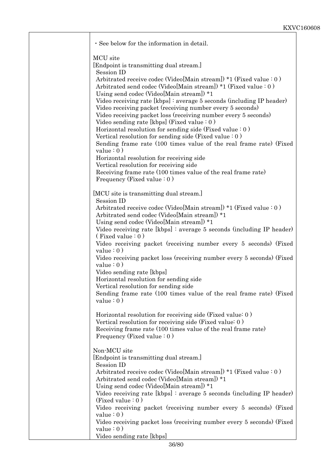| · See below for the information in detail.                                                                                                                                                                                                                                                                                                                                                                                                                                                                                                                                                                                                                                                                                                                                                                                                                                                                                 |
|----------------------------------------------------------------------------------------------------------------------------------------------------------------------------------------------------------------------------------------------------------------------------------------------------------------------------------------------------------------------------------------------------------------------------------------------------------------------------------------------------------------------------------------------------------------------------------------------------------------------------------------------------------------------------------------------------------------------------------------------------------------------------------------------------------------------------------------------------------------------------------------------------------------------------|
| MCU site<br>[Endpoint is transmitting dual stream.]<br>Session ID<br>Arbitrated receive codec (Video[Main stream]) *1 (Fixed value: 0)<br>Arbitrated send codec (Video[Main stream]) *1 (Fixed value: 0)<br>Using send codec (Video[Main stream]) *1<br>Video receiving rate [kbps]: average 5 seconds (including IP header)<br>Video receiving packet (receiving number every 5 seconds)<br>Video receiving packet loss (receiving number every 5 seconds)<br>Video sending rate [kbps] (Fixed value $: 0$ )<br>Horizontal resolution for sending side (Fixed value $: 0$ )<br>Vertical resolution for sending side (Fixed value $: 0)$ )<br>Sending frame rate (100 times value of the real frame rate) (Fixed<br>value $: 0)$<br>Horizontal resolution for receiving side<br>Vertical resolution for receiving side<br>Receiving frame rate (100 times value of the real frame rate)<br>Frequency (Fixed value $: 0)$ ) |
| [MCU site is transmitting dual stream.]<br>Session ID<br>Arbitrated receive codec (Video[Main stream]) *1 (Fixed value: 0)<br>Arbitrated send codec (Video[Main stream]) *1<br>Using send codec (Video[Main stream]) *1<br>Video receiving rate $[kbps]$ : average 5 seconds (including IP header)<br>(Fixed value: 0)<br>Video receiving packet (receiving number every 5 seconds) (Fixed<br>value $: 0)$<br>Video receiving packet loss (receiving number every 5 seconds) (Fixed<br>value $: 0)$<br>Video sending rate [kbps]<br>Horizontal resolution for sending side<br>Vertical resolution for sending side<br>Sending frame rate (100 times value of the real frame rate) (Fixed<br>value $: 0)$                                                                                                                                                                                                                   |
| Horizontal resolution for receiving side (Fixed value: 0)<br>Vertical resolution for receiving side (Fixed value: 0)<br>Receiving frame rate (100 times value of the real frame rate)<br>Frequency (Fixed value $: 0)$ )                                                                                                                                                                                                                                                                                                                                                                                                                                                                                                                                                                                                                                                                                                   |
| Non-MCU site<br>[Endpoint is transmitting dual stream.]<br>Session ID<br>Arbitrated receive codec (Video[Main stream]) $*1$ (Fixed value : 0)<br>Arbitrated send codec (Video[Main stream]) *1<br>Using send codec (Video[Main stream]) *1<br>Video receiving rate $[kbps]$ : average 5 seconds (including IP header)<br>(Fixed value $: 0)$<br>Video receiving packet (receiving number every 5 seconds) (Fixed<br>value $: 0)$<br>Video receiving packet loss (receiving number every 5 seconds) (Fixed<br>value $: 0)$<br>Video sending rate [kbps]                                                                                                                                                                                                                                                                                                                                                                     |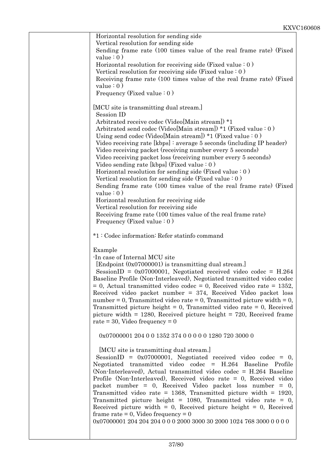| Horizontal resolution for sending side<br>Vertical resolution for sending side<br>Sending frame rate (100 times value of the real frame rate) (Fixed<br>value $: 0)$<br>Horizontal resolution for receiving side (Fixed value $: 0$ )<br>Vertical resolution for receiving side (Fixed value $: 0$ )<br>Receiving frame rate (100 times value of the real frame rate) (Fixed<br>value $: 0)$<br>Frequency (Fixed value $: 0)$ )                                                                                                                                                                                                                                                                                                                                                                                                                                                                                         |  |
|-------------------------------------------------------------------------------------------------------------------------------------------------------------------------------------------------------------------------------------------------------------------------------------------------------------------------------------------------------------------------------------------------------------------------------------------------------------------------------------------------------------------------------------------------------------------------------------------------------------------------------------------------------------------------------------------------------------------------------------------------------------------------------------------------------------------------------------------------------------------------------------------------------------------------|--|
| [MCU site is transmitting dual stream.]<br>Session ID<br>Arbitrated receive codec (Video[Main stream]) *1<br>Arbitrated send codec (Video[Main stream]) $*1$ (Fixed value : 0)<br>Using send codec (Video[Main stream]) $*1$ (Fixed value : 0)<br>Video receiving rate $[kbps]$ : average 5 seconds (including IP header)<br>Video receiving packet (receiving number every 5 seconds)<br>Video receiving packet loss (receiving number every 5 seconds)<br>Video sending rate [kbps] (Fixed value $: 0$ )<br>Horizontal resolution for sending side (Fixed value $: 0$ )<br>Vertical resolution for sending side (Fixed value $: 0)$ )<br>Sending frame rate (100 times value of the real frame rate) (Fixed<br>value $: 0)$<br>Horizontal resolution for receiving side<br>Vertical resolution for receiving side<br>Receiving frame rate (100 times value of the real frame rate)<br>Frequency (Fixed value $: 0)$ ) |  |
| *1: Codec information: Refer statinfo command<br>Example<br>-In case of Internal MCU site<br>[Endpoint (0x07000001) is transmitting dual stream.]<br>SessionID = $0x07000001$ , Negotiated received video codec = H.264<br>Baseline Profile (Non-Interleaved), Negotiated transmitted video codec<br>$= 0$ , Actual transmitted video codec $= 0$ , Received video rate $= 1352$ .<br>Received video packet number $= 374$ , Received Video packet loss<br>number = 0, Transmitted video rate = 0, Transmitted picture width = 0,<br>Transmitted picture height $= 0$ , Transmitted video rate $= 0$ , Received<br>picture width $= 1280$ , Received picture height $= 720$ , Received frame<br>rate = 30, Video frequency = $0$                                                                                                                                                                                        |  |
| 0x07000001 204 0 0 1352 374 0 0 0 0 0 1280 720 3000 0<br>[MCU site is transmitting dual stream.]<br>SessionID = $0x07000001$ , Negotiated received video codec = 0,<br>Negotiated transmitted video codec = H.264 Baseline Profile<br>(Non-Interleaved), Actual transmitted video codec = H.264 Baseline<br>Profile (Non-Interleaved), Received video rate = 0, Received video<br>packet number = 0, Received Video packet loss number = 0,<br>Transmitted video rate = $1368$ , Transmitted picture width = $1920$ ,<br>Transmitted picture height = 1080, Transmitted video rate = 0,<br>Received picture width $= 0$ , Received picture height $= 0$ , Received<br>frame rate = 0, Video frequency = $0$<br>$0x07000001$ 204 204 204 0 0 0 2000 3000 30 2000 1024 768 3000 0 0 0 0 0                                                                                                                                 |  |
|                                                                                                                                                                                                                                                                                                                                                                                                                                                                                                                                                                                                                                                                                                                                                                                                                                                                                                                         |  |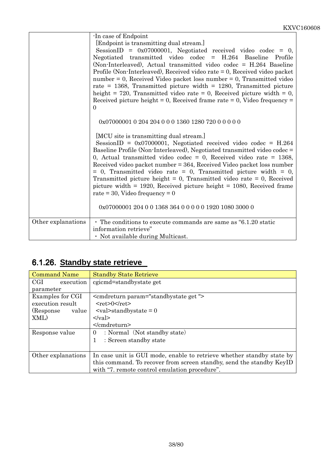|                    | -In case of Endpoint<br>[Endpoint is transmitting dual stream.]                                                                                                                                                                                                                                                                                                                                                                                                                                                                                                                                                   |
|--------------------|-------------------------------------------------------------------------------------------------------------------------------------------------------------------------------------------------------------------------------------------------------------------------------------------------------------------------------------------------------------------------------------------------------------------------------------------------------------------------------------------------------------------------------------------------------------------------------------------------------------------|
|                    | SessionID = $0x07000001$ , Negotiated received video codec = 0,<br>Negotiated transmitted video codec = H.264 Baseline Profile<br>(Non-Interleaved), Actual transmitted video codec = H.264 Baseline<br>Profile (Non-Interleaved), Received video rate $= 0$ , Received video packet<br>$number = 0$ , Received Video packet loss number = 0, Transmitted video<br>rate = $1368$ , Transmitted picture width = $1280$ , Transmitted picture<br>height = 720, Transmitted video rate = 0, Received picture width = 0,<br>Received picture height = 0, Received frame rate = 0, Video frequency =<br>$\Omega$       |
|                    | 0x07000001 0 204 204 0 0 0 1360 1280 720 0 0 0 0 0                                                                                                                                                                                                                                                                                                                                                                                                                                                                                                                                                                |
|                    | [MCU site is transmitting dual stream.]<br>SessionID = $0x07000001$ , Negotiated received video codec = H.264<br>Baseline Profile (Non-Interleaved), Negotiated transmitted video codec =<br>0, Actual transmitted video codec = 0, Received video rate = $1368$ ,<br>Received video packet number = 364, Received Video packet loss number<br>$= 0$ , Transmitted video rate $= 0$ , Transmitted picture width $= 0$ ,<br>Transmitted picture height = 0, Transmitted video rate = 0, Received<br>picture width $= 1920$ , Received picture height $= 1080$ , Received frame<br>rate = 30, Video frequency = $0$ |
|                    | 0x07000001 204 0 0 1368 364 0 0 0 0 0 1920 1080 3000 0                                                                                                                                                                                                                                                                                                                                                                                                                                                                                                                                                            |
| Other explanations | • The conditions to execute commands are same as "6.1.20 static<br>information retrieve"                                                                                                                                                                                                                                                                                                                                                                                                                                                                                                                          |
|                    | • Not available during Multicast.                                                                                                                                                                                                                                                                                                                                                                                                                                                                                                                                                                                 |

### 6.1.26. **Standby state retrieve**

| <b>Command Name</b> | <b>Standby State Retrieve</b>                                         |
|---------------------|-----------------------------------------------------------------------|
| CGI<br>execution    | cgicmd=standbystate get                                               |
| parameter           |                                                                       |
| Examples for CGI    | <cmdreturn param="standbystate get"></cmdreturn>                      |
| execution result    | $<$ ret $>0$ $<$ /ret $>$                                             |
| (Response<br>value  | $\langle \text{val}\rangle$ standby state = 0                         |
| XML)                | $\langle \text{val} \rangle$                                          |
|                     | $<$ /cmdreturn>                                                       |
| Response value      | : Normal (Not standby state)<br>$\overline{0}$                        |
|                     | 1<br>: Screen standby state                                           |
|                     |                                                                       |
| Other explanations  | In case unit is GUI mode, enable to retrieve whether standby state by |
|                     | this command. To recover from screen standby, send the standby KeyID  |
|                     | with "7. remote control emulation procedure".                         |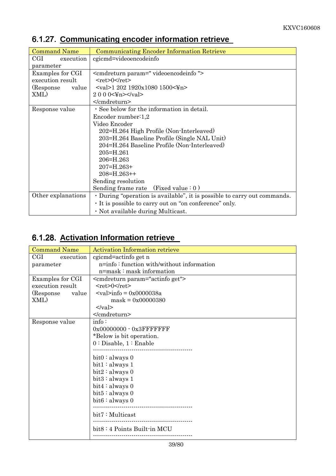| <b>Command Name</b> | <b>Communicating Encoder Information Retrieve</b>                        |
|---------------------|--------------------------------------------------------------------------|
| CGI<br>execution    | cgicmd=videoencodeinfo                                                   |
| parameter           |                                                                          |
| Examples for CGI    | <cmdreturn param=" videoencodeinfo "></cmdreturn>                        |
| execution result    | $<$ ret $>0$ $<$ /ret $>$                                                |
| (Response)<br>value | <val>1 202 1920x1080 1500&lt;¥n&gt;</val>                                |
| XML)                | 2 0 0 0 $\leq$ m $\leq$ /val $>$                                         |
|                     |                                                                          |
| Response value      | · See below for the information in detail.                               |
|                     | Encoder number: $1,2$                                                    |
|                     | Video Encoder                                                            |
|                     | 202=H.264 High Profile (Non-Interleaved)                                 |
|                     | 203=H.264 Baseline Profile (Single NAL Unit)                             |
|                     | 204=H.264 Baseline Profile (Non-Interleaved)                             |
|                     | 205=H.261                                                                |
|                     | 206=H.263                                                                |
|                     | 207=H.263+                                                               |
|                     | $208 = H.263++$                                                          |
|                     | Sending resolution                                                       |
|                     | Sending frame rate $(Fixed value: 0)$                                    |
| Other explanations  | • During "operation is available", it is possible to carry out commands. |
|                     | • It is possible to carry out on "on conference" only.                   |
|                     | · Not available during Multicast.                                        |

# 6.1.27. **Communicating encoder information retrieve**

#### 6.1.28. **Activation Information retrieve**

| <b>Command Name</b> | <b>Activation Information retrieve</b>        |
|---------------------|-----------------------------------------------|
| CGI<br>execution    | cgicmd=actinfo get n                          |
| parameter           | n=info: function with/without information     |
|                     | n=mask: mask information                      |
| Examples for CGI    | <cmdreturn param="actinfo get"></cmdreturn>   |
| execution result    | $<$ ret>0 $<$ /ret>                           |
| (Response)<br>value | $\langle \text{val}\rangle$ info = 0x0000038a |
| XML)                | $mask = 0x00000380$                           |
|                     | $\langle \text{val} \rangle$                  |
|                     |                                               |
| Response value      | info:                                         |
|                     | $0x000000000 - 0x3$ FFFFFFFF                  |
|                     | *Below is bit operation.                      |
|                     | $0:$ Disable, $1:$ Enable                     |
|                     |                                               |
|                     | $bit0:$ always 0                              |
|                     | bit1: always 1                                |
|                     | bit2 : always 0                               |
|                     | bit3: always 1                                |
|                     | bit4: always 0                                |
|                     | bit5: always 0                                |
|                     | bit6: always 0                                |
|                     |                                               |
|                     | bit7: Multicast                               |
|                     | bit8:4 Points Built-in MCU                    |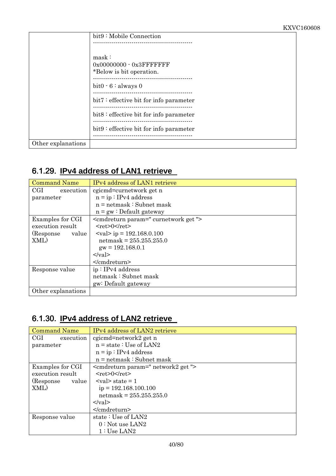|                    | bit9: Mobile Connection                                           |
|--------------------|-------------------------------------------------------------------|
|                    |                                                                   |
|                    | mask:<br>$0x000000000 - 0x3$ FFFFFFFF<br>*Below is bit operation. |
|                    | $bit0 - 6: always 0$                                              |
|                    | bit7: effective bit for info parameter                            |
|                    | bit8: effective bit for info parameter                            |
|                    | bit9: effective bit for info parameter                            |
| Other explanations |                                                                   |

#### 6.1.29. **IPv4 address of LAN1 retrieve**

| <b>Command Name</b> | IPv4 address of LAN1 retrieve                    |
|---------------------|--------------------------------------------------|
| CGI<br>execution    | cgicmd=curnetwork get n                          |
| parameter           | $n = ip : IPv4 address$                          |
|                     | $n = netmask : Subnet mask$                      |
|                     | $n = gw : Default$ gateway                       |
| Examples for CGI    | <cmdreturn param=" curnetwork get "></cmdreturn> |
| execution result    | $<$ ret $>0$ $<$ /ret $>$                        |
| (Response)<br>value | $\langle \text{val} \rangle$ ip = 192.168.0.100  |
| XML)                | $netmask = 255.255.255.0$                        |
|                     | $gw = 192.168.0.1$                               |
|                     | $\langle \text{val} \rangle$                     |
|                     |                                                  |
| Response value      | ip: IPv4 address                                 |
|                     | netmask: Subnet mask                             |
|                     | gw: Default gateway                              |
| Other explanations  |                                                  |

#### 6.1.30. **IPv4 address of LAN2 retrieve**

| <b>Command Name</b> | IPv4 address of LAN2 retrieve                  |
|---------------------|------------------------------------------------|
| CGI<br>execution    | cgicmd=network2 get n                          |
| parameter           | $n = state : Use of LAN2$                      |
|                     | $n = ip : IPv4 address$                        |
|                     | $n = netmask : Subnet mask$                    |
| Examples for CGI    | <cmdreturn param=" network2 get "></cmdreturn> |
| execution result    | $<$ ret $>0$ $<$ /ret $>$                      |
| (Response)<br>value | $\langle \text{val}\rangle$ state = 1          |
| XML)                | $ip = 192.168.100.100$                         |
|                     | $netmask = 255.255.255.0$                      |
|                     | $\langle \nabla \times a \rangle$              |
|                     |                                                |
| Response value      | state: Use of LAN2                             |
|                     | $0:$ Not use LAN2                              |
|                     | 1: Use LAN2                                    |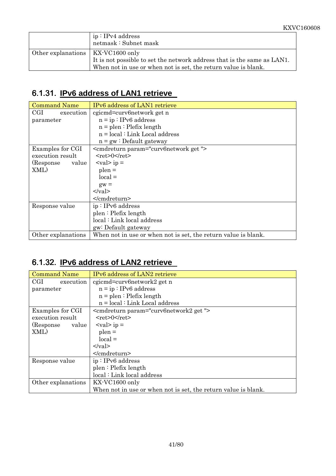|                                     | ip: IPv4 address<br>netmask: Subnet mask                                |
|-------------------------------------|-------------------------------------------------------------------------|
| Other explanations   KX-VC1600 only |                                                                         |
|                                     | It is not possible to set the network address that is the same as LAN1. |
|                                     | When not in use or when not is set, the return value is blank.          |

### 6.1.31. **IPv6 address of LAN1 retrieve**

| <b>Command Name</b> | IPv6 address of LAN1 retrieve                                  |
|---------------------|----------------------------------------------------------------|
| CGI<br>execution    | cgicmd=curv6network get n                                      |
| parameter           | $n = ip : IPv6 address$                                        |
|                     | $n =$ plen : Plefix length                                     |
|                     | $n = local : Link Local address$                               |
|                     | $n = gw : Default gateway$                                     |
| Examples for CGI    | <cmdreturn param="curv6network get"></cmdreturn>               |
| execution result    | $<$ ret $>0$ $<$ /ret $>$                                      |
| (Response)<br>value | $\langle \text{val} \rangle$ ip =                              |
| XML)                | $\nu$ plen =                                                   |
|                     | $local =$                                                      |
|                     | $gw =$                                                         |
|                     | $\langle \text{val} \rangle$                                   |
|                     | $\le$ /cmdreturn>                                              |
| Response value      | ip: IPv6 address                                               |
|                     | plen: Plefix length                                            |
|                     | local: Link local address                                      |
|                     | gw: Default gateway                                            |
| Other explanations  | When not in use or when not is set, the return value is blank. |

#### 6.1.32. **IPv6 address of LAN2 retrieve**

| <b>Command Name</b>               | IPv6 address of LAN2 retrieve                                  |
|-----------------------------------|----------------------------------------------------------------|
| $\operatorname{CGI}$<br>execution | cgicmd=curv6network2 get n                                     |
| parameter                         | $n = ip : IPv6 address$                                        |
|                                   | $n =$ plen : Plefix length                                     |
|                                   | $n = local$ : Link Local address                               |
| Examples for CGI                  | <cmdreturn param="curv6network2 get"></cmdreturn>              |
| execution result                  | $<$ ret $>0$ $<$ /ret $>$                                      |
| (Response)<br>value               | $ <$ val $>$ ip =                                              |
| XML)                              | $\n  p$ len $=$                                                |
|                                   | $local =$                                                      |
|                                   | $\langle \nabla \times 1 \rangle$                              |
|                                   | $<$ /cmdreturn>                                                |
| Response value                    | ip: IPv6 address                                               |
|                                   | plen: Plefix length                                            |
|                                   | local: Link local address                                      |
| Other explanations                | KX-VC1600 only                                                 |
|                                   | When not in use or when not is set, the return value is blank. |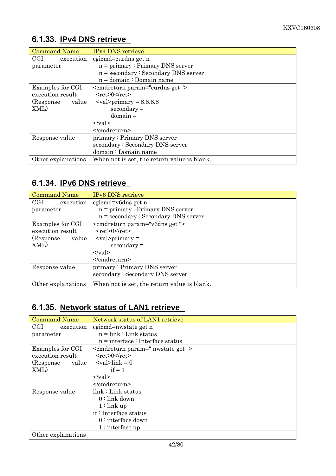#### 6.1.33. **IPv4 DNS retrieve**

| <b>Command Name</b>        | <b>IPv4 DNS</b> retrieve                     |
|----------------------------|----------------------------------------------|
| $_{\rm{CGI}}$<br>execution | cgicmd=curdns get n                          |
| parameter                  | $n = primary : Primary DNS server$           |
|                            | $n =$ secondary $\cdot$ Secondary DNS server |
|                            | $n =$ domain : Domain name                   |
| Examples for CGI           | <cmdreturn param="curdns get"></cmdreturn>   |
| execution result           | $<$ ret>0 $<$ /ret>                          |
| (Response)<br>value        | $\langle \text{val>primary} = 8.8.8.8$       |
| XML)                       | $secondary =$                                |
|                            | $domain =$                                   |
|                            | $<$ /val>                                    |
|                            | $<$ /cmdreturn>                              |
| Response value             | primary: Primary DNS server                  |
|                            | secondary: Secondary DNS server              |
|                            | domain: Domain name                          |
| Other explanations         | When not is set, the return value is blank.  |

# 6.1.34. **IPv6 DNS retrieve**

| <b>Command Name</b>               | <b>IPv6 DNS</b> retrieve                     |
|-----------------------------------|----------------------------------------------|
| $\operatorname{CGI}$<br>execution | cgicmd=v6dns get n                           |
| parameter                         | $n = primary : Primary DNS server$           |
|                                   | $n =$ secondary $\cdot$ Secondary DNS server |
| Examples for CGI                  | <cmdreturn param="v6dns get"></cmdreturn>    |
| execution result                  | $<$ ret>0 $<$ /ret>                          |
| (Response)<br>value               | $\langle \text{val} \rangle$ - $\gamma$ =    |
| XML)                              | $secondary =$                                |
|                                   | $\langle \text{val} \rangle$                 |
|                                   |                                              |
| Response value                    | primary: Primary DNS server                  |
|                                   | secondary: Secondary DNS server              |
| Other explanations                | When not is set, the return value is blank.  |

#### 6.1.35. **Network status of LAN1 retrieve**

| <b>Command Name</b>               | Network status of LAN1 retrieve               |
|-----------------------------------|-----------------------------------------------|
| $\operatorname{CGI}$<br>execution | cgicmd=nwstate get n                          |
| parameter                         | $n = link : Link status$                      |
|                                   | $n =$ interface : Interface status            |
| Examples for CGI                  | <cmdreturn param=" nwstate get "></cmdreturn> |
| execution result                  | $<$ ret $>0$ $<$ /ret $>$                     |
| (Response)<br>value               | $\langle \text{val}\rangle$ = 0               |
| XML)                              | $if = 1$                                      |
|                                   | $\langle \nabla \times a \rangle$             |
|                                   | $<$ /cmdreturn>                               |
| Response value                    | link: Link status                             |
|                                   | $0:$ link down                                |
|                                   | $1:$ link up                                  |
|                                   | $if:$ Interface status                        |
|                                   | $0:$ interface down                           |
|                                   | $1:$ interface up                             |
| Other explanations                |                                               |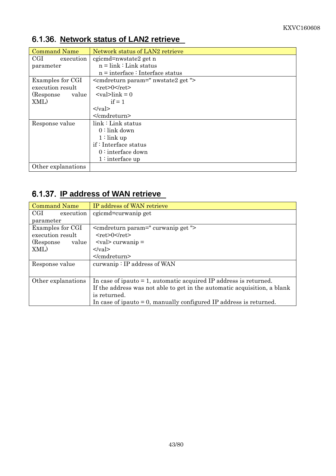| <b>Command Name</b> | Network status of LAN2 retrieve                |
|---------------------|------------------------------------------------|
| CGL<br>execution    | cgicmd=nwstate2 get n                          |
| parameter           | $n = link : Link status$                       |
|                     | $n =$ interface : Interface status             |
| Examples for CGI    | <cmdreturn param=" nwstate2 get "></cmdreturn> |
| execution result    | $<$ ret $>0$ $<$ /ret $>$                      |
| (Response)<br>value | $\langle \text{val}\rangle$ = 0                |
| XML)                | $if = 1$                                       |
|                     | $\langle \nabla \times$                        |
|                     | $<$ /cmdreturn>                                |
| Response value      | $link: Link$ status                            |
|                     | $0:$ link down                                 |
|                     | $1:$ link up                                   |
|                     | if: Interface status                           |
|                     | $0:$ interface down                            |
|                     | $1:$ interface up                              |
| Other explanations  |                                                |

#### 6.1.36. **Network status of LAN2 retrieve**

#### 6.1.37. **IP address of WAN retrieve**

| <b>Command Name</b>               | IP address of WAN retrieve                                               |
|-----------------------------------|--------------------------------------------------------------------------|
| $\operatorname{CGI}$<br>execution | cgicmd=curwanip get                                                      |
| parameter                         |                                                                          |
| Examples for CGI                  | <cmdreturn param=" curwanip get "></cmdreturn>                           |
| execution result                  | $<$ ret>0                                                                |
| (Response)<br>value               | $\langle \text{val} \rangle$ curwanip =                                  |
| XML)                              | $\langle \text{val} \rangle$                                             |
|                                   |                                                                          |
| Response value                    | $curwanip: IP$ address of WAN                                            |
|                                   |                                                                          |
| Other explanations                | In case of ipauto $= 1$ , automatic acquired IP address is returned.     |
|                                   | If the address was not able to get in the automatic acquisition, a blank |
|                                   | is returned.                                                             |
|                                   | In case of ipauto $= 0$ , manually configured IP address is returned.    |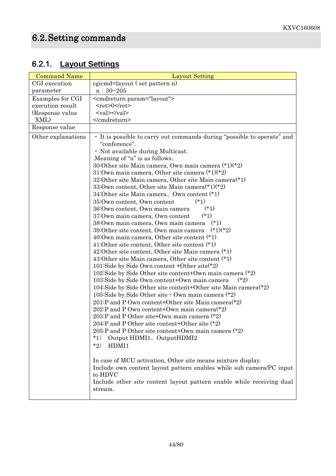# 6.2.1. **Layout Settings**

| <b>Command Name</b> | <b>Layout Setting</b>                                                                                                                                                                                                                                                                                                                                                                                                                                                                                                                                                                                                                                                                                                                                                                                                                                |
|---------------------|------------------------------------------------------------------------------------------------------------------------------------------------------------------------------------------------------------------------------------------------------------------------------------------------------------------------------------------------------------------------------------------------------------------------------------------------------------------------------------------------------------------------------------------------------------------------------------------------------------------------------------------------------------------------------------------------------------------------------------------------------------------------------------------------------------------------------------------------------|
| CGI execution       | egicmd=layout (set pattern n)                                                                                                                                                                                                                                                                                                                                                                                                                                                                                                                                                                                                                                                                                                                                                                                                                        |
| parameter           | n: 30~205                                                                                                                                                                                                                                                                                                                                                                                                                                                                                                                                                                                                                                                                                                                                                                                                                                            |
| Examples for CGI    | <cmdreturn param="layout"></cmdreturn>                                                                                                                                                                                                                                                                                                                                                                                                                                                                                                                                                                                                                                                                                                                                                                                                               |
| execution result    | <ret>0</ret>                                                                                                                                                                                                                                                                                                                                                                                                                                                                                                                                                                                                                                                                                                                                                                                                                                         |
| (Response value)    | $\langle \text{val}\rangle \langle \text{val}\rangle$                                                                                                                                                                                                                                                                                                                                                                                                                                                                                                                                                                                                                                                                                                                                                                                                |
| XML)                |                                                                                                                                                                                                                                                                                                                                                                                                                                                                                                                                                                                                                                                                                                                                                                                                                                                      |
| Response value      |                                                                                                                                                                                                                                                                                                                                                                                                                                                                                                                                                                                                                                                                                                                                                                                                                                                      |
| Other explanations  | • It is possible to carry out commands during "possible to operate" and<br>"conference".<br>· Not available during Multicast.<br>. Meaning of "n" is as follows.<br>30:Other site Main camera, Own main camera $(*1)(*2)$<br>31:0wn main camera, Other site camera $(*1)(*2)$<br>32:Other site Main camera, Other site Main camera <sup>(*1)</sup><br>33:0wn content, Other site Main camera $(*1)(*2)$<br>34: Other site Main camera, Own content $(*)$<br>35:0wn content, 0wn content<br>$(*1)$<br>$(*1)$<br>36:0wn content, Own main camera<br>37:0wn main camera, Own content<br>$(*1)$<br>38:0wn main camera, 0wn main camera (*1)<br>39:0ther site content, Own main camera $(*1)(*2)$<br>40:0wn main camera, Other site content $(*)$<br>41:Other site content, Other site content (*1)<br>42:Other site content, Other site Main camera (*1) |
|                     | 43:Other site Main camera, Other site content (*1)<br>101:Side by Side Own content +Other site(*2)<br>102:Side by Side Other site content+Own main camera $(*2)$<br>103: Side by Side Own content+Own main camera<br>$(*2)$<br>104:Side by Side Other site content+Other site Main camera $(*)$<br>105:Side by Side Other site + Own main camera $(*2)$<br>201:P and P Own content+Other site Main camera $(*)$<br>202:P and P Own content+Own main camera $(*2)$<br>203:P and P Other site+Own main camera $(*2)$<br>204:P and P Other site content+Other site $(*2)$<br>205:P and P Other site content+Own main camera $(*2)$<br>$*1)$<br>Output HDMI1, OutputHDMI2<br>$*_{2}$<br>HDMI1                                                                                                                                                            |
|                     | In case of MCU activation, Other site means mixture display.<br>Include own content layout pattern enables while sub camera/PC input<br>to HDVC<br>Include other site content layout pattern enable while receiving dual<br>stream.                                                                                                                                                                                                                                                                                                                                                                                                                                                                                                                                                                                                                  |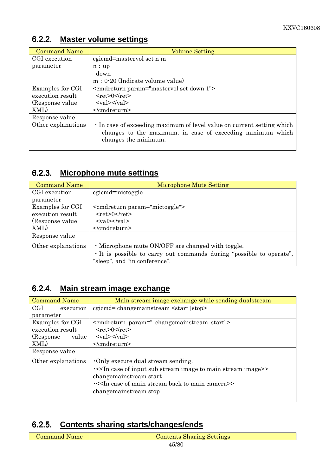#### 6.2.2. **Master volume settings**

| <b>Command Name</b> | <b>Volume Setting</b>                                                              |
|---------------------|------------------------------------------------------------------------------------|
| CGI execution       | cgicmd=mastervol set n m                                                           |
| parameter           | n:up                                                                               |
|                     | down                                                                               |
|                     | $m: 0-20$ (Indicate volume value)                                                  |
| Examples for CGI    | <cmdreturn param="mastervol set down 1"></cmdreturn>                               |
| execution result    | $<$ ret $>0$ $<$ /ret $>$                                                          |
| (Response value)    | $\langle \text{val}\rangle \langle \text{val}\rangle$                              |
| XML)                | $<$ /cmdreturn>                                                                    |
| Response value      |                                                                                    |
| Other explanations  | In case of exceeding maximum of level value on current setting which               |
|                     | changes to the maximum, in case of exceeding minimum which<br>changes the minimum. |

#### 6.2.3. **Microphone mute settings**

| <b>Command Name</b> | Microphone Mute Setting                                            |
|---------------------|--------------------------------------------------------------------|
| CGI execution       | cgicmd=mictoggle                                                   |
| parameter           |                                                                    |
| Examples for CGI    | <comdreturn param="mictoggle"></comdreturn>                        |
| execution result    | $<$ ret $>0$ $<$ /ret $>$                                          |
| (Response value)    | $<$ val> $<$ /val>                                                 |
| XML)                |                                                                    |
| Response value      |                                                                    |
| Other explanations  | • Microphone mute ON/OFF are changed with toggle.                  |
|                     | It is possible to carry out commands during "possible to operate", |
|                     | "sleep", and "in conference".                                      |

#### 6.2.4. **Main stream image exchange**

| <b>Command Name</b> | Main stream image exchange while sending dualstream                             |
|---------------------|---------------------------------------------------------------------------------|
| CGI<br>execution    | $c$ gicmd= $changemainstream \leq start   stop$                                 |
| parameter           |                                                                                 |
| Examples for CGI    | <compreturn param=" changemainstream start"></compreturn>                       |
| execution result    | $<$ ret>0 $<$ /ret>                                                             |
| (Response)<br>value | $\langle \text{val}\rangle \langle \text{val}\rangle$                           |
| XML)                |                                                                                 |
| Response value      |                                                                                 |
| Other explanations  | Only execute dual stream sending.                                               |
|                     | .< <in case="" image="" input="" main="" of="" stream="" sub="" to="">&gt;</in> |
|                     | changemainstream start                                                          |
|                     | .< <in back="" camera="" case="" main="" of="" stream="" to="">&gt;</in>        |
|                     | changemainstream stop                                                           |
|                     |                                                                                 |

#### 6.2.5. **Contents sharing starts/changes/ends**

| <b>Command Name</b> |  |
|---------------------|--|
|---------------------|--|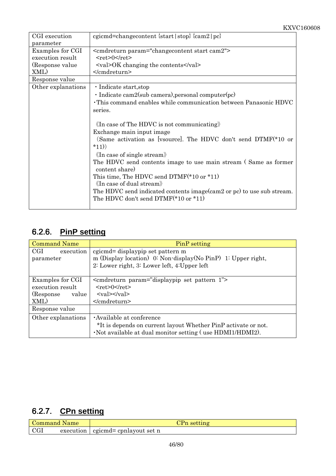| CGI execution      | egicmd=change content {start   stop} {cam2   pc}                       |
|--------------------|------------------------------------------------------------------------|
| parameter          |                                                                        |
| Examples for CGI   | <cmdreturn param="changecontent start cam2"></cmdreturn>               |
| execution result   | $<$ ret>0                                                              |
| (Response value)   | <val>OK changing the contents</val>                                    |
| XML)               |                                                                        |
| Response value     |                                                                        |
| Other explanations | · Indicate start, stop                                                 |
|                    | $\cdot$ Indicate cam2(sub camera), personal computer(pc)               |
|                    | . This command enables while communication between Panasonic HDVC      |
|                    | series.                                                                |
|                    |                                                                        |
|                    | $\langle \text{In case of The HDVC is not communicating} \rangle$      |
|                    | Exchange main input image                                              |
|                    | (Same activation as [vsource]. The HDVC don't send DTMF(*10 or         |
|                    | $*11)$                                                                 |
|                    | $\langle \mathop{\text{In}}\nolimits$ case of single stream)           |
|                    | The HDVC send contents image to use main stream (Same as former        |
|                    | content share)                                                         |
|                    | This time, The HDVC send DTMF( $*10$ or $*11$ )                        |
|                    | $\langle \mathop{\rm In}\nolimits$ case of dual stream)                |
|                    | The HDVC send indicated contents image (cam2 or pc) to use sub stream. |
|                    | The HDVC don't send $DTMF(*10 \text{ or } *11)$                        |
|                    |                                                                        |

#### 6.2.6. **PinP setting**

| <b>Command Name</b>                                                 | PinP setting                                                                                                                                                                                                                                           |
|---------------------------------------------------------------------|--------------------------------------------------------------------------------------------------------------------------------------------------------------------------------------------------------------------------------------------------------|
| $\operatorname{CGI}$<br>execution<br>parameter                      | cgicmd= displaypip set pattern m<br>m (Display location) 0: Non-display(No PinP) 1: Upper right,<br>2: Lower right, 3: Lower left, 4: Upper left                                                                                                       |
| Examples for CGI<br>execution result<br>(Response)<br>value<br>XML) | <cmdreturn param="displaypip set pattern 1"><br/><math>&lt;</math>ret<math>&gt;0</math><math>&lt;</math>/ret<math>&gt;</math><br/><math>\langle \mathrm{val}\rangle \langle \mathrm{val}\rangle</math><br/><math>&lt;</math>/cmdreturn&gt;</cmdreturn> |
| Response value                                                      |                                                                                                                                                                                                                                                        |
| Other explanations                                                  | Available at conference<br>*It is depends on current layout Whether PinP activate or not.<br>. Not available at dual monitor setting (use HDMI1/HDMI2).                                                                                                |

# 6.2.7. **CPn setting**

| Command.<br>Name | setting                 |
|------------------|-------------------------|
| execution        | egiemd= epnlayout set n |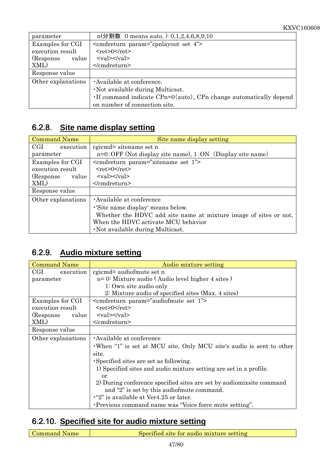| parameter           | $n(\rightarrow$ 割数 0 means auto. $): 0, 1, 2, 4, 6, 8, 9, 10$      |
|---------------------|--------------------------------------------------------------------|
| Examples for CGI    | $\epsilon$ <cmdreturn param="cpnlayout set 4"></cmdreturn>         |
| execution result    | $<$ ret>0                                                          |
| (Response)<br>value | $\langle \text{val}\rangle \langle \text{val}\rangle$              |
| XML)                |                                                                    |
| Response value      |                                                                    |
| Other explanations  | · Available at conference.                                         |
|                     | · Not available during Multicast.                                  |
|                     | . If command indicate CPn=0(auto), CPn change automatically depend |
|                     | on number of connection site.                                      |

#### 6.2.8. **Site name display setting**

| <b>Command Name</b> | Site name display setting                                        |
|---------------------|------------------------------------------------------------------|
| CGI<br>execution    | cgicmd= sitename set n                                           |
| parameter           | $n=0$ : OFF (Not display site name), $1:ON$ (Display site name)  |
| Examples for CGI    | $\epsilon$ cmdreturn param="sitename set 1">                     |
| execution result    | $<$ ret $>0$ $<$ /ret $>$                                        |
| (Response<br>value  | $\langle \text{val}\rangle \langle \text{val}\rangle$            |
| XML)                | $<$ /cmdreturn>                                                  |
| Response value      |                                                                  |
| Other explanations  | Available at conference                                          |
|                     | .'Site name display' means below.                                |
|                     | Whether the HDVC add site name at mixture image of sites or not, |
|                     | When the HDVC activate MCU behavior                              |
|                     | . Not available during Multicast.                                |

#### 6.2.9. **Audio mixture setting**

| <b>Command Name</b> | Audio mixture setting                                                 |
|---------------------|-----------------------------------------------------------------------|
| CGI<br>execution    | cgicmd= audiofmute set n                                              |
| parameter           | $n=0$ : Mixture audio (Audio level higher 4 sites)                    |
|                     | $1:$ Own site audio only                                              |
|                     | 2: Mixture audio of specified sites (Max. 4 sites)                    |
| Examples for CGI    | <cmdreturn param="audiofmute set 1"></cmdreturn>                      |
| execution result    | $<$ ret $>0$ $<$ /ret $>$                                             |
| (Response)<br>value | $\langle \text{val}\rangle \langle \text{val}\rangle$                 |
| XML)                |                                                                       |
| Response value      |                                                                       |
| Other explanations  | Available at conference                                               |
|                     | When "1" is set at MCU site, Only MCU site's audio is sent to other   |
|                     | site.                                                                 |
|                     | Specified sites are set as following.                                 |
|                     | 1) Specified sites and audio mixture setting are set in a profile.    |
|                     | or                                                                    |
|                     | 2) During conference specified sites are set by audiomix site command |
|                     | and "2" is set by this audiofmute command.                            |
|                     | $\cdot$ "2" is available at Ver4.25 or later.                         |
|                     | Previous command name was "Voice force mute setting".                 |

#### 6.2.10. **Specified site for audio mixture setting**

Command Name Specified site for audio mixture setting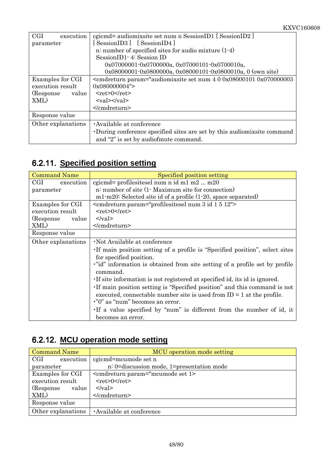| CGI<br>execution    | egicmd= audiomixsite set num n SessionID1 [SessionID2]                                                                                                                               |
|---------------------|--------------------------------------------------------------------------------------------------------------------------------------------------------------------------------------|
| parameter           | [SessionID3] [SessionID4]                                                                                                                                                            |
|                     | n: number of specified sites for audio mixture $(1-4)$                                                                                                                               |
|                     | SessionID1 - 4: Session ID                                                                                                                                                           |
|                     | 0x07000001-0x0700000a, 0x07000101-0x0700010a,                                                                                                                                        |
|                     | 0x08000001-0x0800000a, 0x08000101-0x0800010a, 0 (own site)                                                                                                                           |
| Examples for CGI    | <cmdreturn <="" param="audiomixsite set num 4 0 0x08000101 0x070000003&lt;/td&gt;&lt;/tr&gt;&lt;tr&gt;&lt;td&gt;execution result&lt;/td&gt;&lt;td&gt;0x080000004" td=""></cmdreturn> |
| (Response)<br>value | $<$ ret $>0$ $<$ /ret $>$                                                                                                                                                            |
| XML)                | $\langle \text{val}\rangle \langle \text{val}\rangle$                                                                                                                                |
|                     |                                                                                                                                                                                      |
| Response value      |                                                                                                                                                                                      |
| Other explanations  | Available at conference                                                                                                                                                              |
|                     | During conference specified sites are set by this audiomix site command                                                                                                              |
|                     | and "2" is set by audiofmute command.                                                                                                                                                |

# 6.2.11. **Specified position setting**

| <b>Command Name</b> | Specified position setting                                                                                                                          |
|---------------------|-----------------------------------------------------------------------------------------------------------------------------------------------------|
| CGI<br>execution    | cgicmd= profilesitesel num n id m1 m2  m20                                                                                                          |
| parameter           | n: number of site (1. Maximum site for connection)                                                                                                  |
|                     | $m1 \text{·m20}$ : Selected site id of a profile $(1 \text{·} 20, \text{ space separated})$                                                         |
| Examples for CGI    | <cmdreturn param="profilesitesel num 3 id 1 5 12"></cmdreturn>                                                                                      |
| execution result    | $<$ ret>0 $<$ /ret>                                                                                                                                 |
| (Response)<br>value | $\langle \text{val} \rangle$                                                                                                                        |
| XML)                |                                                                                                                                                     |
| Response value      |                                                                                                                                                     |
| Other explanations  | Not Available at conference                                                                                                                         |
|                     | If main position setting of a profile is "Specified position", select sites<br>for specified position.                                              |
|                     | "id" information is obtained from site setting of a profile set by profile<br>command.                                                              |
|                     | If site information is not registered at specified id, its id is ignored.                                                                           |
|                     | If main position setting is "Specified position" and this command is not<br>executed, connectable number site is used from $ID = 1$ at the profile. |
|                     | ."0" as "num" becomes an error.                                                                                                                     |
|                     | If a value specified by "num" is different from the number of id, it                                                                                |
|                     | becomes an error.                                                                                                                                   |

# 6.2.12. **MCU operation mode setting**

| <b>Command Name</b> | MCU operation mode setting                |
|---------------------|-------------------------------------------|
| CGI<br>execution    | cgicmd=mcumode set n                      |
| parameter           | n: 0=discussion mode, 1=presentation mode |
| Examples for CGI    | <cmdreturn param="mcumode set 1>          |
| execution result    | $<$ ret>0 $<$ /ret>                       |
| (Response)<br>value | $\langle \text{val} \rangle$              |
| XML)                |                                           |
| Response value      |                                           |
| Other explanations  | Available at conference                   |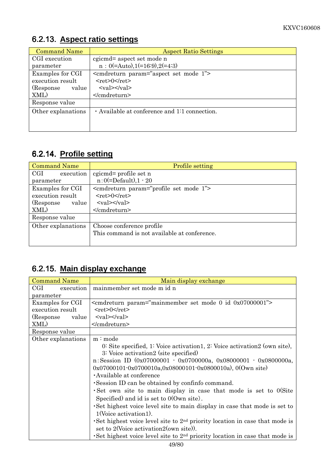| <b>Command Name</b> | <b>Aspect Ratio Settings</b>                          |
|---------------------|-------------------------------------------------------|
| CGI execution       | cgicmd= aspect set mode n                             |
| parameter           | $n: 0(=\text{Auto}), 1(=\text{16:9}), 2(=\text{4:3})$ |
| Examples for CGI    | <cmdreturn param="aspect set mode 1"></cmdreturn>     |
| execution result    | $<$ ret $>0$ $<$ /ret $>$                             |
| (Response)<br>value | $\langle \text{val}\rangle \langle \text{val}\rangle$ |
| XML)                |                                                       |
| Response value      |                                                       |
| Other explanations  | Available at conference and 1:1 connection.           |
|                     |                                                       |
|                     |                                                       |

### 6.2.13. **Aspect ratio settings**

#### 6.2.14. **Profile setting**

| <b>Command Name</b>               | <b>Profile setting</b>                                |
|-----------------------------------|-------------------------------------------------------|
| $\operatorname{CGI}$<br>execution | cgicmd= profile set n                                 |
| parameter                         | $n:0(=\text{Default}),1-20$                           |
| Examples for CGI                  | <cmdreturn param="profile set mode 1"></cmdreturn>    |
| execution result                  | $<$ ret>0 $\le$ /ret>                                 |
| (Response)<br>value               | $\langle \text{val}\rangle \langle \text{val}\rangle$ |
| XML)                              |                                                       |
| Response value                    |                                                       |
| Other explanations                | Choose conference profile                             |
|                                   | This command is not available at conference.          |
|                                   |                                                       |

#### 6.2.15. **Main display exchange**

| <b>Command Name</b> | Main display exchange                                                        |
|---------------------|------------------------------------------------------------------------------|
| CGI.<br>execution   | mainmember set mode m id n                                                   |
| parameter           |                                                                              |
| Examples for CGI    | <cmdreturn param="mainmember set mode 0 id 0x07000001"></cmdreturn>          |
| execution result    | $<$ ret>0 $<$ /ret>                                                          |
| (Response)<br>value | $\langle \text{val}\rangle \langle \text{val}\rangle$                        |
| XML)                |                                                                              |
| Response value      |                                                                              |
| Other explanations  | m:mode                                                                       |
|                     | 0. Site specified, 1: Voice activation 1, 2: Voice activation 2 (own site),  |
|                     | 3: Voice activation2 (site specified)                                        |
|                     | n: Session ID $(0x07000001 - 0x0700000a, 0x08000001 - 0x0800000a,$           |
|                     | $0x07000101 - 0x0700010a, 0x08000101 - 0x0800010a)$ , 0(Own site)            |
|                     | Available at conference                                                      |
|                     | Session ID can be obtained by confinfo command.                              |
|                     | Set own site to main display in case that mode is set to O(Site              |
|                     | Specified) and id is set to $0$ (Own site).                                  |
|                     | Set highest voice level site to main display in case that mode is set to     |
|                     | 1(Voice activation1).                                                        |
|                     | Set highest voice level site to $2nd$ priority location in case that mode is |
|                     | set to 2(Voice activation 2(own site)).                                      |
|                     | Set highest voice level site to $2nd$ priority location in case that mode is |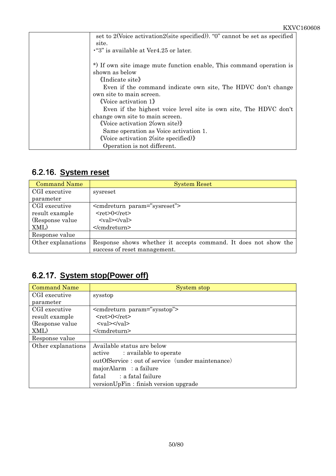| set to 2(Voice activation2(site specified)). "0" cannot be set as specified            |
|----------------------------------------------------------------------------------------|
| site.                                                                                  |
| . "3" is available at Ver4.25 or later.                                                |
| *) If own site image mute function enable, This command operation is<br>shown as below |
| «Indicate site»                                                                        |
| Even if the command indicate own site, The HDVC don't change                           |
| own site to main screen.                                                               |
| $\langle$ Voice activation 1 $\rangle$                                                 |
| Even if the highest voice level site is own site, The HDVC don't                       |
| change own site to main screen.                                                        |
| $\langle \text{Voice activation } 2(\text{own site}) \rangle$                          |
| Same operation as Voice activation 1.                                                  |
| $\langle \text{Voice activation 2}(\text{site specified}) \rangle$                     |
| Operation is not different.                                                            |

### 6.2.16. **System reset**

| <b>Command Name</b> | <b>System Reset</b>                                             |
|---------------------|-----------------------------------------------------------------|
| CGI executive       | sysreset                                                        |
| parameter           |                                                                 |
| CGI executive       | <comdreturn param="sysreset"></comdreturn>                      |
| result example      | $<$ ret $>0$ $<$ /ret $>$                                       |
| (Response value)    | $\langle \text{val}\rangle \langle \text{val}\rangle$           |
| XML)                |                                                                 |
| Response value      |                                                                 |
| Other explanations  | Response shows whether it accepts command. It does not show the |
|                     | success of reset management.                                    |

### 6.2.17. **System stop(Power off)**

| <b>Command Name</b> | System stop                                           |
|---------------------|-------------------------------------------------------|
| CGI executive       | sysstop                                               |
| parameter           |                                                       |
| CGI executive       | <cmdreturn param="sysstop"></cmdreturn>               |
| result example      | $<$ ret>0 $<$ /ret>                                   |
| (Response value)    | $\langle \text{val}\rangle \langle \text{val}\rangle$ |
| XML)                |                                                       |
| Response value      |                                                       |
| Other explanations  | Available status are below                            |
|                     | active : available to operate                         |
|                     | outOfService: out of service (under maintenance)      |
|                     | majorAlarm : a failure                                |
|                     | fatal : a fatal failure                               |
|                     | versionUpFin: finish version upgrade                  |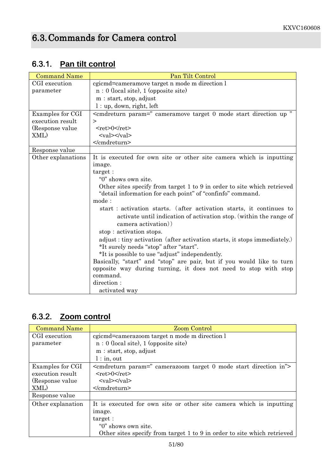| <b>Command Name</b> | Pan Tilt Control                                                                                                                                                  |
|---------------------|-------------------------------------------------------------------------------------------------------------------------------------------------------------------|
| CGI execution       | cgicmd=cameramove target n mode m direction l                                                                                                                     |
| parameter           | $n: 0$ (local site), 1 (opposite site)                                                                                                                            |
|                     | m: start, stop, adjust                                                                                                                                            |
|                     | $l:$ up, down, right, left                                                                                                                                        |
| Examples for CGI    | <cmdreturn <="" param=" cameramove target 0 mode start direction up " td=""></cmdreturn>                                                                          |
| execution result    | $\geq$                                                                                                                                                            |
| (Response value)    | $<$ ret>0 $<$ /ret>                                                                                                                                               |
| XML)                | $\langle \text{val}\rangle \langle \text{val}\rangle$                                                                                                             |
|                     |                                                                                                                                                                   |
| Response value      |                                                                                                                                                                   |
| Other explanations  | It is executed for own site or other site camera which is inputting                                                                                               |
|                     | image.                                                                                                                                                            |
|                     | target:                                                                                                                                                           |
|                     | "0" shows own site.                                                                                                                                               |
|                     | Other sites specify from target 1 to 9 in order to site which retrieved<br>"detail information for each point" of "confinfo" command.                             |
|                     | mode:                                                                                                                                                             |
|                     | start : activation starts. (after activation starts, it continues to<br>activate until indication of activation stop. (within the range of<br>camera activation)) |
|                     | stop: activation stops.                                                                                                                                           |
|                     | adjust : tiny activation (after activation starts, it stops immediately.)                                                                                         |
|                     | *It surely needs "stop" after "start".                                                                                                                            |
|                     | *It is possible to use "adjust" independently.                                                                                                                    |
|                     | Basically, "start" and "stop" are pair, but if you would like to turn                                                                                             |
|                     | opposite way during turning, it does not need to stop with stop                                                                                                   |
|                     | command.                                                                                                                                                          |
|                     | direction:                                                                                                                                                        |
|                     | activated way                                                                                                                                                     |

# 6.3.1. **Pan tilt control**

### 6.3.2. **Zoom control**

| <b>Command Name</b> | <b>Zoom Control</b>                                                          |
|---------------------|------------------------------------------------------------------------------|
| CGI execution       | egicmd=camerazoom target n mode m direction l                                |
| parameter           | $n: 0$ (local site), 1 (opposite site)                                       |
|                     | m: start, stop, adjust                                                       |
|                     | $l:$ in, out                                                                 |
| Examples for CGI    | <commeture param=" camerazoom target 0 mode start direction in"></commeture> |
| execution result    | $<$ ret $>0$ $<$ /ret $>$                                                    |
| (Response value)    | $<$ val> $<$ /val>                                                           |
| XML)                |                                                                              |
| Response value      |                                                                              |
| Other explanation   | It is executed for own site or other site camera which is inputting          |
|                     | image.                                                                       |
|                     | target:                                                                      |
|                     | "0" shows own site.                                                          |
|                     | Other sites specify from target 1 to 9 in order to site which retrieved      |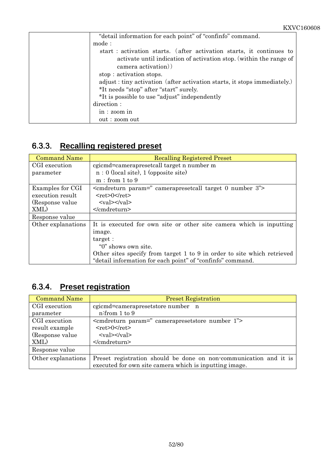| "detail information for each point" of "confinfo" command.                |
|---------------------------------------------------------------------------|
| mode:                                                                     |
| start : activation starts. (after activation starts, it continues to      |
| activate until indication of activation stop. (within the range of        |
| camera activation)                                                        |
| stop: activation stops.                                                   |
| adjust : tiny activation (after activation starts, it stops immediately.) |
| *It needs "stop" after "start" surely.                                    |
| *It is possible to use "adjust" independently                             |
| direction:                                                                |
| in: zoom in                                                               |
| out : zoom out                                                            |

### 6.3.3. **Recalling registered preset**

| <b>Command Name</b> | <b>Recalling Registered Preset</b>                                      |
|---------------------|-------------------------------------------------------------------------|
| CGI execution       | cgicmd=camerapresetcall target n number m                               |
| parameter           | $n: 0$ (local site), 1 (opposite site)                                  |
|                     | m: from 1 to 9                                                          |
| Examples for CGI    | $\leq$ cmdreturn param=" camerapresetcall target 0 number 3">           |
| execution result    | $<$ ret>0 $<$ /ret>                                                     |
| (Response value)    | $\langle \text{val}\rangle \langle \text{val}\rangle$                   |
| XML)                | $<$ /cmdreturn>                                                         |
| Response value      |                                                                         |
| Other explanations  | It is executed for own site or other site camera which is inputting     |
|                     | image.                                                                  |
|                     | target:                                                                 |
|                     | "0" shows own site.                                                     |
|                     | Other sites specify from target 1 to 9 in order to site which retrieved |
|                     | "detail information for each point" of "confinfo" command.              |

#### 6.3.4. **Preset registration**

| <b>Command Name</b> | <b>Preset Registration</b>                                        |
|---------------------|-------------------------------------------------------------------|
| CGI execution       | cgicmd=camerapresetstore number n                                 |
| parameter           | n:from 1 to 9                                                     |
| CGI execution       | <cmdreturn param=" camerapresetstore number 1"></cmdreturn>       |
| result example      | $<$ ret $>0$ $<$ /ret $>$                                         |
| (Response value)    | $\langle \text{val}\rangle \langle \text{val}\rangle$             |
| XML)                |                                                                   |
| Response value      |                                                                   |
| Other explanations  | Preset registration should be done on non-communication and it is |
|                     | executed for own site camera which is inputting image.            |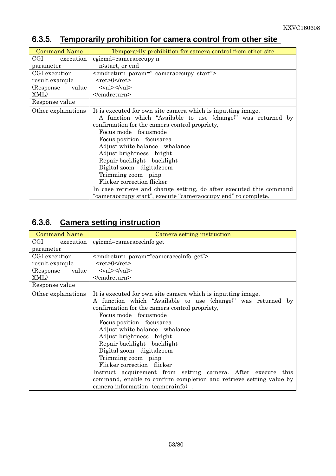#### 6.3.5. **Temporarily prohibition for camera control from other site**

| <b>Command Name</b> | Temporarily prohibition for camera control from other site          |
|---------------------|---------------------------------------------------------------------|
| CGI<br>execution    | cgicmd=cameraoccupy n                                               |
| parameter           | n:start, or end                                                     |
| CGI execution       | <cmdreturn param=" cameraoccupy start"></cmdreturn>                 |
| result example      | $<$ ret>0                                                           |
| (Response)<br>value | $\langle \text{val}\rangle \langle \text{val}\rangle$               |
| XML)                |                                                                     |
| Response value      |                                                                     |
| Other explanations  | It is executed for own site camera which is inputting image.        |
|                     | A function which "Available to use (change)" was returned by        |
|                     | confirmation for the camera control propriety,                      |
|                     | Focus mode focus mode                                               |
|                     | Focus position focusarea                                            |
|                     | Adjust white balance wbalance                                       |
|                     | Adjust brightness bright                                            |
|                     | Repair backlight backlight                                          |
|                     | Digital zoom digital zoom                                           |
|                     | Trimming zoom pinp                                                  |
|                     | Flicker correction flicker                                          |
|                     | In case retrieve and change setting, do after executed this command |
|                     | "cameraoccupy start", execute "cameraoccupy end" to complete.       |

### 6.3.6. **Camera setting instruction**

| cgicmd=cameracecinfo get                                                                                                                                                                                                                                                                                                                                                                                                                                                                                                                                                                   |
|--------------------------------------------------------------------------------------------------------------------------------------------------------------------------------------------------------------------------------------------------------------------------------------------------------------------------------------------------------------------------------------------------------------------------------------------------------------------------------------------------------------------------------------------------------------------------------------------|
|                                                                                                                                                                                                                                                                                                                                                                                                                                                                                                                                                                                            |
| <cmdreturn param="cameracecinfo get"></cmdreturn>                                                                                                                                                                                                                                                                                                                                                                                                                                                                                                                                          |
| $<$ ret>0                                                                                                                                                                                                                                                                                                                                                                                                                                                                                                                                                                                  |
| $\langle \text{val}\rangle \langle \text{val}\rangle$                                                                                                                                                                                                                                                                                                                                                                                                                                                                                                                                      |
|                                                                                                                                                                                                                                                                                                                                                                                                                                                                                                                                                                                            |
|                                                                                                                                                                                                                                                                                                                                                                                                                                                                                                                                                                                            |
| It is executed for own site camera which is inputting image.<br>A function which "Available to use (change)" was returned by<br>confirmation for the camera control propriety.<br>Focus mode focus mode<br>Focus position focusarea<br>Adjust white balance wbalance<br>Adjust brightness bright<br>Repair backlight backlight<br>Digital zoom digital zoom<br>Trimming zoom pinp<br>Flicker correction flicker<br>Instruct acquirement from setting camera. After execute this<br>command, enable to confirm completion and retrieve setting value by<br>camera information (camerainfo). |
|                                                                                                                                                                                                                                                                                                                                                                                                                                                                                                                                                                                            |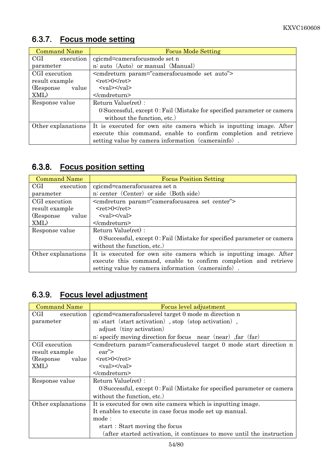# 6.3.7. **Focus mode setting**

| <b>Command Name</b> | <b>Focus Mode Setting</b>                                               |
|---------------------|-------------------------------------------------------------------------|
| CGI<br>execution    | cgicmd=camerafocusmode set n                                            |
| parameter           | n: auto (Auto) or manual (Manual)                                       |
| CGI execution       | <comdreturn param="camerafocusmode set auto"></comdreturn>              |
| result example      | $<$ ret $>0$ $<$ /ret $>$                                               |
| (Response)<br>value | $<$ val> $<$ /val>                                                      |
| XML)                |                                                                         |
| Response value      | Return Value(ret) :                                                     |
|                     | 0:Successful, except 0: Fail (Mistake for specified parameter or camera |
|                     | without the function, etc.)                                             |
| Other explanations  | It is executed for own site camera which is inputting image. After      |
|                     | execute this command, enable to confirm completion and retrieve         |
|                     | setting value by camera information (camerainfo).                       |

#### 6.3.8. **Focus position setting**

| <b>Command Name</b> | <b>Focus Position Setting</b>                                            |
|---------------------|--------------------------------------------------------------------------|
| CGI execution       | cgicmd=camerafocusarea set n                                             |
| parameter           | n: center (Center) or side (Both side)                                   |
| CGI execution       | <cmdreturn param="camerafocusarea set center"></cmdreturn>               |
| result example      | $<$ ret $>0$ $<$ /ret $>$                                                |
| (Response<br>value  | $\langle \text{val}\rangle \langle \text{val}\rangle$                    |
| XML)                |                                                                          |
| Response value      | Return Value(ret) :                                                      |
|                     | 0. Successful, except 0: Fail (Mistake for specified parameter or camera |
|                     | without the function, etc.)                                              |
| Other explanations  | It is executed for own site camera which is inputting image. After       |
|                     | execute this command, enable to confirm completion and retrieve          |
|                     | setting value by camera information (camerainfo).                        |

#### 6.3.9. **Focus level adjustment**

| <b>Command Name</b> | Focus level adjustment                                                   |
|---------------------|--------------------------------------------------------------------------|
| CGI<br>execution    | egicmd=camerafocuslevel target 0 mode m direction n                      |
| parameter           | m: start (start activation), stop (stop activation),                     |
|                     | adjust (tiny activation)                                                 |
|                     | n: specify moving direction for focus near (near) far (far)              |
| CGI execution       | <cmdreturn param="camerafocuslevel target 0 mode start direction n</td>  |
| result example      | ear'                                                                     |
| (Response)<br>value | $<$ ret $>0$ $<$ /ret $>$                                                |
| XML)                | $\langle \mathrm{val}\rangle \langle \mathrm{val}\rangle$                |
|                     |                                                                          |
| Response value      | Return Value(ret):                                                       |
|                     | 0. Successful, except 0: Fail (Mistake for specified parameter or camera |
|                     | without the function, etc.)                                              |
| Other explanations  | It is executed for own site camera which is inputting image.             |
|                     | It enables to execute in case focus mode set up manual.                  |
|                     | mode:                                                                    |
|                     | start: Start moving the focus                                            |
|                     | (after started activation, it continues to move until the instruction    |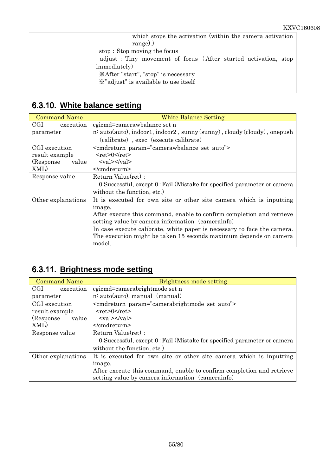| which stops the activation (within the camera activation)      |
|----------------------------------------------------------------|
| $range)$ .)                                                    |
| stop: Stop moving the focus                                    |
| adjust: Tiny movement of focus (After started activation, stop |
| <i>immediately</i> )                                           |
| <i>*After</i> "start", "stop" is necessary                     |
| X" adjust" is available to use itself                          |
|                                                                |

# 6.3.10. **White balance setting**

| <b>Command Name</b> | <b>White Balance Setting</b>                                             |
|---------------------|--------------------------------------------------------------------------|
| CGI<br>execution    | cgicmd=camerawbalance set n                                              |
| parameter           | n: auto(auto), indoor1, indoor2, sunny (sunny), cloudy (cloudy), onepush |
|                     | (calibrate), exec (execute calibrate)                                    |
| CGI execution       | <cmdreturn param="camerawbalance set auto"></cmdreturn>                  |
| result example      | $<$ ret>0                                                                |
| (Response)<br>value | $<$ val> $<$ /val>                                                       |
| XML)                |                                                                          |
| Response value      | Return Value(ret):                                                       |
|                     | 0: Successful, except 0: Fail (Mistake for specified parameter or camera |
|                     | without the function, etc.)                                              |
| Other explanations  | It is executed for own site or other site camera which is inputting      |
|                     | image.                                                                   |
|                     | After execute this command, enable to confirm completion and retrieve    |
|                     | setting value by camera information (camerainfo)                         |
|                     | In case execute calibrate, white paper is necessary to face the camera.  |
|                     | The execution might be taken 15 seconds maximum depends on camera        |
|                     | model.                                                                   |

#### 6.3.11. **Brightness mode setting**

| <b>Command Name</b> | Brightness mode setting                                                  |
|---------------------|--------------------------------------------------------------------------|
| CGI<br>execution    | cgicmd=camerabrightmode set n                                            |
| parameter           | n: auto(auto), manual (manual)                                           |
| CGI execution       | <comdreturn param="camerabrightmode set auto"></comdreturn>              |
| result example      | $<$ ret>0 $<$ /ret>                                                      |
| (Response)<br>value | $\langle \text{val}\rangle \langle \text{val}\rangle$                    |
| XML)                |                                                                          |
| Response value      | Return Value(ret):                                                       |
|                     | 0. Successful, except 0: Fail (Mistake for specified parameter or camera |
|                     | without the function, etc.)                                              |
| Other explanations  | It is executed for own site or other site camera which is inputting      |
|                     | image.                                                                   |
|                     | After execute this command, enable to confirm completion and retrieve    |
|                     | setting value by camera information (camerainfo)                         |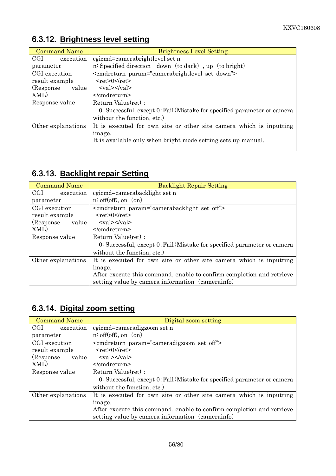| <b>Command Name</b> | <b>Brightness Level Setting</b>                                          |
|---------------------|--------------------------------------------------------------------------|
| CGI<br>execution    | cgicmd=camerabrightlevel set n                                           |
| parameter           | n: Specified direction down (to dark), up (to bright)                    |
| CGI execution       | <cmdreturn param="camerabrightlevel set down"></cmdreturn>               |
| result example      | $<$ ret $>0$ $<$ /ret $>$                                                |
| (Response)<br>value | $\langle \text{val}\rangle \langle \text{val}\rangle$                    |
| XML)                | $<$ /cmdreturn>                                                          |
| Response value      | Return Value(ret):                                                       |
|                     | 0: Successful, except 0: Fail (Mistake for specified parameter or camera |
|                     | without the function, etc.)                                              |
| Other explanations  | It is executed for own site or other site camera which is inputting      |
|                     | image.                                                                   |
|                     | It is available only when bright mode setting sets up manual.            |
|                     |                                                                          |

### 6.3.12. **Brightness level setting**

#### 6.3.13. **Backlight repair Setting**

| Command Name        | <b>Backlight Repair Setting</b>                                          |
|---------------------|--------------------------------------------------------------------------|
| CGI —<br>execution  | cgicmd=camerabacklight set n                                             |
| parameter           | $n:$ off(off), on $($ on)                                                |
| CGI execution       | <cmdreturn param="camerabacklight set off"></cmdreturn>                  |
| result example      | $<$ ret $>0$ $<$ /ret $>$                                                |
| (Response)<br>value | $<$ val> $<$ /val>                                                       |
| XML)                |                                                                          |
| Response value      | Return Value(ret):                                                       |
|                     | 0: Successful, except 0: Fail (Mistake for specified parameter or camera |
|                     | without the function, etc.)                                              |
| Other explanations  | It is executed for own site or other site camera which is inputting      |
|                     | image.                                                                   |
|                     | After execute this command, enable to confirm completion and retrieve    |
|                     | setting value by camera information (camerainfo)                         |

# 6.3.14. **Digital zoom setting**

| <b>Command Name</b> | Digital zoom setting                                                     |
|---------------------|--------------------------------------------------------------------------|
| CGI<br>execution    | cgicmd=cameradigzoom set n                                               |
| parameter           | $n:$ off(off), on $($ on)                                                |
| CGI execution       | <cmdreturn param="cameradigzoom set off"></cmdreturn>                    |
| result example      | $<$ ret $>0$ $<$ /ret $>$                                                |
| (Response)<br>value | $\langle \text{val}\rangle \langle \text{val}\rangle$                    |
| XML)                |                                                                          |
| Response value      | Return Value(ret) :                                                      |
|                     | 0: Successful, except 0: Fail (Mistake for specified parameter or camera |
|                     | without the function, etc.)                                              |
| Other explanations  | It is executed for own site or other site camera which is inputting      |
|                     | image.                                                                   |
|                     | After execute this command, enable to confirm completion and retrieve    |
|                     | setting value by camera information (camerainfo)                         |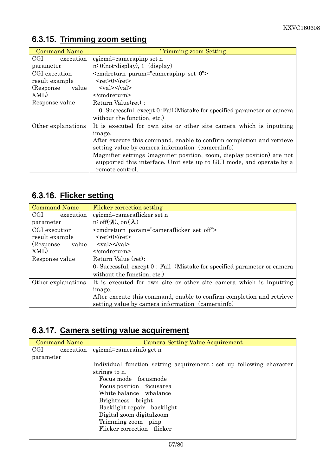| <b>Command Name</b> | Trimming zoom Setting                                                    |
|---------------------|--------------------------------------------------------------------------|
| CGI execution       | cgicmd=camerapinp set n                                                  |
| parameter           | $n: 0$ (not-display), 1 (display)                                        |
| CGI execution       | $\epsilon$ <cmdreturn param="cameraping set 0"></cmdreturn>              |
| result example      | $<$ ret>0 $<$ /ret>                                                      |
| (Response)<br>value | $\langle \text{val}\rangle \langle \text{val}\rangle$                    |
| XML)                | $<$ /cmdreturn>                                                          |
| Response value      | Return Value(ret):                                                       |
|                     | 0: Successful, except 0: Fail (Mistake for specified parameter or camera |
|                     | without the function, etc.)                                              |
| Other explanations  | It is executed for own site or other site camera which is inputting      |
|                     | image.                                                                   |
|                     | After execute this command, enable to confirm completion and retrieve    |
|                     | setting value by camera information (camerainfo)                         |
|                     | Magnifier settings (magnifier position, zoom, display position) are not  |
|                     | supported this interface. Unit sets up to GUI mode, and operate by a     |
|                     | remote control.                                                          |

# 6.3.15. **Trimming zoom setting**

### 6.3.16. **Flicker setting**

| <b>Command Name</b> | Flicker correction setting                                                   |
|---------------------|------------------------------------------------------------------------------|
| CGI<br>execution    | cgicmd=cameraflicker set n                                                   |
| parameter           | n: off(切), on(入)                                                             |
| CGI execution       | <cmdreturn param="cameraflicker set off"></cmdreturn>                        |
| result example      | $<$ ret $>0$ $<$ /ret $>$                                                    |
| (Response)<br>value | $\langle \text{val}\rangle \langle \text{val}\rangle$                        |
| XML)                |                                                                              |
| Response value      | Return Value (ret):                                                          |
|                     | $0:$ Successful, except $0:$ Fail (Mistake for specified parameter or camera |
|                     | without the function, etc.)                                                  |
| Other explanations  | It is executed for own site or other site camera which is inputting          |
|                     | image.                                                                       |
|                     | After execute this command, enable to confirm completion and retrieve        |
|                     | setting value by camera information (camerainfo)                             |

#### 6.3.17. **Camera setting value acquirement**

| <b>Command Name</b> | Camera Setting Value Acquirement                                     |
|---------------------|----------------------------------------------------------------------|
| CGI<br>execution    | cgicmd=camerainfo get n                                              |
| parameter           |                                                                      |
|                     | Individual function setting acquirement : set up following character |
|                     | strings to n.                                                        |
|                     | Focus mode focus mode                                                |
|                     | Focus position focusarea                                             |
|                     | White balance wbalance                                               |
|                     | Brightness bright                                                    |
|                     | Backlight repair backlight                                           |
|                     | Digital zoom digitalzoom                                             |
|                     | Trimming zoom pinp                                                   |
|                     | Flicker correction flicker                                           |
|                     |                                                                      |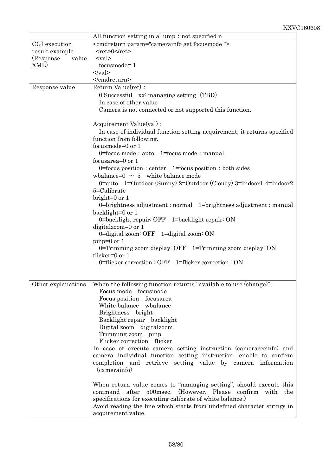|                     | All function setting in a lump: not specified n                                      |
|---------------------|--------------------------------------------------------------------------------------|
| CGI execution       | <cmdreturn param="camerainfo get focusmode"></cmdreturn>                             |
| result example      | $<$ ret>0                                                                            |
| (Response)<br>value | $<$ val $>$                                                                          |
| XML)                | focusmode=1                                                                          |
|                     | $\langle \text{val} \rangle$                                                         |
|                     |                                                                                      |
| Response value      | Return Value(ret):                                                                   |
|                     | $0:$ Successful xx: managing setting $(TBD)$                                         |
|                     | In case of other value                                                               |
|                     |                                                                                      |
|                     | Camera is not connected or not supported this function.                              |
|                     | Acquirement Value(val) :                                                             |
|                     |                                                                                      |
|                     | In case of individual function setting acquirement, it returns specified             |
|                     | function from following.                                                             |
|                     | focusmode=0 or 1                                                                     |
|                     | 0=focus mode: auto 1=focus mode: manual                                              |
|                     | focusarea= $0$ or $1$                                                                |
|                     | $0 =$ focus position : center 1=focus position : both sides                          |
|                     | wbalance= $0 \sim 5$ white balance mode                                              |
|                     | 0=auto 1=Outdoor (Sunny) 2=Outdoor (Cloudy) 3=Indoor1 4=Indoor2                      |
|                     | 5=Calibrate                                                                          |
|                     | bright= $0$ or $1$                                                                   |
|                     | 0=brightness adjustment : normal 1=brightness adjustment : manual                    |
|                     | backlight=0 or 1                                                                     |
|                     | 0=backlight repair: OFF 1=backlight repair: ON                                       |
|                     | digitalzoom=0 or 1                                                                   |
|                     | 0=digital zoom: OFF $1$ =digital zoom: ON                                            |
|                     | $pinp=0$ or 1                                                                        |
|                     | 0=Trimming zoom display: OFF 1=Trimming zoom display: ON                             |
|                     | flicker= $0$ or $1$                                                                  |
|                     | 0=flicker correction: OFF 1=flicker correction: ON                                   |
|                     |                                                                                      |
|                     |                                                                                      |
|                     | Other explanations   When the following function returns "available to use (change)" |
|                     | Focus mode focus mode                                                                |
|                     | Focus position focusarea                                                             |
|                     | White balance wbalance                                                               |
|                     | Brightness bright                                                                    |
|                     | Backlight repair backlight                                                           |
|                     | Digital zoom digital zoom                                                            |
|                     | Trimming zoom pinp                                                                   |
|                     | Flicker correction flicker                                                           |
|                     | In case of execute camera setting instruction (cameracecinfo) and                    |
|                     | camera individual function setting instruction, enable to confirm                    |
|                     | completion and retrieve setting value by camera information                          |
|                     | (camerainfo)                                                                         |
|                     |                                                                                      |
|                     | When return value comes to "managing setting", should execute this                   |
|                     | after 500msec. (However, Please confirm<br>with the<br>command                       |
|                     | specifications for executing calibrate of white balance.)                            |
|                     | Avoid reading the line which starts from undefined character strings in              |
|                     | acquirement value.                                                                   |
|                     |                                                                                      |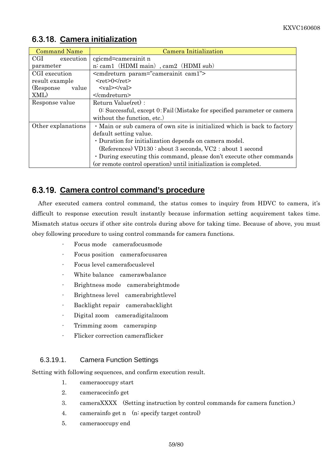| <b>Command Name</b> | Camera Initialization                                                    |
|---------------------|--------------------------------------------------------------------------|
| CGI<br>execution    | cgicmd=camerainit n                                                      |
| parameter           | n: cam1 (HDMI main), cam2 (HDMI sub)                                     |
| CGI execution       | <cmdreturn param="camerainit cam1"></cmdreturn>                          |
| result example      | $<$ ret>0                                                                |
| (Response)<br>value | $\langle \text{val}\rangle \langle \text{val}\rangle$                    |
| XML)                | $<$ /cmdreturn>                                                          |
| Response value      | Return Value(ret):                                                       |
|                     | 0: Successful, except 0: Fail (Mistake for specified parameter or camera |
|                     | without the function, etc.)                                              |
| Other explanations  | · Main or sub camera of own site is initialized which is back to factory |
|                     | default setting value.                                                   |
|                     | • Duration for initialization depends on camera model.                   |
|                     | (References) VD130: about 3 seconds, VC2: about 1 second                 |
|                     | • During executing this command, please don't execute other commands     |
|                     | (or remote control operation) until initialization is completed.         |

#### 6.3.18. **Camera initialization**

#### 6.3.19. **Camera control command's procedure**

After executed camera control command, the status comes to inquiry from HDVC to camera, it's difficult to response execution result instantly because information setting acquirement takes time. Mismatch status occurs if other site controls during above for taking time. Because of above, you must obey following procedure to using control commands for camera functions.

- ⋅ Focus mode camerafocusmode
- ⋅ Focus position camerafocusarea
- ⋅ Focus level camerafocuslevel
- White balance camerawbalance
- ⋅ Brightness mode camerabrightmode
- ⋅ Brightness level camerabrightlevel
- ⋅ Backlight repair camerabacklight
- ⋅ Digital zoom cameradigitalzoom
- ⋅ Trimming zoom camerapinp
- ⋅ Flicker correction cameraflicker

#### 6.3.19.1. Camera Function Settings

Setting with following sequences, and confirm execution result.

- 1. cameraoccupy start
- 2. cameracecinfo get
- 3. cameraXXXX (Setting instruction by control commands for camera function.)
- 4. camerainfo get n (n: specify target control)
- 5. cameraoccupy end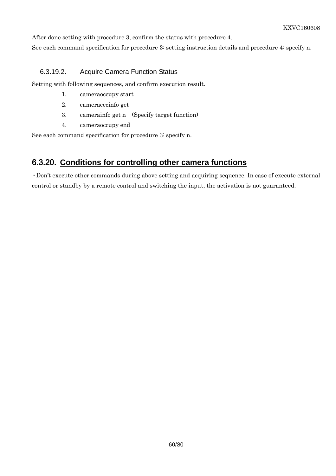After done setting with procedure 3, confirm the status with procedure 4.

See each command specification for procedure 3: setting instruction details and procedure 4: specify n.

#### 6.3.19.2. Acquire Camera Function Status

Setting with following sequences, and confirm execution result.

- 1. cameraoccupy start
- 2. cameracecinfo get
- 3. camerainfo get n (Specify target function)
- 4. cameraoccupy end

See each command specification for procedure 3: specify n.

#### 6.3.20. **Conditions for controlling other camera functions**

・Don't execute other commands during above setting and acquiring sequence. In case of execute external control or standby by a remote control and switching the input, the activation is not guaranteed.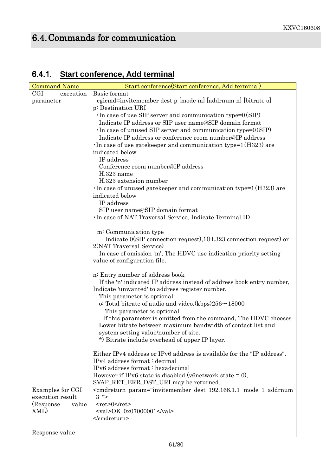# 6.4. Commands for communication

# 6.4.1. **Start conference, Add terminal**

| <b>Command Name</b> | Start conference (Start conference, Add terminal)                                                                                                                                      |
|---------------------|----------------------------------------------------------------------------------------------------------------------------------------------------------------------------------------|
| CGI<br>execution    | Basic format                                                                                                                                                                           |
| parameter           | cgicmd=invitemember dest p [mode m] [addrnum n] [bitrate o]                                                                                                                            |
|                     | p: Destination URI                                                                                                                                                                     |
|                     | $\cdot$ In case of use SIP server and communication type= $0(SIP)$                                                                                                                     |
|                     | Indicate IP address or SIP user name@SIP domain format                                                                                                                                 |
|                     | $\cdot$ In case of unused SIP server and communication type= $0(SIP)$                                                                                                                  |
|                     | Indicate IP address or conference room number@IP address                                                                                                                               |
|                     | In case of use gate keeper and communication type= $1(H323)$ are                                                                                                                       |
|                     | indicated below                                                                                                                                                                        |
|                     | IP address                                                                                                                                                                             |
|                     | Conference room number@IP address                                                                                                                                                      |
|                     | $H.323$ name                                                                                                                                                                           |
|                     | H.323 extension number                                                                                                                                                                 |
|                     | · In case of unused gatekeeper and communication type=1(H323) are                                                                                                                      |
|                     | indicated below<br>IP address                                                                                                                                                          |
|                     | SIP user name@SIP domain format                                                                                                                                                        |
|                     | · In case of NAT Traversal Service, Indicate Terminal ID                                                                                                                               |
|                     |                                                                                                                                                                                        |
|                     | m: Communication type                                                                                                                                                                  |
|                     | Indicate $0(SIP)$ connection request), $1(H.323)$ connection request) or                                                                                                               |
|                     | 2(NAT Traversal Service)                                                                                                                                                               |
|                     | In case of omission 'm', The HDVC use indication priority setting                                                                                                                      |
|                     | value of configuration file.                                                                                                                                                           |
|                     | n: Entry number of address book                                                                                                                                                        |
|                     | If the 'n' indicated IP address instead of address book entry number,                                                                                                                  |
|                     | Indicate 'unwanted' to address register number.                                                                                                                                        |
|                     | This parameter is optional.                                                                                                                                                            |
|                     | o: Total bitrate of audio and video. (kbps) $256 \sim 18000$                                                                                                                           |
|                     | This parameter is optional                                                                                                                                                             |
|                     | If this parameter is omitted from the command, The HDVC chooses                                                                                                                        |
|                     | Lower bitrate between maximum bandwidth of contact list and                                                                                                                            |
|                     | system setting value/number of site.                                                                                                                                                   |
|                     | *) Bitrate include overhead of upper IP layer.                                                                                                                                         |
|                     |                                                                                                                                                                                        |
|                     | Either IPv4 address or IPv6 address is available for the "IP address".<br>IPv4 address format : decimal                                                                                |
|                     | IPv6 address format: hexadecimal                                                                                                                                                       |
|                     | However if IPv6 state is disabled (v6network state $= 0$ ),                                                                                                                            |
|                     | SVAP_RET_ERR_DST_URI may be returned.                                                                                                                                                  |
| Examples for CGI    | <cmdreturn param="invitemember dest 192.168.1.1 mode 1 addrnum&lt;/th&gt;&lt;/tr&gt;&lt;tr&gt;&lt;th&gt;execution result&lt;/th&gt;&lt;th&gt;&lt;math&gt;3&lt;/math&gt; "></cmdreturn> |
| (Response)<br>value | $<$ ret>0 $<$ /ret>                                                                                                                                                                    |
| XML)                | $\langle \text{val} \rangle$ OK 0x07000001 $\langle \text{val} \rangle$                                                                                                                |
|                     |                                                                                                                                                                                        |
|                     |                                                                                                                                                                                        |
| Response value      |                                                                                                                                                                                        |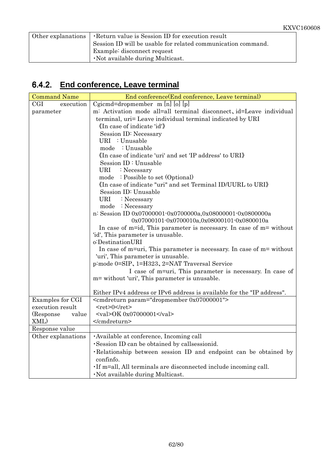| Other explanations   Return value is Session ID for execution result |
|----------------------------------------------------------------------|
| Session ID will be usable for related communication command.         |
| Example: disconnect request                                          |
| . Not available during Multicast.                                    |

### 6.4.2. **End conference, Leave terminal**

| <b>Command Name</b> | End conference(End conference, Leave terminal)                              |
|---------------------|-----------------------------------------------------------------------------|
| CGI<br>execution    | $Cgicmd=dropmember$ m [n] [o] [p]                                           |
| parameter           | m: Activation mode all=all terminal disconnect, id=Leave individual         |
|                     | terminal, uri= Leave individual terminal indicated by URI                   |
|                     | «In case of indicate 'id'»                                                  |
|                     | Session ID: Necessary                                                       |
|                     | URI : Unusable                                                              |
|                     | mode : Unusable                                                             |
|                     | «In case of indicate 'uri' and set 'IP address' to URI»                     |
|                     | Session ID: Unusable                                                        |
|                     | URI : Necessary                                                             |
|                     | mode : Possible to set (Optional)                                           |
|                     | «In case of indicate "uri" and set Terminal ID/UURL to URI»                 |
|                     | Session ID: Unusable                                                        |
|                     | <b>URI</b><br>: Necessary                                                   |
|                     | mode : Necessary                                                            |
|                     | n: Session ID 0x07000001-0x0700000a,0x08000001-0x0800000a                   |
|                     | 0x07000101-0x0700010a,0x08000101-0x0800010a                                 |
|                     | In case of $m = id$ , This parameter is necessary. In case of $m =$ without |
|                     | 'id', This parameter is unusable.                                           |
|                     | o:DestinationURI                                                            |
|                     | In case of m=uri, This parameter is necessary. In case of m= without        |
|                     | 'uri', This parameter is unusable.                                          |
|                     | p:mode 0=SIP, 1=H323, 2=NAT Traversal Service                               |
|                     | I case of m=uri, This parameter is necessary. In case of                    |
|                     | m= without 'uri', This parameter is unusable.                               |
|                     | Either IPv4 address or IPv6 address is available for the "IP address".      |
| Examples for CGI    | <cmdreturn param="dropmember 0x07000001"></cmdreturn>                       |
| execution result    | $<$ ret>0                                                                   |
| (Response)<br>value | <val>OK 0x07000001</val>                                                    |
| XML)                |                                                                             |
| Response value      |                                                                             |
| Other explanations  | · Available at conference, Incoming call                                    |
|                     | ·Session ID can be obtained by callsessionid.                               |
|                     | Relationship between session ID and endpoint can be obtained by             |
|                     | confinfo.                                                                   |
|                     | . If m=all, All terminals are disconnected include incoming call.           |
|                     | · Not available during Multicast.                                           |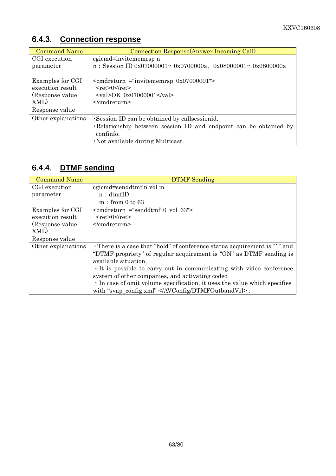# 6.4.3. **Connection response**

| <b>Command Name</b> | Connection Response (Answer Incoming Call)                               |
|---------------------|--------------------------------------------------------------------------|
| CGI execution       | cgicmd=invitememrsp n                                                    |
| parameter           | n: Session ID 0x07000001 $\sim$ 0x0700000a, 0x08000001 $\sim$ 0x0800000a |
|                     |                                                                          |
| Examples for CGI    | $\epsilon$ <cmdreturn 0x07000001"="" ="invitememrsp=""></cmdreturn>      |
| execution result    | $<$ ret $>0$ $<$ /ret $>$                                                |
| (Response value)    | $\langle \text{val} \rangle$ OK 0x07000001                               |
| XML)                | $<$ /cmdreturn>                                                          |
| Response value      |                                                                          |
| Other explanations  | Session ID can be obtained by callsessionid.                             |
|                     | Relationship between session ID and endpoint can be obtained by          |
|                     | confinfo.                                                                |
|                     | . Not available during Multicast.                                        |

#### 6.4.4. **DTMF sending**

| <b>Command Name</b> | <b>DTMF</b> Sending                                                       |
|---------------------|---------------------------------------------------------------------------|
| CGI execution       | cgicmd=senddtmf n vol m                                                   |
| parameter           | n: dtmfID                                                                 |
|                     | $m:$ from 0 to 63                                                         |
| Examples for CGI    | $\epsilon$ cmdreturn ="senddtmf 0 vol 63">                                |
| execution result    | $<$ ret $>0$ $<$ /ret $>$                                                 |
| (Response value)    | $<$ /cmdreturn>                                                           |
| XML)                |                                                                           |
| Response value      |                                                                           |
| Other explanations  | • There is a case that "hold" of conference status acquirement is "1" and |
|                     | "DTMF propriety" of regular acquirement is "ON" as DTMF sending is        |
|                     | available situation.                                                      |
|                     | It is possible to carry out in communicating with video conference        |
|                     | system of other companies, and activating codec.                          |
|                     | In case of omit volume specification, it uses the value which specifies   |
|                     | with "svap_config.xml" .                                                  |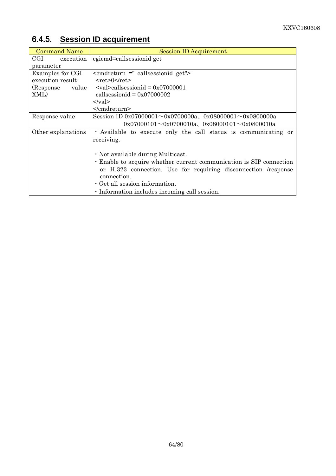| <b>Command Name</b>        | <b>Session ID Acquirement</b>                                         |  |
|----------------------------|-----------------------------------------------------------------------|--|
| $_{\rm{CGI}}$<br>execution | cgicmd=callsessionid get                                              |  |
| parameter                  |                                                                       |  |
| Examples for CGI           | $\epsilon$ <cmdreturn ="="" callsessionid="" get"=""></cmdreturn>     |  |
| execution result           | $<$ ret>0 $<$ /ret>                                                   |  |
| (Response)<br>value        | $\langle \text{val}\rangle$ callsessionid = 0x07000001                |  |
| XML)                       | callsessionid = $0x07000002$                                          |  |
|                            | $\langle \text{val} \rangle$                                          |  |
|                            | $<$ /cmdreturn>                                                       |  |
| Response value             | Session ID 0x07000001 $\sim$ 0x0700000a, 0x08000001 $\sim$ 0x0800000a |  |
|                            | $0x07000101 \sim 0x0700010a$ , $0x08000101 \sim 0x0800010a$           |  |
| Other explanations         | Available to execute only the call status is communicating or         |  |
|                            | receiving.                                                            |  |
|                            |                                                                       |  |
|                            | . Not available during Multicast.                                     |  |
|                            | Enable to acquire whether current communication is SIP connection     |  |
|                            | or H.323 connection. Use for requiring disconnection /response        |  |
|                            | connection.                                                           |  |
|                            | · Get all session information.                                        |  |
|                            | . Information includes incoming call session.                         |  |

# 6.4.5. **Session ID acquirement**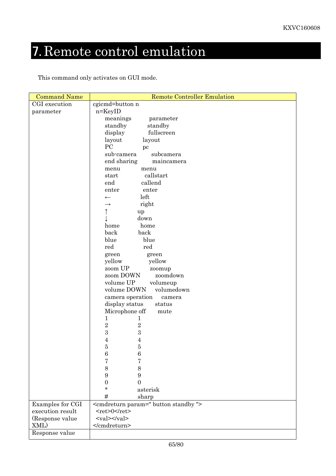# 7. Remote control emulation

This command only activates on GUI mode.

| <b>Command Name</b> | <b>Remote Controller Emulation</b>                        |  |  |
|---------------------|-----------------------------------------------------------|--|--|
| CGI execution       | cgicmd=button n                                           |  |  |
| parameter           | $n = KeyID$                                               |  |  |
|                     | meanings<br>parameter                                     |  |  |
|                     | standby<br>standby                                        |  |  |
|                     | display<br>fullscreen                                     |  |  |
|                     | layout<br>layout                                          |  |  |
|                     | PC<br>pc                                                  |  |  |
|                     | sub-camera<br>subcamera                                   |  |  |
|                     | end sharing<br>maincamera                                 |  |  |
|                     | menu<br>menu                                              |  |  |
|                     | callstart<br>start                                        |  |  |
|                     | callend<br>end                                            |  |  |
|                     | enter<br>enter                                            |  |  |
|                     | left<br>$\leftarrow$                                      |  |  |
|                     | right<br>$\rightarrow$                                    |  |  |
|                     |                                                           |  |  |
|                     | up<br>down                                                |  |  |
|                     | home                                                      |  |  |
|                     | home                                                      |  |  |
|                     | back<br>back                                              |  |  |
|                     | blue<br>blue                                              |  |  |
|                     | red<br>red                                                |  |  |
|                     | green<br>green                                            |  |  |
|                     | yellow<br>yellow                                          |  |  |
|                     | zoom UP<br>zoomup                                         |  |  |
|                     | zoom DOWN<br>zoomdown                                     |  |  |
|                     | volume UP<br>volumeup                                     |  |  |
|                     | volume DOWN<br>volumedown                                 |  |  |
|                     | camera operation<br>camera                                |  |  |
|                     | display status<br>status                                  |  |  |
|                     | Microphone off<br>mute                                    |  |  |
|                     | $\mathbf 1$<br>$\mathbf{1}$                               |  |  |
|                     | $\overline{2}$<br>$\,2$                                   |  |  |
|                     | 3<br>$\sqrt{3}$                                           |  |  |
|                     | 4<br>$\overline{4}$                                       |  |  |
|                     | 5<br>5                                                    |  |  |
|                     | 6<br>6                                                    |  |  |
|                     | 7<br>7                                                    |  |  |
|                     | 8<br>8                                                    |  |  |
|                     | 9<br>9                                                    |  |  |
| 0<br>0              |                                                           |  |  |
|                     | ÷.<br>asterisk                                            |  |  |
|                     | #<br>sharp                                                |  |  |
| Examples for CGI    | <cmdreturn param=" button standby "></cmdreturn>          |  |  |
| execution result    | $<$ ret>0                                                 |  |  |
|                     | $\langle \mathrm{val}\rangle \langle \mathrm{val}\rangle$ |  |  |
| XML)                |                                                           |  |  |
| Response value      |                                                           |  |  |
| (Response value     |                                                           |  |  |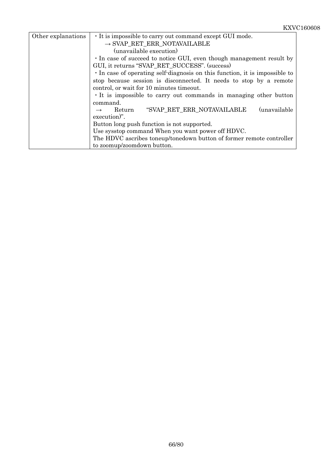| Other explanations | It is impossible to carry out command except GUI mode.                    |
|--------------------|---------------------------------------------------------------------------|
|                    | $\rightarrow$ SVAP RET ERR NOTAVAILABLE                                   |
|                    | (unavailable execution)                                                   |
|                    | · In case of succeed to notice GUI, even though management result by      |
|                    | GUI, it returns "SVAP_RET_SUCCESS". (success)                             |
|                    | In case of operating self-diagnosis on this function, it is impossible to |
|                    | stop because session is disconnected. It needs to stop by a remote        |
|                    | control, or wait for 10 minutes timeout.                                  |
|                    | It is impossible to carry out commands in managing other button           |
|                    | command.                                                                  |
|                    | (unavailable)<br>"SVAP RET ERR NOTAVAILABLE<br>Return<br>$\rightarrow$    |
|                    | execution)".                                                              |
|                    | Button long push function is not supported.                               |
|                    | Use sysstop command When you want power off HDVC.                         |
|                    | The HDVC ascribes toneup/tonedown button of former remote controller      |
|                    | to zoomup/zoomdown button.                                                |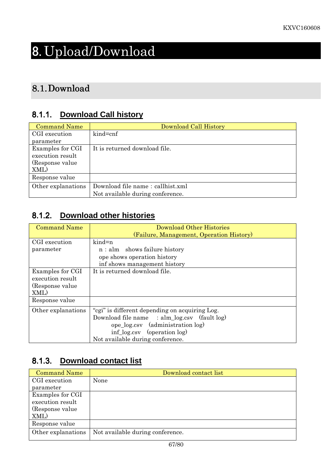# 8. Upload/Download

# 8.1.Download

#### 8.1.1. **Download Call history**

| <b>Command Name</b> | Download Call History            |
|---------------------|----------------------------------|
| CGI execution       | kind=cnf                         |
| parameter           |                                  |
| Examples for CGI    | It is returned download file.    |
| execution result    |                                  |
| (Response value)    |                                  |
| XML)                |                                  |
| Response value      |                                  |
| Other explanations  | Download file name: callhist.xml |
|                     | Not available during conference. |

#### 8.1.2. **Download other histories**

| <b>Command Name</b> | Download Other Histories                          |
|---------------------|---------------------------------------------------|
|                     | (Failure, Management, Operation History)          |
| CGI execution       | $kind=n$                                          |
| parameter           | $n:$ alm shows failure history                    |
|                     | ope shows operation history                       |
|                     | inf shows management history                      |
| Examples for CGI    | It is returned download file.                     |
| execution result    |                                                   |
| (Response value)    |                                                   |
| XML)                |                                                   |
| Response value      |                                                   |
| Other explanations  | "cgi" is different depending on acquiring Log.    |
|                     | Download file name : $alm_log.csv$ (fault $log$ ) |
|                     | ope log.csv (administration log)                  |
|                     | $inf_{\text{log.csv}}$ (operation log)            |
|                     | Not available during conference.                  |

#### 8.1.3. **Download contact list**

| <b>Command Name</b> | Download contact list            |
|---------------------|----------------------------------|
| CGI execution       | None                             |
| parameter           |                                  |
| Examples for CGI    |                                  |
| execution result    |                                  |
| (Response value)    |                                  |
| XML)                |                                  |
| Response value      |                                  |
| Other explanations  | Not available during conference. |
|                     |                                  |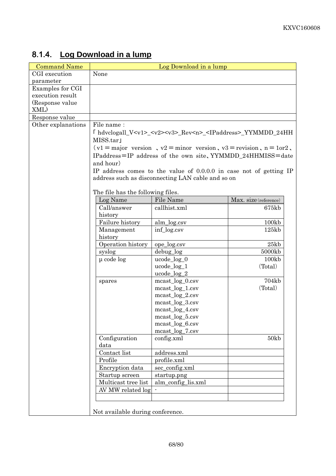| <b>Command Name</b> |                                   | Log Download in a lump                                                                     |                       |
|---------------------|-----------------------------------|--------------------------------------------------------------------------------------------|-----------------------|
| CGI execution       | None                              |                                                                                            |                       |
| parameter           |                                   |                                                                                            |                       |
| Examples for CGI    |                                   |                                                                                            |                       |
| execution result    |                                   |                                                                                            |                       |
| (Response value)    |                                   |                                                                                            |                       |
| XML)                |                                   |                                                                                            |                       |
| Response value      |                                   |                                                                                            |                       |
| Other explanations  | File name:                        |                                                                                            |                       |
|                     |                                   | [ hdvclogall_V <v1>_<v2><v3>_Rev<n>_<lpaddress>_YYMMDD_24HH</lpaddress></n></v3></v2></v1> |                       |
|                     | MISS.tar1                         |                                                                                            |                       |
|                     |                                   | $v1 =$ major version, $v2 =$ minor version, $v3 =$ revision, $n = 1$ or2,                  |                       |
|                     |                                   |                                                                                            |                       |
|                     |                                   | IPaddress=IP address of the own site, YYMMDD_24HHMISS=date                                 |                       |
|                     | and hour)                         |                                                                                            |                       |
|                     |                                   | IP address comes to the value of 0.0.0.0 in case not of getting IP                         |                       |
|                     |                                   | address such as disconnecting LAN cable and so on                                          |                       |
|                     |                                   |                                                                                            |                       |
|                     | The file has the following files. |                                                                                            |                       |
|                     | Log Name                          | File Name                                                                                  | Max. size (reference) |
|                     | Call/answer                       | callhist.xml                                                                               | 675kb                 |
|                     | history                           |                                                                                            |                       |
|                     | Failure history                   | alm_log.csv                                                                                | 100kb                 |
|                     | Management                        | inf_log.csv                                                                                | 125kb                 |
|                     | history                           |                                                                                            |                       |
|                     | Operation history                 | ope_log.csv                                                                                | 25kb                  |
|                     | syslog                            | debug_log                                                                                  | 5000kb                |
|                     | $\mu$ code $\log$                 | $ucode\_log_0$                                                                             | 100kb                 |
|                     |                                   | $ucode\_log_1$                                                                             | (Total)               |
|                     |                                   | $ucode\_log_22$                                                                            |                       |
|                     | spares                            | $meast_log_0.csv$                                                                          | 704kb                 |
|                     |                                   | $meast_log_1.csv$                                                                          | (Total)               |
|                     |                                   | $meast_log_2.csv$                                                                          |                       |
|                     |                                   | $meast_log_3.csv$                                                                          |                       |
|                     |                                   | $meast_log_4.csv$                                                                          |                       |
|                     |                                   | mcast_log_5.csv                                                                            |                       |
|                     |                                   | $meast_log_6.csv$                                                                          |                       |
|                     |                                   | $meast_log_7.csv$                                                                          |                       |
|                     | Configuration                     | config.xml                                                                                 | 50kb                  |
|                     | data                              |                                                                                            |                       |
|                     | Contact list                      | address.xml                                                                                |                       |
|                     | Profile                           | profile.xml                                                                                |                       |
|                     | Encryption data                   | sec_config.xml                                                                             |                       |
|                     | Startup screen                    | startup.png                                                                                |                       |
|                     | Multicast tree list               | alm_config_lis.xml                                                                         |                       |
|                     | AV MW related log                 |                                                                                            |                       |
|                     |                                   |                                                                                            |                       |
|                     |                                   |                                                                                            |                       |
|                     | Not available during conference.  |                                                                                            |                       |
|                     |                                   |                                                                                            |                       |

# 8.1.4. **Log Download in a lump**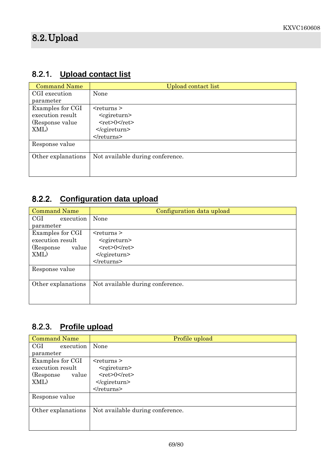### 8.2.1. **Upload contact list**

| <b>Command Name</b> | Upload contact list              |  |
|---------------------|----------------------------------|--|
| CGI execution       | None                             |  |
| parameter           |                                  |  |
| Examples for CGI    | $<$ returns $>$                  |  |
| execution result    | $<$ cgireturn $>$                |  |
| (Response value)    | $<$ ret>0 $<$ /ret>              |  |
| XML)                | $<$ /cgireturn>                  |  |
|                     | $\le$ /returns>                  |  |
| Response value      |                                  |  |
| Other explanations  | Not available during conference. |  |
|                     |                                  |  |
|                     |                                  |  |

# 8.2.2. **Configuration data upload**

| <b>Command Name</b> | Configuration data upload        |  |
|---------------------|----------------------------------|--|
| CGI<br>execution    | None                             |  |
| parameter           |                                  |  |
| Examples for CGI    | $<$ returns $>$                  |  |
| execution result    | $<$ cgireturn $>$                |  |
| (Response)<br>value | $<$ ret>0                        |  |
| XML)                | $<$ /cgireturn>                  |  |
|                     |                                  |  |
| Response value      |                                  |  |
|                     |                                  |  |
| Other explanations  | Not available during conference. |  |
|                     |                                  |  |
|                     |                                  |  |

### 8.2.3. **Profile upload**

| <b>Command Name</b>        | Profile upload                   |  |
|----------------------------|----------------------------------|--|
| $_{\rm{CGI}}$<br>execution | None                             |  |
| parameter                  |                                  |  |
| Examples for CGI           | $<$ returns $>$                  |  |
| execution result           | <cgireturn></cgireturn>          |  |
| (Response)<br>value        | $<$ ret>0 $<$ /ret>              |  |
| XML)                       | $<$ /cgireturn>                  |  |
|                            | $<$ /returns>                    |  |
| Response value             |                                  |  |
|                            |                                  |  |
| Other explanations         | Not available during conference. |  |
|                            |                                  |  |
|                            |                                  |  |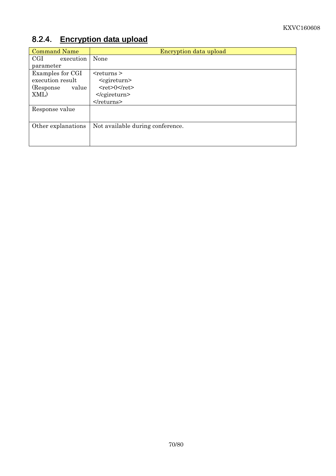# 8.2.4. **Encryption data upload**

| <b>Command Name</b> | Encryption data upload           |  |
|---------------------|----------------------------------|--|
| CGI<br>execution    | None                             |  |
| parameter           |                                  |  |
| Examples for CGI    | $<$ returns $>$                  |  |
| execution result    | $<$ cgireturn $>$                |  |
| (Response<br>value  | $<$ ret>0 $<$ /ret>              |  |
| XML)                | $<$ /cgireturn>                  |  |
|                     | $\le$ /returns>                  |  |
| Response value      |                                  |  |
|                     |                                  |  |
| Other explanations  | Not available during conference. |  |
|                     |                                  |  |
|                     |                                  |  |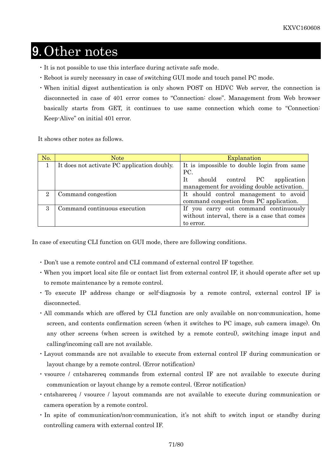# 9. Other notes

- ・It is not possible to use this interface during activate safe mode.
- ・Reboot is surely necessary in case of switching GUI mode and touch panel PC mode.
- ・When initial digest authentication is only shown POST on HDVC Web server, the connection is disconnected in case of 401 error comes to "Connection: close". Management from Web browser basically starts from GET, it continues to use same connection which come to "Connection: Keep-Alive" on initial 401 error.

It shows other notes as follows.

| No.                         | Note                                        | Explanation                                                                                        |
|-----------------------------|---------------------------------------------|----------------------------------------------------------------------------------------------------|
|                             | It does not activate PC application doubly. | It is impossible to double login from same<br>PC.                                                  |
|                             |                                             | Tt.<br>should control PC<br>application<br>management for avoiding double activation.              |
| $\mathcal{D}_{\mathcal{L}}$ | Command congestion                          | It should control management to avoid<br>command congestion from PC application.                   |
| $\mathcal{S}$               | Command continuous execution                | If you carry out command continuously<br>without interval, there is a case that comes<br>to error. |

In case of executing CLI function on GUI mode, there are following conditions.

- ・Don't use a remote control and CLI command of external control IF together.
- ・When you import local site file or contact list from external control IF, it should operate after set up to remote maintenance by a remote control.
- ・ To execute IP address change or self-diagnosis by a remote control, external control IF is disconnected.
- ・All commands which are offered by CLI function are only available on non-communication, home screen, and contents confirmation screen (when it switches to PC image, sub camera image). On any other screens (when screen is switched by a remote control), switching image input and calling/incoming call are not available.
- ・Layout commands are not available to execute from external control IF during communication or layout change by a remote control. (Error notification)
- ・vsource / cntsharereq commands from external control IF are not available to execute during communication or layout change by a remote control. (Error notification)
- ・cntsharereq / vsource / layout commands are not available to execute during communication or camera operation by a remote control.
- ・In spite of communication/non-communication, it's not shift to switch input or standby during controlling camera with external control IF.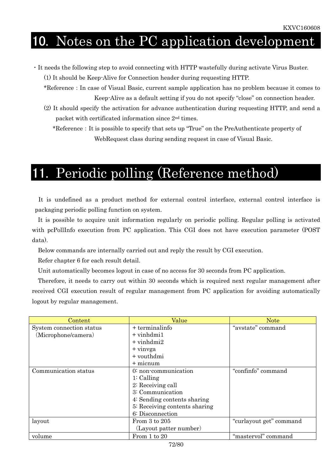# 10. Notes on the PC application development

・It needs the following step to avoid connecting with HTTP wastefully during activate Virus Buster.

(1) It should be Keep-Alive for Connection header during requesting HTTP.

- \*Reference:In case of Visual Basic, current sample application has no problem because it comes to Keep-Alive as a default setting if you do not specify "close" on connection header.
- (2) It should specify the activation for advance authentication during requesting HTTP, and send a packet with certificated information since 2nd times.

 \*Reference:It is possible to specify that sets up "True" on the PreAuthenticate property of WebRequest class during sending request in case of Visual Basic.

# 11. Periodic polling (Reference method)

It is undefined as a product method for external control interface, external control interface is packaging periodic polling function on system.

It is possible to acquire unit information regularly on periodic polling. Regular polling is activated with pcPollInfo execution from PC application. This CGI does not have execution parameter (POST data).

Below commands are internally carried out and reply the result by CGI execution.

Refer chapter 6 for each result detail.

Unit automatically becomes logout in case of no access for 30 seconds from PC application.

Therefore, it needs to carry out within 30 seconds which is required next regular management after received CGI execution result of regular management from PC application for avoiding automatically logout by regular management.

| Content                  | Value                         | <b>Note</b>             |
|--------------------------|-------------------------------|-------------------------|
| System connection status | + terminalinfo                | "avstate" command       |
| (Microphone/camera)      | $+$ vinhdmi1                  |                         |
|                          | $+$ vinhdmi2                  |                         |
|                          | + vinvga                      |                         |
|                          | + vouthdmi                    |                         |
|                          | + micnum                      |                         |
| Communication status     | 0: non-communication          | "confinfo" command      |
|                          | $1:$ Calling                  |                         |
|                          | 2: Receiving call             |                         |
|                          | 3: Communication              |                         |
|                          | 4: Sending contents sharing   |                         |
|                          | 5: Receiving contents sharing |                         |
|                          | 6: Disconnection              |                         |
| layout                   | From $3$ to $205$             | "curlayout get" command |
|                          | (Layout patter number)        |                         |
| volume                   | From 1 to 20                  | "mastervol" command     |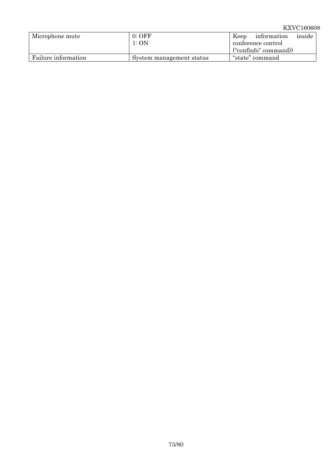#### KXVC160608

| Microphone mute     | $0:$ OFF<br>1: ON        | inside<br>information<br>Keep<br>conference control |
|---------------------|--------------------------|-----------------------------------------------------|
|                     |                          | ("confinfo" command))                               |
| Failure information | System management status | "state" command                                     |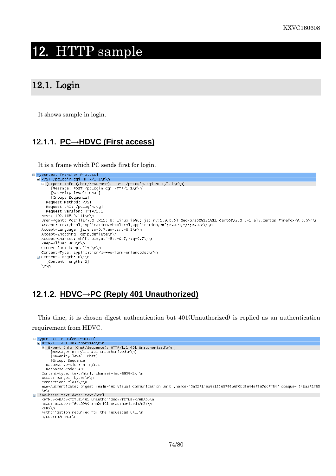## 12. HTTP sample

#### 12.1. Login

It shows sample in login.

## 12.1.1. **PC→HDVC (First access)**

It is a frame which PC sends first for login.

```
B Hypertext Transfer Protocol
  POST /pcLogin.cgi HTTP/1.1\r\n
     E [Expert Info (Chat/Sequence): POST /pcLogin.cgi HTTP/1.1\r\n]
         [Message: POST /pcLogin.cgi HTTP/1.1\r\n]<br>[Severity level: Chat]
          [Group: Sequence]
       Request Method: POST
       Request URI: /pcLogin.cgi
       Request Version: HTTP/1.1
     Host: 192.168.0.111\r\n
    user-Agent: Mozilla/5.0 (X11; U; Linux i686; ja; rv:1.9.0.5) Gecko/2008121911 Centos/3.0.5-1.el5.centos Firefox/3.0.5\r\r<br>Accept: text/html,application/xhtml+xml,application/xml;q=0.9,*/*;q=0.8\r\n
    Accept-Language: ja,en;q=0.7,en-us;q=0.3\r\n<br>Accept-Encoding: gzip,deflate\r\n
     Accept-Charset: Shift_JIS, utf-8; q=0.7, *; q=0.7\r\n
    Keep-Alive: 300\r\n
     Connection: keep-alive\r\n
     Content-Type: application/x-www-form-urlencoded\r\n
  □ Content-Length: 0\r\n
       [Content length: 0]
     \r\n
```
#### 12.1.2. **HDVC→PC (Reply 401 Unauthorized)**

This time, it is chosen digest authentication but 401(Unauthorized) is replied as an authentication requirement from HDVC.

```
E Hypertext Transfer Protocol
  E HTTP/1.1 401 Unauthorized\r\n
    E [Expert Info (Chat/Sequence): HTTP/1.1 401 Unauthorized\r\n]
        [Message: HTTP/1.1 401 Unauthorized\r\n]
        [Message: http://i.il.401<br>[Severity level: Chat]
        [Group: Sequence]
      Request Version: HTTP/1.1
      Response Code: 401
    Content-type: text/html; charset=iso-8859-1\r\n
    Accept-Ranges: bytes\r\n
    Connection: close\r\n
    www-Authenticate: Digest realm="HD Visual Communication Unit",nonce="5a52714ea9a12203792b0f0bd3e44e72e7dc7f34",opaque="24baa71f33
    \r\n
□ Line-based text data: text/html
    <HTML><HEAD><TITLE>401 Unauthorized</TITLE></HEAD>\n
    <br />
BODY BGCOLOR="#cc9999"><H2>401 Unauthorized</H2>\n
    <HR>\n
    Authorization required for the requested URL.\n
    </BODY></HTML>\n
```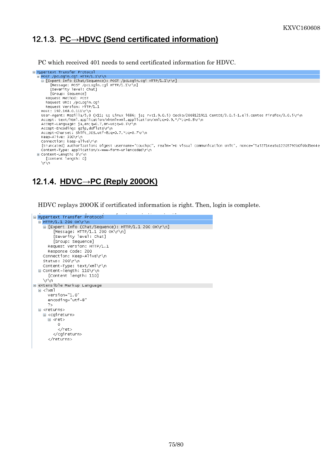## 12.1.3. **PC→HDVC (Send certificated information)**

PC which received 401 needs to send certificated information for HDVC.

```
□ Hypertext Transfer Protocol
  POST /pcLogin.cgi HTTP/1.1\r\n
     E [Expert Info (Chat/Sequence): POST /pcLogin.cgi HTTP/1.1\r\n]
           [Message: POST /pcLogin.cgi HTTP/1.1\r\n]<br>[Severity level: Chat]
           [Group: Sequence]
        Request Method: POST
        Request URI: /pcLogin.cgi<br>Request URI: /pcLogin.cgi<br>Request Version: HTTP/1.1
     Host: 192.168.0.111\r\n
     user-Agent: Mozilla/5.0 (x1; U; Linux i686; ja; rv:1.9.0.5) Gecko/2008121911 Centos/3.0.5–1.el5.centos Firefox/3.0.5\r\n<br>Accept: text/html,application/xhtml+xml,application/xml;q=0.9,*/*;q=0.8\r\n
     Accept-Language: ja, en; q=0.7, en-us; q=0.3\r\n
     Accept-Encoding: gzip, deflate\r\n<br>Accept-Encoding: gzip, deflate\r\n<br>Accept-Charset: Shift_JIS, utf-8; q=0.7, *; q=0.7\r\n
     keep-Alive: 300\r\n<br>Connection: keep-alive\r\n
     [truncated] Authorization: Digest username="touchpc", realm="HD Visual Communication Unit", nonce="5a52714ea9a12203792b0f0bd3e44e
     truncated] Adthorization: Digest username= touchpc<br>Content-Type: application/x-www-form-urlencoded\r\n
  ⊟ Content-Length: 0\r\n
        [Content length: 0]
     \sqrt{r}
```
## 12.1.4. **HDVC→PC (Reply 200OK)**

HDVC replays 200OK if certificated information is right. Then, login is complete.

```
⊟ Hypertext Transfer Protocol
  E HTTP/1.1 200 OK\r\n
    E [Expert Info (Chat/Sequence): HTTP/1.1 200 OK\r\n]
         [Message: HTTP/1.1 200 OK\r\n]
         [Severity level: Chat]
        [Group: Sequence]
      Request Version: HTTP/1.1
      Response Code: 200
    Connection: Keep-Alive\r\n
    status: 200\Content-Type: text/xml\r\n
  ■ Content-length: 110\r\n
      [Content length: 110]
    \forall r \forall ne extensible Markup Language
  \equiv <?xml
      version="1.0"
      encoding="utf-8"
      2\overline{2}□ <returns>
    \Box <cgineturn>
      ⊟≺ret>
          \circ\sqrt{r}et>
        </cgireturn>
      </returns>
```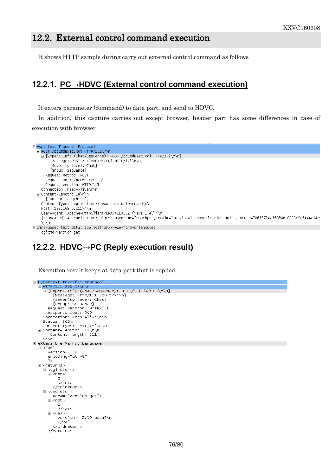## 12.2. External control command execution

It shows HTTP sample during carry out external control command as follows

#### 12.2.1. **PC→HDVC (External control command execution)**

It enters parameter (command) to data part, and send to HDVC.

In addition, this capture carries out except browser, header part has some differences in case of execution with browser.

```
E Hypertext Transfer Protocol
 POST /pcCmdExec.cgi HTTP/1.1\r\n
   E [Expert Info (Chat/Sequence): POST /pcCmdExec.cqi HTTP/1.1\r\n]
        [Message: POST /pcCmdExec.cg1 HTTP/1.1\r\n]
        [Severity level: Chat]
        [Group: Sequence]
     Request Method: POST
     Request URI: /pcCmdExec.cqi
     Request Version: HTTP/1.1
   Connection: Keep-Alive\r\n
 □ Content-Length: 18\r\n
     [Content length: 18]
   Content-Type: application/x-www-form-urlencoded\r\n
   Host: 192.168.0.111\r\n
   User-Agent: Apache-HttpClient/UNAVAILABLE (java 1.4)\r\n
   [truncated] Authorization: Digest username="touchpc", realm="HD Visual Communication Unit", nonce="0653714e56086d10033e9d6444c14e
    \r\n
□ Line-based text data: application/x-www-form-urlencoded
    cqicmd=version get
```
#### 12.2.2. **HDVC→PC (Reply execution result)**

Execution result keeps at data part that is replied.

```
B Hypertext Transfer Protocol
  _<br>| HTTP/1.1 200 oK\r\n<br>| ⊟ [Expert Info (Chat/Sequence): HTTP/1.1 200 oK\r\n]
          [Message: HTTP/1.1 200 OK\r\n]
          [Severity level: Chat]
          [Group: Sequence]
       Request Version: HTTP/1.1
       Response Code: 200
     Connection: Keep-Alive\r\n
  status: 200\r\n<br>| Content-Type: text/xml\r\n<br>|⊟ Content-length: 211\r\n
       [Content length: 211]
     NrNn
⊟ extensible Markup Language
  \equiv <? xml
       version="1.0"
       encoding="utf-8"
       2\,\Box <returns>
     ⊟ <cgireturn>
       \equiv <ret>
            \Omega\sqrt{r}et>
          </cgireturn>
     ⊟ <cmdreturn
         param="version get">
       \equiv <ret>
            \mathbf 0\langle/ret>
       \Box \ \ \text{eval}\version = 2.30 Beta\n</val>
          </cmdreturn>
       </returns>
```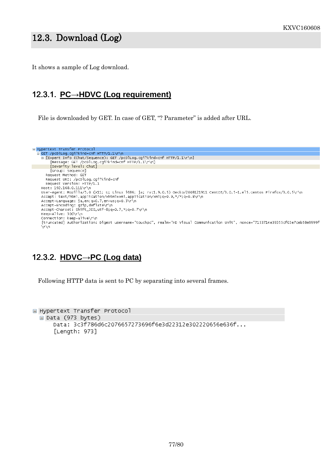## 12.3. Download (Log) (Log)

It shows a sample of Log download.

#### 12.3.1. **PC→HDVC (Log requirement)**

File is downloaded by GET. In case of GET, "? Parameter" is added after URL.

```
e Hypertext Transfer Protocol<br>
e GET /pcolLog.cgi?kind=cnf HTTP/1.1\r\n<br>
e [Expert Info (Chat/Sequence): GET /pcolLog.cgi?kind=cnf HTTP/1.1\r\n]<br>
[Message: GET /pcolLog.cgi?kind=cnf HTTP/1.1\r\n]<br>
[Severity level: Chat]
            [Group: Sequence]
         Request Method: GET
         Request URI: /pcDlLog.cgi?kind=cnf
         Request Version: HTTP/1.1
      Host: 192.168.0.111\r\n
     nosc. 1921100.01.111 (n.<br>User-Agent: Mozilla/5.0 (x11; U; Linux i686; ja; rv:1.9.0.5) Gecko/2008121911 Centos/3.0.5-1.el5.centos Firefox/3.0.5\r\n<br>Accept: text/html,application/xhtml+xml,application/xml;q=0.9,*/*;q=0.8\r\
     Accept-Language: ja,en;q=0.7,en-us;q=0.3\r\n<br>Accept-Language: ja,en;q=0.7,en-us;q=0.3\r\n<br>Accept-Encoding: gzip,deflate\r\n<br>Accept-Charset: Shift_JIS,utf-8;q=0.7,*;q=0.7\r\n
      Keep-Alive: 300\r\n
     Connection: keep-alive\r\n
      Ñn∖n
```
## 12.3.2. **HDVC→PC (Log data)**

Following HTTP data is sent to PC by separating into several frames.

```
□ Hypertext Transfer Protocol
 □ Data (973 bytes)
      Data: 3c3f786d6c2076657273696f6e3d22312e302220656e636f...
      [Length: 973]
```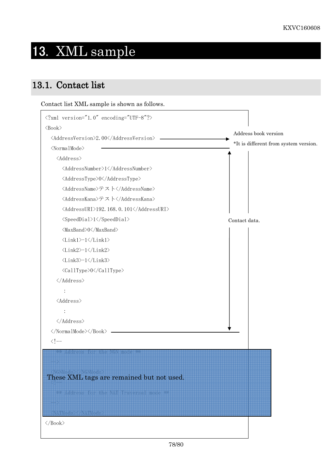# 13. XML sample

## 13.1. Contact list

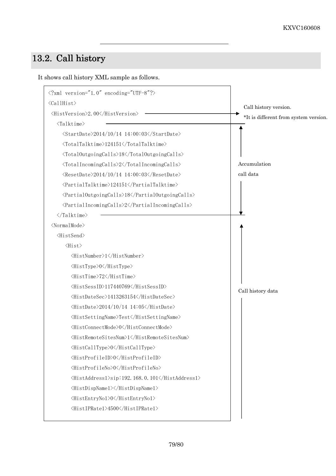## 13.2. Call history

It shows call history XML sample as follows.